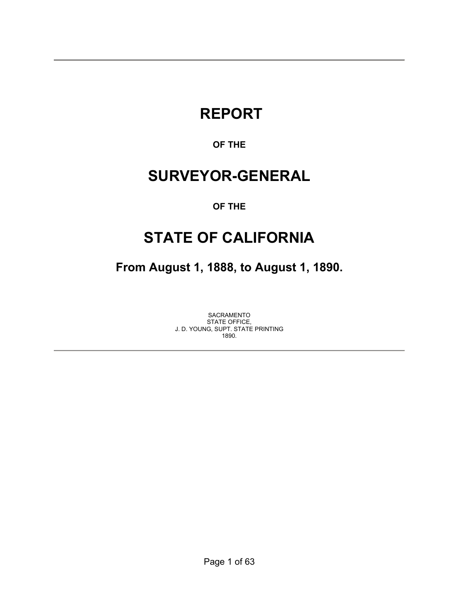# **REPORT**

### **OF THE**

# **SURVEYOR-GENERAL**

### **OF THE**

# **STATE OF CALIFORNIA**

**From August 1, 1888, to August 1, 1890.** 

SACRAMENTO STATE OFFICE, J. D. YOUNG, SUPT. STATE PRINTING 1890.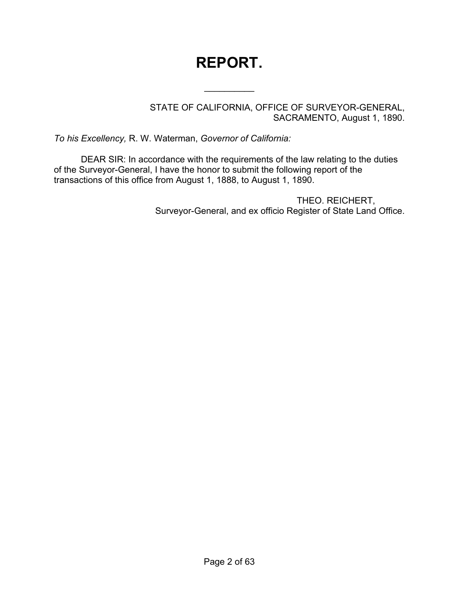# **REPORT.**

 $\frac{1}{2}$ 

STATE OF CALIFORNIA, OFFICE OF SURVEYOR-GENERAL, SACRAMENTO, August 1, 1890.

*To his Excellency,* R. W. Waterman, *Governor of California:*

DEAR SIR: In accordance with the requirements of the law relating to the duties of the Surveyor-General, I have the honor to submit the following report of the transactions of this office from August 1, 1888, to August 1, 1890.

> THEO. REICHERT, Surveyor-General, and ex officio Register of State Land Office.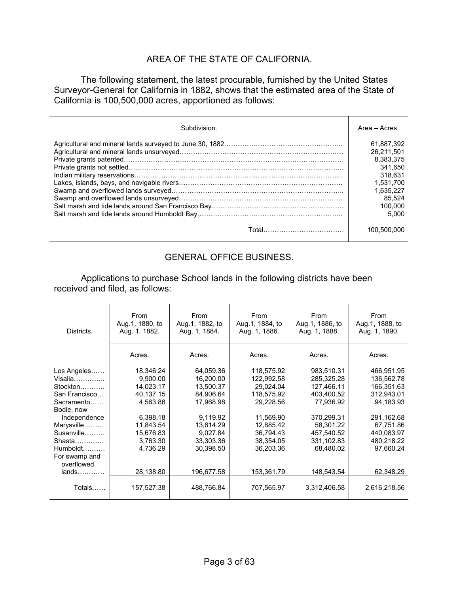### AREA OF THE STATE OF CALIFORNIA.

 The following statement, the latest procurable, furnished by the United States Surveyor-General for California in 1882, shows that the estimated area of the State of California is 100,500,000 acres, apportioned as follows:

| Subdivision. | Area - Acres |
|--------------|--------------|
|              | 61.887.392   |
|              | 26.211.501   |
|              | 8.383.375    |
|              | 341.650      |
|              | 318.631      |
|              | 1.531.700    |
|              | 1.635.227    |
|              | 85.524       |
|              | 100.000      |
|              | 5.000        |
|              | 100.500.000  |

### GENERAL OFFICE BUSINESS.

 Applications to purchase School lands in the following districts have been received and filed, as follows:

| Districts.      | From<br>Aug.1, 1880, to<br>Aug. 1, 1882. | From<br>Aug.1, 1882, to<br>Aug. 1, 1884. | From<br>Aug.1, 1884, to<br>Aug. 1, 1886. | From<br>Aug.1, 1886, to<br>Aug. 1, 1888. | From<br>Aug.1, 1888, to<br>Aug. 1, 1890. |
|-----------------|------------------------------------------|------------------------------------------|------------------------------------------|------------------------------------------|------------------------------------------|
|                 | Acres.                                   | Acres.                                   | Acres.                                   | Acres.                                   | Acres.                                   |
| Los Angeles     | 18,346.24                                | 64,059.36                                | 118,575.92                               | 983,510.31                               | 466,951.95                               |
| $Visalia$       | 9,900.00                                 | 16,200.00                                | 122,992.58                               | 285,325.28                               | 136,562.78                               |
| Stockton        | 14,023.17                                | 13,500.37                                | 29,024.04                                | 127,466.11                               | 166,351.63                               |
| San Francisco   | 40,137.15                                | 84,906.64                                | 118,575.92                               | 403,400.52                               | 312,943.01                               |
| Sacramento      | 4,563.88                                 | 17,968.98                                | 29,228.56                                | 77,936.92                                | 94,183.93                                |
| Bodie, now      |                                          |                                          |                                          |                                          |                                          |
| Independence    | 6,398.18                                 | 9,119.92                                 | 11,569.90                                | 370,299.31                               | 291,162.68                               |
| Marysville<br>. | 11,843.54                                | 13,614.29                                | 12,885.42                                | 58,301.22                                | 67,751.86                                |
| Susanville      | 15,676.83                                | 9,027.84                                 | 36,794.43                                | 457,540.52                               | 440,083.97                               |
| Shasta          | 3,763.30                                 | 33,303.36                                | 38,354.05                                | 331,102.83                               | 480,218.22                               |
| $Humboldt$      | 4,736.29                                 | 30,398.50                                | 36,203.36                                | 68,480.02                                | 97,660.24                                |
| For swamp and   |                                          |                                          |                                          |                                          |                                          |
| overflowed      |                                          |                                          |                                          |                                          |                                          |
| $lands$         | 28,138.80                                | 196,677.58                               | 153,361.79                               | 148,543.54                               | 62,348.29                                |
| Totals          | 157,527.38                               | 488,766.84                               | 707,565.97                               | 3,312,406.58                             | 2,616,218.56                             |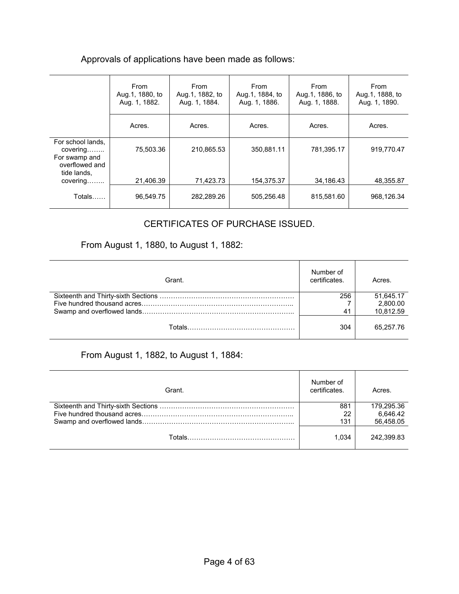### Approvals of applications have been made as follows:

|                                                                                 | From<br>Aug. 1, 1880, to<br>Aug. 1, 1882. | From<br>Aug.1, 1882, to<br>Aug. 1, 1884. | From<br>Aug.1, 1884, to<br>Aug. 1, 1886. | From<br>Aug.1, 1886, to<br>Aug. 1, 1888. | From<br>Aug.1, 1888, to<br>Aug. 1, 1890. |
|---------------------------------------------------------------------------------|-------------------------------------------|------------------------------------------|------------------------------------------|------------------------------------------|------------------------------------------|
|                                                                                 | Acres.                                    | Acres.                                   | Acres.                                   | Acres.                                   | Acres.                                   |
| For school lands,<br>covering<br>For swamp and<br>overflowed and<br>tide lands, | 75.503.36                                 | 210,865.53                               | 350.881.11                               | 781,395.17                               | 919.770.47                               |
| covering                                                                        | 21,406.39                                 | 71.423.73                                | 154.375.37                               | 34.186.43                                | 48.355.87                                |
| Totals                                                                          | 96,549.75                                 | 282,289.26                               | 505,256.48                               | 815,581.60                               | 968,126.34                               |

### CERTIFICATES OF PURCHASE ISSUED.

## From August 1, 1880, to August 1, 1882:

| Grant. | Number of<br>certificates. | Acres.    |
|--------|----------------------------|-----------|
|        | 256                        | 51,645.17 |
|        |                            | 2.800.00  |
|        | 41                         | 10,812.59 |
|        | 304                        | 65.257.76 |

### From August 1, 1882, to August 1, 1884:

| Grant. | Number of<br>certificates. | Acres.     |
|--------|----------------------------|------------|
|        | 881                        | 179.295.36 |
|        | 22                         | 6,646.42   |
|        | 131                        | 56,458.05  |
|        | 1.034                      | 242.399.83 |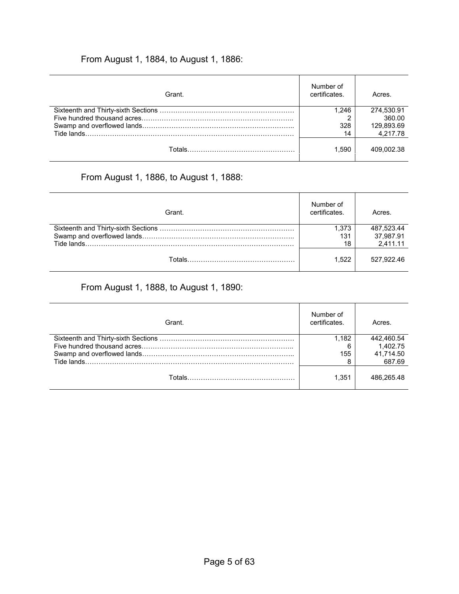## From August 1, 1884, to August 1, 1886:

| Grant. | Number of<br>certificates. | Acres.     |
|--------|----------------------------|------------|
|        | 1.246                      | 274.530.91 |
|        |                            | 360.00     |
|        | 328                        | 129,893.69 |
|        | 14                         | 4,217.78   |
|        | 1.590                      | 409.002.38 |

## From August 1, 1886, to August 1, 1888:

| Grant. | Number of<br>certificates. | Acres.                  |
|--------|----------------------------|-------------------------|
|        | 1.373<br>131               | 487,523.44<br>37,987.91 |
|        | 18                         | 2,411.11                |
| Totals | 1.522                      | 527.922.46              |

## From August 1, 1888, to August 1, 1890:

| Grant. | Number of<br>certificates. | Acres.     |
|--------|----------------------------|------------|
|        | 1.182                      | 442.460.54 |
|        | 6                          | 1.402.75   |
|        | 155                        | 41.714.50  |
|        | 8                          | 687.69     |
|        | 1.351                      | 486.265.48 |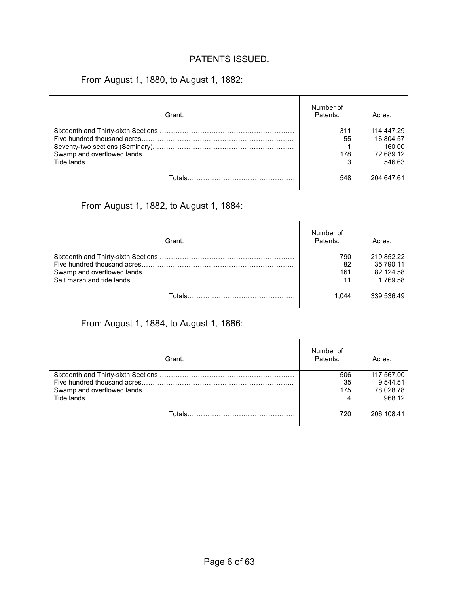### PATENTS ISSUED.

## From August 1, 1880, to August 1, 1882:

| Grant. | Number of<br>Patents. | Acres.     |
|--------|-----------------------|------------|
|        | 311                   | 114.447.29 |
|        | 55                    | 16.804.57  |
|        |                       | 160.00     |
|        | 178                   | 72,689.12  |
|        |                       | 546.63     |
|        | 548                   | 204.647.61 |

### From August 1, 1882, to August 1, 1884:

| Grant. | Number of<br>Patents. | Acres.     |
|--------|-----------------------|------------|
|        | 790                   | 219,852.22 |
|        | 82                    | 35.790.11  |
|        | 161                   | 82.124.58  |
|        | 11                    | 1.769.58   |
|        | 1.044                 | 339.536.49 |

## From August 1, 1884, to August 1, 1886:

| Grant. | Number of<br>Patents. | Acres.     |
|--------|-----------------------|------------|
|        | 506                   | 117,567.00 |
|        | 35                    | 9.544.51   |
|        | 175                   | 78,028.78  |
|        |                       | 968.12     |
|        | 720                   | 206.108.41 |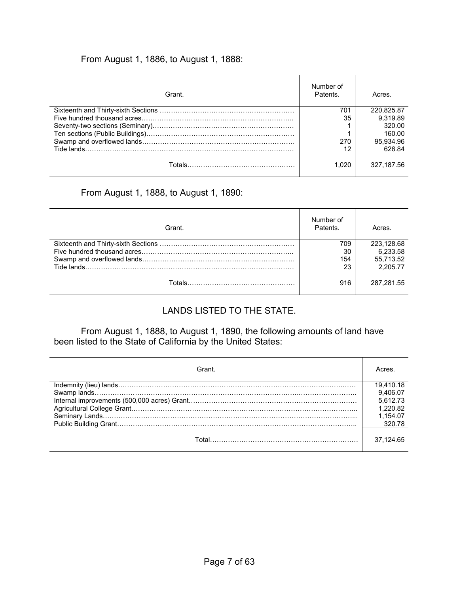### From August 1, 1886, to August 1, 1888:

| Grant. | Number of<br>Patents. | Acres.     |
|--------|-----------------------|------------|
|        | 701                   | 220.825.87 |
|        | 35                    | 9.319.89   |
|        |                       | 320.00     |
|        |                       | 160.00     |
|        | 270                   | 95,934.96  |
|        | 12                    | 626.84     |
|        | 1.020                 | 327.187.56 |

### From August 1, 1888, to August 1, 1890:

| Grant. | Number of<br>Patents. | Acres.     |
|--------|-----------------------|------------|
|        | 709                   | 223.128.68 |
|        | 30                    | 6.233.58   |
|        | 154                   | 55,713.52  |
|        | 23                    | 2.205.77   |
|        | 916                   | 287.281.55 |

## LANDS LISTED TO THE STATE.

From August 1, 1888, to August 1, 1890, the following amounts of land have been listed to the State of California by the United States:

| Grant. | Acres     |
|--------|-----------|
|        | 19.410.18 |
|        | 9.406.07  |
|        | 5.612.73  |
|        | 1.220.82  |
|        | 1.154.07  |
|        | 320.78    |
|        | 37.124.65 |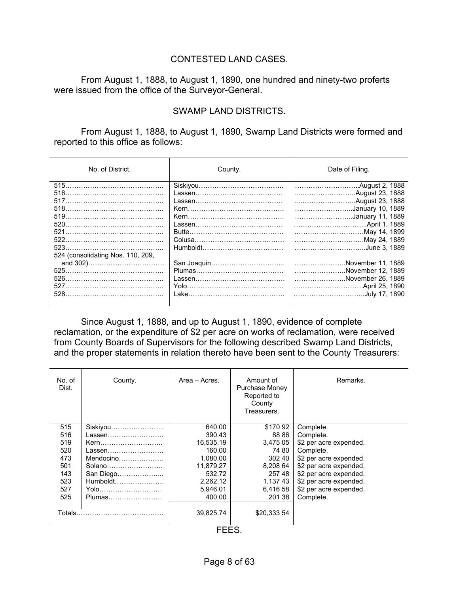### CONTESTED LAND CASES.

 From August 1, 1888, to August 1, 1890, one hundred and ninety-two proferts were issued from the office of the Surveyor-General.

### SWAMP LAND DISTRICTS.

 From August 1, 1888, to August 1, 1890, Swamp Land Districts were formed and reported to this office as follows:

| No. of District.                  | County. | Date of Filing.                                                              |
|-----------------------------------|---------|------------------------------------------------------------------------------|
|                                   |         | January 10, 1889                                                             |
| 524 (consolidating Nos. 110, 209, |         | January 11, 1889<br>May 14, 1899<br>May 24, 1889<br>June 3, 1889             |
| 526.                              |         | November 11, 1889<br>November 12, 1889<br>November 26, 1889<br>July 17, 1890 |

 Since August 1, 1888, and up to August 1, 1890, evidence of complete reclamation, or the expenditure of \$2 per acre on works of reclamation, were received from County Boards of Supervisors for the following described Swamp Land Districts, and the proper statements in relation thereto have been sent to the County Treasurers:

| No. of<br>Dist. | Amount of<br>Area – Acres.<br>County.<br>Purchase Money<br>Reported to<br>County<br>Treasurers. |                          | Remarks.    |                        |
|-----------------|-------------------------------------------------------------------------------------------------|--------------------------|-------------|------------------------|
| 515             | Siskiyou                                                                                        | 640.00                   | \$17092     | Complete.              |
| 516             | Lassen                                                                                          | 390.43                   | 88 86       | Complete.              |
| 519             | Kern                                                                                            | 16,535.19                | 3,475 05    | \$2 per acre expended. |
| 520             | Lassen                                                                                          | 160.00                   | 74 80       | Complete.              |
| 473             |                                                                                                 | 1,080.00                 | 302 40      | \$2 per acre expended. |
| 501             | Solano                                                                                          | 11.879.27                | 8,208 64    | \$2 per acre expended. |
| 143             | San Diego                                                                                       | 532.72                   | 257 48      | \$2 per acre expended. |
| 523             | Humboldt                                                                                        | 2,262.12                 | 1,137 43    | \$2 per acre expended. |
| 527             | Yolo                                                                                            | 5,946.01                 | 6,416 58    | \$2 per acre expended. |
| 525             | Plumas                                                                                          | 400.00                   | 201 38      | Complete.              |
| Totals.         |                                                                                                 | 39.825.74<br><b>FFFO</b> | \$20,333 54 |                        |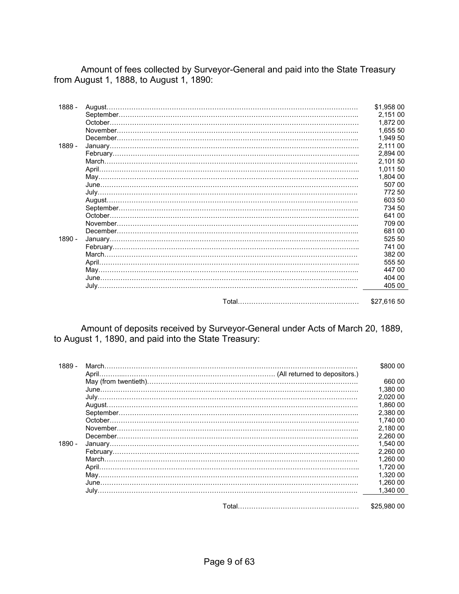Amount of fees collected by Surveyor-General and paid into the State Treasury from August 1, 1888, to August 1, 1890:

| 1888 - | \$1,958 00  |
|--------|-------------|
|        | 2,151 00    |
|        | 1,872 00    |
|        | 1.655 50    |
|        | 1,949 50    |
| 1889 - | 2.111 00    |
|        | 2.894 00    |
|        | 2,101 50    |
|        | 1.011 50    |
|        | 1,804 00    |
|        | 507 00      |
|        | 77250       |
|        | 603 50      |
|        | 734 50      |
|        | 641 00      |
|        | 709 00      |
|        | 68100       |
| 1890 - | 525 50      |
|        | 741 00      |
|        | 382 00      |
|        | 555 50      |
|        | 447 00      |
|        | 404 00      |
|        | 405 00      |
|        |             |
|        | \$27.616 50 |

 Amount of deposits received by Surveyor-General under Acts of March 20, 1889, to August 1, 1890, and paid into the State Treasury:

| 1889 - |  | \$800 00    |
|--------|--|-------------|
|        |  |             |
|        |  | 660 00      |
|        |  | 1.380 00    |
|        |  | 2.020 00    |
|        |  | 1.860 00    |
|        |  | 2.380 00    |
|        |  | 1.740 00    |
|        |  | 2.180 00    |
|        |  | 2.260 00    |
| 1890 - |  | 1.540 00    |
|        |  | 2.260 00    |
|        |  | 1.260 00    |
|        |  | 1.720 00    |
|        |  | 1.320 00    |
|        |  | 1.260 00    |
|        |  | 1.340 00    |
|        |  |             |
|        |  | \$25,980,00 |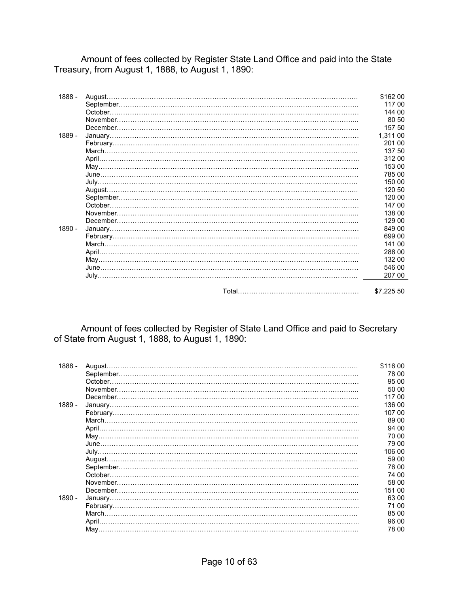Amount of fees collected by Register State Land Office and paid into the State Treasury, from August 1, 1888, to August 1, 1890:

| 1888 - | August | \$162 00   |
|--------|--------|------------|
|        |        | 117 00     |
|        |        | 144 00     |
|        |        | 80 50      |
|        |        | 157 50     |
| 1889 - |        | 1,311 00   |
|        |        | 201 00     |
|        |        | 137 50     |
|        |        | 312 00     |
|        |        | 153 00     |
|        |        | 785 00     |
|        |        | 150 00     |
|        |        | 120 50     |
|        |        | 120 00     |
|        |        | 147 00     |
|        |        | 138 00     |
|        |        | 129 00     |
| 1890 - |        | 849 00     |
|        |        | 699 00     |
|        |        | 141 00     |
|        |        | 288 00     |
|        |        | 132 00     |
|        |        | 546 00     |
|        |        | 207 00     |
|        |        | \$7,225 50 |

Amount of fees collected by Register of State Land Office and paid to Secretary of State from August 1, 1888, to August 1, 1890:

| 1888 - | August. | \$116 00 |
|--------|---------|----------|
|        |         | 78 00    |
|        | October | 95 00    |
|        |         | 50 00    |
|        |         | 117 00   |
| 1889 - |         | 136 00   |
|        |         | 107 00   |
|        |         | 89 00    |
|        |         | 94 00    |
|        |         | 70 00    |
|        |         | 79 00    |
|        |         | 106 00   |
|        |         | 59 00    |
|        |         | 76 00    |
|        | October | 74 00    |
|        |         | 58 00    |
|        |         | 151 00   |
| 1890 - |         | 63 00    |
|        |         | 71 00    |
|        |         | 85 00    |
|        |         | 96 00    |
|        |         | 78 00    |
|        |         |          |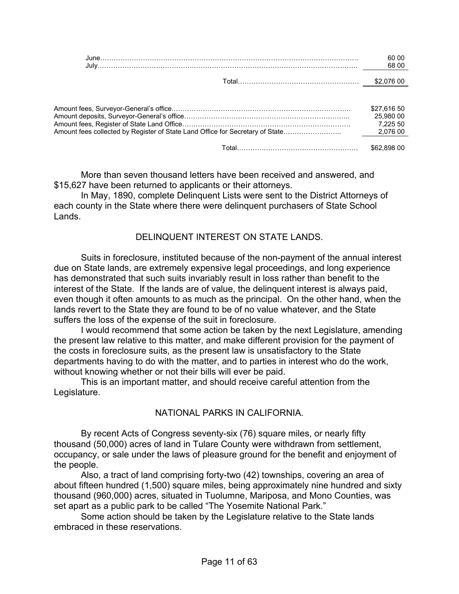| -00 |
|-----|
|     |

| \$27.616 50<br>25.980 00<br>7.225 50 |
|--------------------------------------|
| \$62.898 00                          |

 More than seven thousand letters have been received and answered, and \$15,627 have been returned to applicants or their attorneys.

 In May, 1890, complete Delinquent Lists were sent to the District Attorneys of each county in the State where there were delinquent purchasers of State School Lands.

### DELINQUENT INTEREST ON STATE LANDS.

 Suits in foreclosure, instituted because of the non-payment of the annual interest due on State lands, are extremely expensive legal proceedings, and long experience has demonstrated that such suits invariably result in loss rather than benefit to the interest of the State. If the lands are of value, the delinquent interest is always paid, even though it often amounts to as much as the principal. On the other hand, when the lands revert to the State they are found to be of no value whatever, and the State suffers the loss of the expense of the suit in foreclosure.

 I would recommend that some action be taken by the next Legislature, amending the present law relative to this matter, and make different provision for the payment of the costs in foreclosure suits, as the present law is unsatisfactory to the State departments having to do with the matter, and to parties in interest who do the work, without knowing whether or not their bills will ever be paid.

 This is an important matter, and should receive careful attention from the Legislature.

### NATIONAL PARKS IN CALIFORNIA.

 By recent Acts of Congress seventy-six (76) square miles, or nearly fifty thousand (50,000) acres of land in Tulare County were withdrawn from settlement, occupancy, or sale under the laws of pleasure ground for the benefit and enjoyment of the people.

 Also, a tract of land comprising forty-two (42) townships, covering an area of about fifteen hundred (1,500) square miles, being approximately nine hundred and sixty thousand (960,000) acres, situated in Tuolumne, Mariposa, and Mono Counties, was set apart as a public park to be called "The Yosemite National Park."

 Some action should be taken by the Legislature relative to the State lands embraced in these reservations.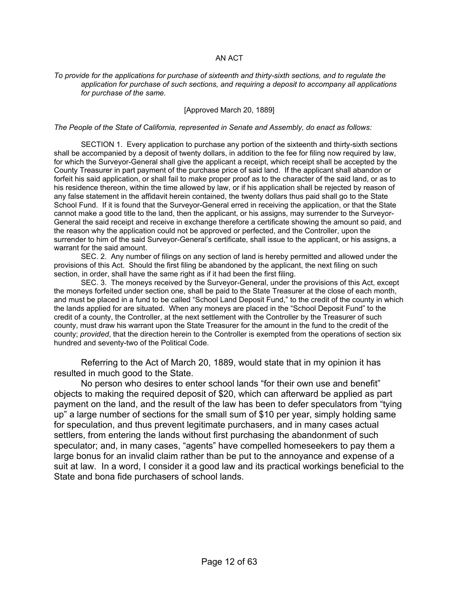#### AN ACT

#### *To provide for the applications for purchase of sixteenth and thirty-sixth sections, and to regulate the application for purchase of such sections, and requiring a deposit to accompany all applications for purchase of the same.*

#### [Approved March 20, 1889]

#### *The People of the State of California, represented in Senate and Assembly, do enact as follows:*

 SECTION 1. Every application to purchase any portion of the sixteenth and thirty-sixth sections shall be accompanied by a deposit of twenty dollars, in addition to the fee for filing now required by law, for which the Surveyor-General shall give the applicant a receipt, which receipt shall be accepted by the County Treasurer in part payment of the purchase price of said land. If the applicant shall abandon or forfeit his said application, or shall fail to make proper proof as to the character of the said land, or as to his residence thereon, within the time allowed by law, or if his application shall be rejected by reason of any false statement in the affidavit herein contained, the twenty dollars thus paid shall go to the State School Fund. If it is found that the Surveyor-General erred in receiving the application, or that the State cannot make a good title to the land, then the applicant, or his assigns, may surrender to the Surveyor-General the said receipt and receive in exchange therefore a certificate showing the amount so paid, and the reason why the application could not be approved or perfected, and the Controller, upon the surrender to him of the said Surveyor-General's certificate, shall issue to the applicant, or his assigns, a warrant for the said amount.

 SEC. 2. Any number of filings on any section of land is hereby permitted and allowed under the provisions of this Act. Should the first filing be abandoned by the applicant, the next filing on such section, in order, shall have the same right as if it had been the first filing.

 SEC. 3. The moneys received by the Surveyor-General, under the provisions of this Act, except the moneys forfeited under section one, shall be paid to the State Treasurer at the close of each month, and must be placed in a fund to be called "School Land Deposit Fund," to the credit of the county in which the lands applied for are situated. When any moneys are placed in the "School Deposit Fund" to the credit of a county, the Controller, at the next settlement with the Controller by the Treasurer of such county, must draw his warrant upon the State Treasurer for the amount in the fund to the credit of the county; *provided*, that the direction herein to the Controller is exempted from the operations of section six hundred and seventy-two of the Political Code.

 Referring to the Act of March 20, 1889, would state that in my opinion it has resulted in much good to the State.

 No person who desires to enter school lands "for their own use and benefit" objects to making the required deposit of \$20, which can afterward be applied as part payment on the land, and the result of the law has been to defer speculators from "tying up" a large number of sections for the small sum of \$10 per year, simply holding same for speculation, and thus prevent legitimate purchasers, and in many cases actual settlers, from entering the lands without first purchasing the abandonment of such speculator; and, in many cases, "agents" have compelled homeseekers to pay them a large bonus for an invalid claim rather than be put to the annoyance and expense of a suit at law. In a word, I consider it a good law and its practical workings beneficial to the State and bona fide purchasers of school lands.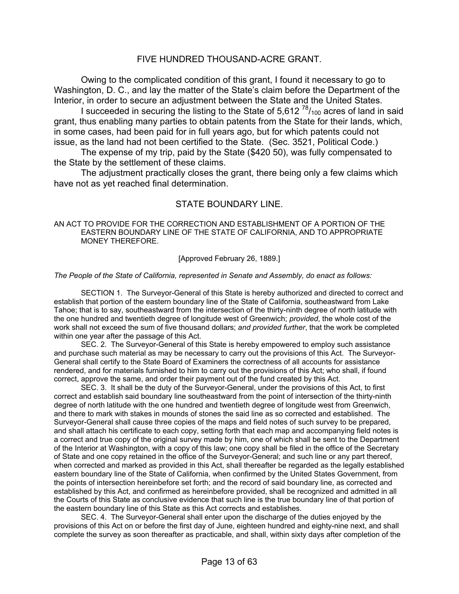#### FIVE HUNDRED THOUSAND-ACRE GRANT.

 Owing to the complicated condition of this grant, I found it necessary to go to Washington, D. C., and lay the matter of the State's claim before the Department of the Interior, in order to secure an adjustment between the State and the United States.

I succeeded in securing the listing to the State of  $5,612^{78}/_{100}$  acres of land in said grant, thus enabling many parties to obtain patents from the State for their lands, which, in some cases, had been paid for in full years ago, but for which patents could not issue, as the land had not been certified to the State. (Sec. 3521, Political Code.)

 The expense of my trip, paid by the State (\$420 50), was fully compensated to the State by the settlement of these claims.

 The adjustment practically closes the grant, there being only a few claims which have not as yet reached final determination.

#### STATE BOUNDARY LINE.

AN ACT TO PROVIDE FOR THE CORRECTION AND ESTABLISHMENT OF A PORTION OF THE EASTERN BOUNDARY LINE OF THE STATE OF CALIFORNIA, AND TO APPROPRIATE MONEY THEREFORE.

[Approved February 26, 1889.]

*The People of the State of California, represented in Senate and Assembly, do enact as follows:*

 SECTION 1. The Surveyor-General of this State is hereby authorized and directed to correct and establish that portion of the eastern boundary line of the State of California, southeastward from Lake Tahoe; that is to say, southeastward from the intersection of the thirty-ninth degree of north latitude with the one hundred and twentieth degree of longitude west of Greenwich; *provided*, the whole cost of the work shall not exceed the sum of five thousand dollars; *and provided further*, that the work be completed within one year after the passage of this Act.

 SEC. 2. The Surveyor-General of this State is hereby empowered to employ such assistance and purchase such material as may be necessary to carry out the provisions of this Act. The Surveyor-General shall certify to the State Board of Examiners the correctness of all accounts for assistance rendered, and for materials furnished to him to carry out the provisions of this Act; who shall, if found correct, approve the same, and order their payment out of the fund created by this Act.

 SEC. 3. It shall be the duty of the Surveyor-General, under the provisions of this Act, to first correct and establish said boundary line southeastward from the point of intersection of the thirty-ninth degree of north latitude with the one hundred and twentieth degree of longitude west from Greenwich, and there to mark with stakes in mounds of stones the said line as so corrected and established. The Surveyor-General shall cause three copies of the maps and field notes of such survey to be prepared, and shall attach his certificate to each copy, setting forth that each map and accompanying field notes is a correct and true copy of the original survey made by him, one of which shall be sent to the Department of the Interior at Washington, with a copy of this law; one copy shall be filed in the office of the Secretary of State and one copy retained in the office of the Surveyor-General; and such line or any part thereof, when corrected and marked as provided in this Act, shall thereafter be regarded as the legally established eastern boundary line of the State of California, when confirmed by the United States Government, from the points of intersection hereinbefore set forth; and the record of said boundary line, as corrected and established by this Act, and confirmed as hereinbefore provided, shall be recognized and admitted in all the Courts of this State as conclusive evidence that such line is the true boundary line of that portion of the eastern boundary line of this State as this Act corrects and establishes.

 SEC. 4. The Surveyor-General shall enter upon the discharge of the duties enjoyed by the provisions of this Act on or before the first day of June, eighteen hundred and eighty-nine next, and shall complete the survey as soon thereafter as practicable, and shall, within sixty days after completion of the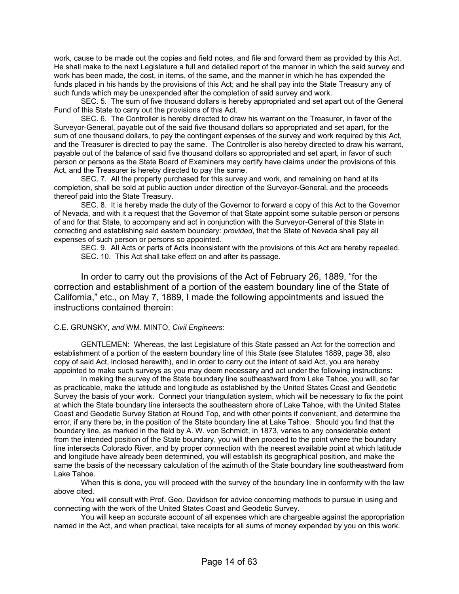work, cause to be made out the copies and field notes, and file and forward them as provided by this Act. He shall make to the next Legislature a full and detailed report of the manner in which the said survey and work has been made, the cost, in items, of the same, and the manner in which he has expended the funds placed in his hands by the provisions of this Act; and he shall pay into the State Treasury any of such funds which may be unexpended after the completion of said survey and work.

 SEC. 5. The sum of five thousand dollars is hereby appropriated and set apart out of the General Fund of this State to carry out the provisions of this Act.

 SEC. 6. The Controller is hereby directed to draw his warrant on the Treasurer, in favor of the Surveyor-General, payable out of the said five thousand dollars so appropriated and set apart, for the sum of one thousand dollars, to pay the contingent expenses of the survey and work required by this Act, and the Treasurer is directed to pay the same. The Controller is also hereby directed to draw his warrant, payable out of the balance of said five thousand dollars so appropriated and set apart, in favor of such person or persons as the State Board of Examiners may certify have claims under the provisions of this Act, and the Treasurer is hereby directed to pay the same.

 SEC. 7. All the property purchased for this survey and work, and remaining on hand at its completion, shall be sold at public auction under direction of the Surveyor-General, and the proceeds thereof paid into the State Treasury.

 SEC. 8. It is hereby made the duty of the Governor to forward a copy of this Act to the Governor of Nevada, and with it a request that the Governor of that State appoint some suitable person or persons of and for that State, to accompany and act in conjunction with the Surveyor-General of this State in correcting and establishing said eastern boundary: *provided*, that the State of Nevada shall pay all expenses of such person or persons so appointed.

 SEC. 9. All Acts or parts of Acts inconsistent with the provisions of this Act are hereby repealed. SEC. 10. This Act shall take effect on and after its passage.

 In order to carry out the provisions of the Act of February 26, 1889, "for the correction and establishment of a portion of the eastern boundary line of the State of California," etc., on May 7, 1889, I made the following appointments and issued the instructions contained therein:

#### C.E. GRUNSKY, *and* WM. MINTO, *Civil Engineers*:

 GENTLEMEN: Whereas, the last Legislature of this State passed an Act for the correction and establishment of a portion of the eastern boundary line of this State (see Statutes 1889, page 38, also copy of said Act, inclosed herewith), and in order to carry out the intent of said Act, you are hereby appointed to make such surveys as you may deem necessary and act under the following instructions:

 In making the survey of the State boundary line southeastward from Lake Tahoe, you will, so far as practicable, make the latitude and longitude as established by the United States Coast and Geodetic Survey the basis of your work. Connect your triangulation system, which will be necessary to fix the point at which the State boundary line intersects the southeastern shore of Lake Tahoe, with the United States Coast and Geodetic Survey Station at Round Top, and with other points if convenient, and determine the error, if any there be, in the position of the State boundary line at Lake Tahoe. Should you find that the boundary line, as marked in the field by A. W. von Schmidt, in 1873, varies to any considerable extent from the intended position of the State boundary, you will then proceed to the point where the boundary line intersects Colorado River, and by proper connection with the nearest available point at which latitude and longitude have already been determined, you will establish its geographical position, and make the same the basis of the necessary calculation of the azimuth of the State boundary line southeastward from Lake Tahoe.

 When this is done, you will proceed with the survey of the boundary line in conformity with the law above cited.

 You will consult with Prof. Geo. Davidson for advice concerning methods to pursue in using and connecting with the work of the United States Coast and Geodetic Survey.

 You will keep an accurate account of all expenses which are chargeable against the appropriation named in the Act, and when practical, take receipts for all sums of money expended by you on this work.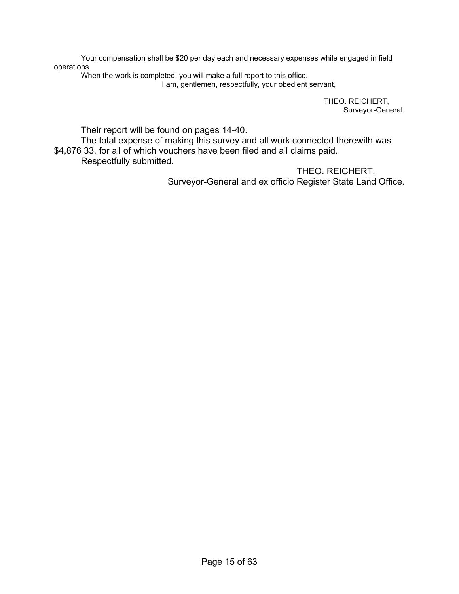Your compensation shall be \$20 per day each and necessary expenses while engaged in field operations.

 When the work is completed, you will make a full report to this office. I am, gentlemen, respectfully, your obedient servant,

> THEO. REICHERT, Surveyor-General.

Their report will be found on pages 14-40.

 The total expense of making this survey and all work connected therewith was \$4,876 33, for all of which vouchers have been filed and all claims paid. Respectfully submitted.

> THEO. REICHERT, Surveyor-General and ex officio Register State Land Office.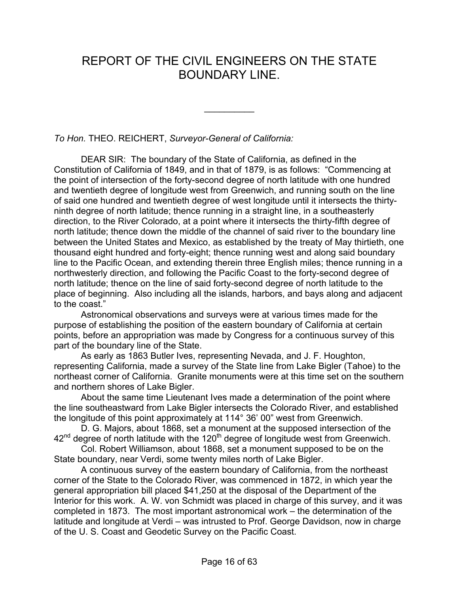## REPORT OF THE CIVIL ENGINEERS ON THE STATE BOUNDARY LINE.

 $\frac{1}{2}$ 

*To Hon.* THEO. REICHERT, *Surveyor-General of California:*

 DEAR SIR: The boundary of the State of California, as defined in the Constitution of California of 1849, and in that of 1879, is as follows: "Commencing at the point of intersection of the forty-second degree of north latitude with one hundred and twentieth degree of longitude west from Greenwich, and running south on the line of said one hundred and twentieth degree of west longitude until it intersects the thirtyninth degree of north latitude; thence running in a straight line, in a southeasterly direction, to the River Colorado, at a point where it intersects the thirty-fifth degree of north latitude; thence down the middle of the channel of said river to the boundary line between the United States and Mexico, as established by the treaty of May thirtieth, one thousand eight hundred and forty-eight; thence running west and along said boundary line to the Pacific Ocean, and extending therein three English miles; thence running in a northwesterly direction, and following the Pacific Coast to the forty-second degree of north latitude; thence on the line of said forty-second degree of north latitude to the place of beginning. Also including all the islands, harbors, and bays along and adjacent to the coast."

 Astronomical observations and surveys were at various times made for the purpose of establishing the position of the eastern boundary of California at certain points, before an appropriation was made by Congress for a continuous survey of this part of the boundary line of the State.

 As early as 1863 Butler Ives, representing Nevada, and J. F. Houghton, representing California, made a survey of the State line from Lake Bigler (Tahoe) to the northeast corner of California. Granite monuments were at this time set on the southern and northern shores of Lake Bigler.

 About the same time Lieutenant Ives made a determination of the point where the line southeastward from Lake Bigler intersects the Colorado River, and established the longitude of this point approximately at 114° 36' 00" west from Greenwich.

 D. G. Majors, about 1868, set a monument at the supposed intersection of the  $42<sup>nd</sup>$  degree of north latitude with the 120<sup>th</sup> degree of longitude west from Greenwich.

 Col. Robert Williamson, about 1868, set a monument supposed to be on the State boundary, near Verdi, some twenty miles north of Lake Bigler.

 A continuous survey of the eastern boundary of California, from the northeast corner of the State to the Colorado River, was commenced in 1872, in which year the general appropriation bill placed \$41,250 at the disposal of the Department of the Interior for this work. A. W. von Schmidt was placed in charge of this survey, and it was completed in 1873. The most important astronomical work – the determination of the latitude and longitude at Verdi – was intrusted to Prof. George Davidson, now in charge of the U. S. Coast and Geodetic Survey on the Pacific Coast.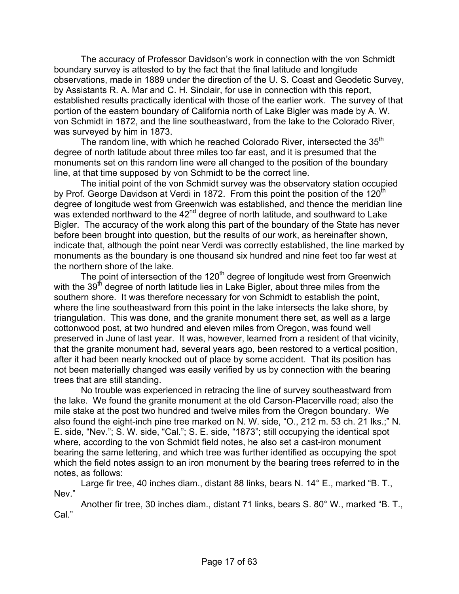The accuracy of Professor Davidson's work in connection with the von Schmidt boundary survey is attested to by the fact that the final latitude and longitude observations, made in 1889 under the direction of the U. S. Coast and Geodetic Survey, by Assistants R. A. Mar and C. H. Sinclair, for use in connection with this report, established results practically identical with those of the earlier work. The survey of that portion of the eastern boundary of California north of Lake Bigler was made by A. W. von Schmidt in 1872, and the line southeastward, from the lake to the Colorado River, was surveyed by him in 1873.

The random line, with which he reached Colorado River, intersected the 35<sup>th</sup> degree of north latitude about three miles too far east, and it is presumed that the monuments set on this random line were all changed to the position of the boundary line, at that time supposed by von Schmidt to be the correct line.

 The initial point of the von Schmidt survey was the observatory station occupied by Prof. George Davidson at Verdi in 1872. From this point the position of the 120<sup>th</sup> degree of longitude west from Greenwich was established, and thence the meridian line was extended northward to the 42<sup>nd</sup> degree of north latitude, and southward to Lake Bigler. The accuracy of the work along this part of the boundary of the State has never before been brought into question, but the results of our work, as hereinafter shown, indicate that, although the point near Verdi was correctly established, the line marked by monuments as the boundary is one thousand six hundred and nine feet too far west at the northern shore of the lake.

The point of intersection of the  $120<sup>th</sup>$  degree of longitude west from Greenwich with the  $39<sup>th</sup>$  degree of north latitude lies in Lake Bigler, about three miles from the southern shore. It was therefore necessary for von Schmidt to establish the point, where the line southeastward from this point in the lake intersects the lake shore, by triangulation. This was done, and the granite monument there set, as well as a large cottonwood post, at two hundred and eleven miles from Oregon, was found well preserved in June of last year. It was, however, learned from a resident of that vicinity, that the granite monument had, several years ago, been restored to a vertical position, after it had been nearly knocked out of place by some accident. That its position has not been materially changed was easily verified by us by connection with the bearing trees that are still standing.

 No trouble was experienced in retracing the line of survey southeastward from the lake. We found the granite monument at the old Carson-Placerville road; also the mile stake at the post two hundred and twelve miles from the Oregon boundary. We also found the eight-inch pine tree marked on N. W. side, "O., 212 m. 53 ch. 21 lks.;" N. E. side, "Nev."; S. W. side, "Cal."; S. E. side, "1873"; still occupying the identical spot where, according to the von Schmidt field notes, he also set a cast-iron monument bearing the same lettering, and which tree was further identified as occupying the spot which the field notes assign to an iron monument by the bearing trees referred to in the notes, as follows:

Large fir tree, 40 inches diam., distant 88 links, bears N. 14° E., marked "B. T., Nev."

 Another fir tree, 30 inches diam., distant 71 links, bears S. 80° W., marked "B. T., Cal<sup>"</sup>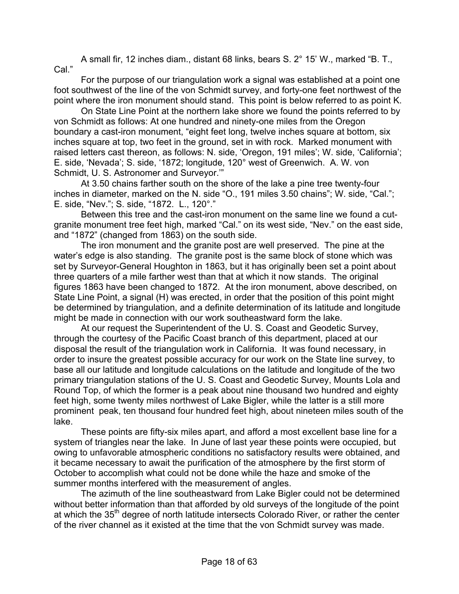A small fir, 12 inches diam., distant 68 links, bears S. 2° 15' W., marked "B. T., Cal."

 For the purpose of our triangulation work a signal was established at a point one foot southwest of the line of the von Schmidt survey, and forty-one feet northwest of the point where the iron monument should stand. This point is below referred to as point K.

 On State Line Point at the northern lake shore we found the points referred to by von Schmidt as follows: At one hundred and ninety-one miles from the Oregon boundary a cast-iron monument, "eight feet long, twelve inches square at bottom, six inches square at top, two feet in the ground, set in with rock. Marked monument with raised letters cast thereon, as follows: N. side, 'Oregon, 191 miles'; W. side, 'California'; E. side, 'Nevada'; S. side, '1872; longitude, 120° west of Greenwich. A. W. von Schmidt, U. S. Astronomer and Surveyor.'"

 At 3.50 chains farther south on the shore of the lake a pine tree twenty-four inches in diameter, marked on the N. side "O., 191 miles 3.50 chains"; W. side, "Cal."; E. side, "Nev."; S. side, "1872. L., 120°."

 Between this tree and the cast-iron monument on the same line we found a cutgranite monument tree feet high, marked "Cal." on its west side, "Nev." on the east side, and "1872" (changed from 1863) on the south side.

 The iron monument and the granite post are well preserved. The pine at the water's edge is also standing. The granite post is the same block of stone which was set by Surveyor-General Houghton in 1863, but it has originally been set a point about three quarters of a mile farther west than that at which it now stands. The original figures 1863 have been changed to 1872. At the iron monument, above described, on State Line Point, a signal (H) was erected, in order that the position of this point might be determined by triangulation, and a definite determination of its latitude and longitude might be made in connection with our work southeastward form the lake.

 At our request the Superintendent of the U. S. Coast and Geodetic Survey, through the courtesy of the Pacific Coast branch of this department, placed at our disposal the result of the triangulation work in California. It was found necessary, in order to insure the greatest possible accuracy for our work on the State line survey, to base all our latitude and longitude calculations on the latitude and longitude of the two primary triangulation stations of the U. S. Coast and Geodetic Survey, Mounts Lola and Round Top, of which the former is a peak about nine thousand two hundred and eighty feet high, some twenty miles northwest of Lake Bigler, while the latter is a still more prominent peak, ten thousand four hundred feet high, about nineteen miles south of the lake.

 These points are fifty-six miles apart, and afford a most excellent base line for a system of triangles near the lake. In June of last year these points were occupied, but owing to unfavorable atmospheric conditions no satisfactory results were obtained, and it became necessary to await the purification of the atmosphere by the first storm of October to accomplish what could not be done while the haze and smoke of the summer months interfered with the measurement of angles.

 The azimuth of the line southeastward from Lake Bigler could not be determined without better information than that afforded by old surveys of the longitude of the point at which the 35<sup>th</sup> degree of north latitude intersects Colorado River, or rather the center of the river channel as it existed at the time that the von Schmidt survey was made.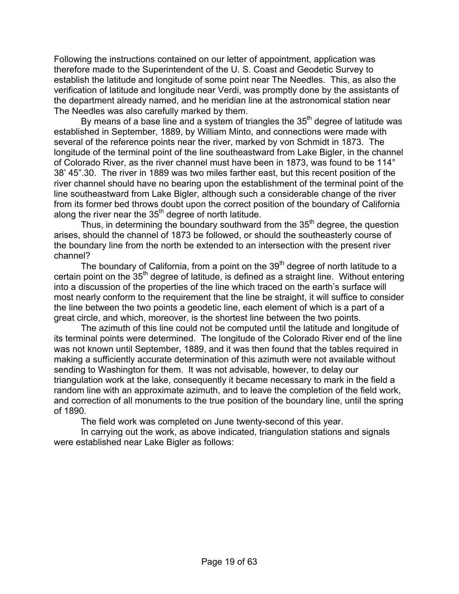Following the instructions contained on our letter of appointment, application was therefore made to the Superintendent of the U. S. Coast and Geodetic Survey to establish the latitude and longitude of some point near The Needles. This, as also the verification of latitude and longitude near Verdi, was promptly done by the assistants of the department already named, and he meridian line at the astronomical station near The Needles was also carefully marked by them.

By means of a base line and a system of triangles the  $35<sup>th</sup>$  degree of latitude was established in September, 1889, by William Minto, and connections were made with several of the reference points near the river, marked by von Schmidt in 1873. The longitude of the terminal point of the line southeastward from Lake Bigler, in the channel of Colorado River, as the river channel must have been in 1873, was found to be 114° 38' 45".30. The river in 1889 was two miles farther east, but this recent position of the river channel should have no bearing upon the establishment of the terminal point of the line southeastward from Lake Bigler, although such a considerable change of the river from its former bed throws doubt upon the correct position of the boundary of California along the river near the  $35<sup>th</sup>$  degree of north latitude.

Thus, in determining the boundary southward from the  $35<sup>th</sup>$  degree, the question arises, should the channel of 1873 be followed, or should the southeasterly course of the boundary line from the north be extended to an intersection with the present river channel?

The boundary of California, from a point on the  $39<sup>th</sup>$  degree of north latitude to a certain point on the  $35<sup>th</sup>$  degree of latitude, is defined as a straight line. Without entering into a discussion of the properties of the line which traced on the earth's surface will most nearly conform to the requirement that the line be straight, it will suffice to consider the line between the two points a geodetic line, each element of which is a part of a great circle, and which, moreover, is the shortest line between the two points.

 The azimuth of this line could not be computed until the latitude and longitude of its terminal points were determined. The longitude of the Colorado River end of the line was not known until September, 1889, and it was then found that the tables required in making a sufficiently accurate determination of this azimuth were not available without sending to Washington for them. It was not advisable, however, to delay our triangulation work at the lake, consequently it became necessary to mark in the field a random line with an approximate azimuth, and to leave the completion of the field work, and correction of all monuments to the true position of the boundary line, until the spring of 1890.

The field work was completed on June twenty-second of this year.

 In carrying out the work, as above indicated, triangulation stations and signals were established near Lake Bigler as follows: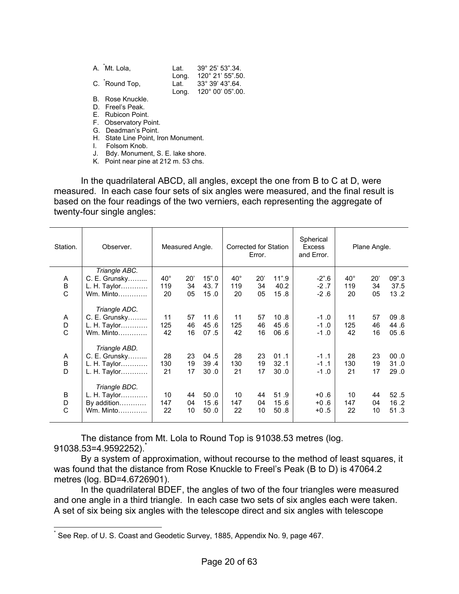| A. Mt. Lola,  |       | Lat. 39° 25' 53".34.                     |
|---------------|-------|------------------------------------------|
| C. Round Top, | Lona. | 120° 21' 55".50.<br>Lat. 33° 39' 43".64. |
| Deed Marrelle |       | Long. 120° 00' 05".00.                   |

B. Rose Knuckle.

D. Freel's Peak.

E. Rubicon Point.

F. Observatory Point. G. Deadman's Point.

H. State Line Point, Iron Monument.

I. Folsom Knob.

J. Bdy. Monument, S. E. lake shore.

K. Point near pine at 212 m. 53 chs.

 In the quadrilateral ABCD, all angles, except the one from B to C at D, were measured. In each case four sets of six angles were measured, and the final result is based on the four readings of the two verniers, each representing the aggregate of twenty-four single angles:

| Station. | Observer.     | Measured Angle. |     |        | Corrected for Station<br>Error. |     |       | Spherical<br>Excess<br>and Error. | Plane Angle. |     |       |
|----------|---------------|-----------------|-----|--------|---------------------------------|-----|-------|-----------------------------------|--------------|-----|-------|
|          | Triangle ABC. |                 |     |        |                                 |     |       |                                   |              |     |       |
| A        | C. E. Grunsky | $40^{\circ}$    | 20' | 15" .0 | $40^{\circ}$                    | 20' | 11".9 | $-2$ ".6                          | $40^{\circ}$ | 20' | 09".3 |
| $\sf B$  | L. H. Taylor  | 119             | 34  | 43.7   | 119                             | 34  | 40.2  | $-2.7$                            | 119          | 34  | 37.5  |
| C        |               | 20              | 05  | 15.0   | 20                              | 05  | 15.8  | $-2.6$                            | 20           | 05  | 13.2  |
|          | Triangle ADC. |                 |     |        |                                 |     |       |                                   |              |     |       |
| Α        | C. E. Grunsky | 11              | 57  | 11.6   | 11                              | 57  | 10.8  | $-1.0$                            | 11           | 57  | 09.8  |
| D        | L. H. Taylor  | 125             | 46  | 45.6   | 125                             | 46  | 45.6  | $-1.0$                            | 125          | 46  | 44.6  |
| C        |               | 42              | 16  | 07.5   | 42                              | 16  | 06.6  | $-1.0$                            | 42           | 16  | 05.6  |
|          | Triangle ABD. |                 |     |        |                                 |     |       |                                   |              |     |       |
| Α        | C. E. Grunsky | 28              | 23  | 04.5   | 28                              | 23  | 01.1  | $-1.1$                            | 28           | 23  | 0.00  |
| B        | L. H. Taylor  | 130             | 19  | 39.4   | 130                             | 19  | 32.1  | $-1.1$                            | 130          | 19  | 31.0  |
| D        | L. H. Taylor  | 21              | 17  | 30.0   | 21                              | 17  | 30.0  | $-1.0$                            | 21           | 17  | 29.0  |
|          | Triangle BDC. |                 |     |        |                                 |     |       |                                   |              |     |       |
| B        | L. H. Taylor  | 10              | 44  | 50.0   | 10                              | 44  | 51.9  | $+0.6$                            | 10           | 44  | 52.5  |
| D        | By addition   | 147             | 04  | 15.6   | 147                             | 04  | 15.6  | $+0.6$                            | 147          | 04  | 16.2  |
| C        | Wm. Minto     | 22              | 10  | 50.0   | 22                              | 10  | 50.8  | $+0.5$                            | 22           | 10  | 51.3  |
|          |               |                 |     |        |                                 |     |       |                                   |              |     |       |

 The distance from Mt. Lola to Round Top is 91038.53 metres (log. 91038.53=4.9592252).

 By a system of approximation, without recourse to the method of least squares, it was found that the distance from Rose Knuckle to Freel's Peak (B to D) is 47064.2 metres (log. BD=4.6726901).

 In the quadrilateral BDEF, the angles of two of the four triangles were measured and one angle in a third triangle. In each case two sets of six angles each were taken. A set of six being six angles with the telescope direct and six angles with telescope

 $\overline{a}$ 

<sup>\*</sup> See Rep. of U. S. Coast and Geodetic Survey, 1885, Appendix No. 9, page 467.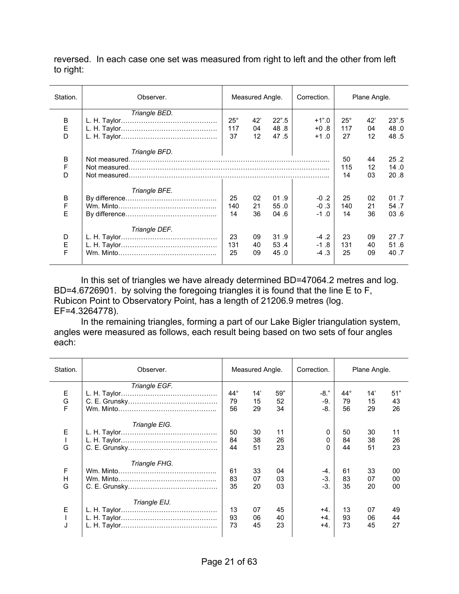reversed. In each case one set was measured from right to left and the other from left to right:

| Station.    | Observer.     | Measured Angle.           |                              | Correction.           | Plane Angle.                |                         |                 |                        |
|-------------|---------------|---------------------------|------------------------------|-----------------------|-----------------------------|-------------------------|-----------------|------------------------|
| B<br>E<br>D | Triangle BED. | $25^{\circ}$<br>117<br>37 | 42'<br>04<br>12 <sup>°</sup> | 22".5<br>48.8<br>47.5 | $+1".0$<br>$+0.8$<br>$+1.0$ | $25^\circ$<br>117<br>27 | 42'<br>04<br>12 | 23" .5<br>48.0<br>48.5 |
| B<br>F<br>D | Triangle BFD. |                           |                              |                       |                             | 50<br>115<br>14         | 44<br>12<br>03  | 25.2<br>14.0<br>20.8   |
| B<br>F<br>F | Triangle BFE. | 25<br>140<br>14           | 02<br>21<br>36               | 01.9<br>55.0<br>04.6  | $-0.2$<br>$-0.3$<br>$-1.0$  | 25<br>140<br>14         | 02<br>21<br>36  | 01.7<br>54.7<br>03.6   |
| D<br>E<br>F | Triangle DEF. | 23<br>131<br>25           | 09<br>40<br>09               | 31.9<br>53.4<br>45.0  | $-4.2$<br>$-1.8$<br>$-4.3$  | 23<br>131<br>25         | 09<br>40<br>09  | 27.7<br>51.6<br>40.7   |

 In this set of triangles we have already determined BD=47064.2 metres and log. BD=4.6726901. by solving the foregoing triangles it is found that the line E to F, Rubicon Point to Observatory Point, has a length of 21206.9 metres (log. EF=4.3264778).

 In the remaining triangles, forming a part of our Lake Bigler triangulation system, angles were measured as follows, each result being based on two sets of four angles each:

| Station.    | Observer.     |                          | Measured Angle. |                 | Correction.             |                          | Plane Angle.    |                 |
|-------------|---------------|--------------------------|-----------------|-----------------|-------------------------|--------------------------|-----------------|-----------------|
| Е<br>G<br>F | Triangle EGF. | $44^{\circ}$<br>79<br>56 | 14'<br>15<br>29 | 59"<br>52<br>34 | $-8."$<br>-9.<br>$-8.$  | $44^{\circ}$<br>79<br>56 | 14'<br>15<br>29 | 51"<br>43<br>26 |
| E<br>G      | Triangle EIG. | 50<br>84<br>44           | 30<br>38<br>51  | 11<br>26<br>23  | 0<br>0<br>0             | 50<br>84<br>44           | 30<br>38<br>51  | 11<br>26<br>23  |
| F<br>H<br>G | Triangle FHG. | 61<br>83<br>35           | 33<br>07<br>20  | 04<br>03<br>03  | $-4.$<br>$-3$ .<br>$-3$ | 61<br>83<br>35           | 33<br>07<br>20  | 00<br>00<br>00  |
| E<br>J      | Triangle EIJ. | 13<br>93<br>73           | 07<br>06<br>45  | 45<br>40<br>23  | $+4$<br>$+4$<br>$+4.$   | 13<br>93<br>73           | 07<br>06<br>45  | 49<br>44<br>27  |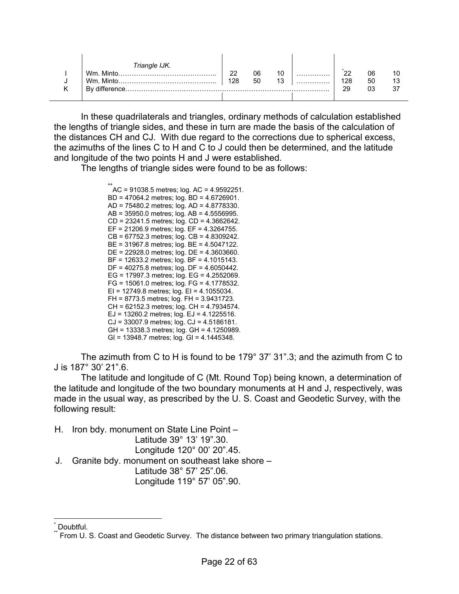| Triangle IJK.               |     |    |    |   |     |    |  |
|-----------------------------|-----|----|----|---|-----|----|--|
| Wm<br>$\cdot$ Minto         | າາ  | 06 | 10 | . | r.  | 06 |  |
| Wm.<br>.to…………………………………………… | 128 | 50 | 13 | . | 128 | 50 |  |
| By difference.              |     |    |    |   | 29  | በ3 |  |
|                             |     |    |    |   |     |    |  |

 In these quadrilaterals and triangles, ordinary methods of calculation established the lengths of triangle sides, and these in turn are made the basis of the calculation of the distances CH and CJ. With due regard to the corrections due to spherical excess, the azimuths of the lines C to H and C to J could then be determined, and the latitude and longitude of the two points H and J were established.

The lengths of triangle sides were found to be as follows:

 $\hat{A}$ C = 91038.5 metres; log. AC = 4.9592251. BD = 47064.2 metres; log. BD = 4.6726901. AD = 75480.2 metres; log. AD = 4.8778330. AB = 35950.0 metres; log. AB = 4.5556995. CD = 23241.5 metres; log. CD = 4.3662642. EF = 21206.9 metres; log. EF = 4.3264755. CB = 67752.3 metres; log. CB = 4.8309242. BE = 31967.8 metres; log. BE = 4.5047122. DE = 22928.0 metres; log. DE = 4.3603660. BF = 12633.2 metres; log. BF = 4.1015143. DF = 40275.8 metres; log. DF = 4.6050442. EG = 17997.3 metres; log. EG = 4.2552069. FG = 15061.0 metres; log. FG = 4.1778532. EI = 12749.8 metres; log. EI = 4.1055034. FH = 8773.5 metres; log. FH = 3.9431723. CH = 62152.3 metres; log. CH = 4.7934574. EJ =  $13260.2$  metres; log. EJ =  $4.1225516$ . CJ = 33007.9 metres; log. CJ = 4.5186181. GH = 13338.3 metres; log. GH = 4.1250989. GI = 13948.7 metres; log. GI = 4.1445348.

 The azimuth from C to H is found to be 179° 37' 31".3; and the azimuth from C to J is 187° 30' 21".6.

 The latitude and longitude of C (Mt. Round Top) being known, a determination of the latitude and longitude of the two boundary monuments at H and J, respectively, was made in the usual way, as prescribed by the U. S. Coast and Geodetic Survey, with the following result:

H. Iron bdy. monument on State Line Point –

 Latitude 39° 13' 19".30. Longitude 120° 00' 20".45.

J. Granite bdy. monument on southeast lake shore – Latitude 38° 57' 25".06.

Longitude 119° 57' 05".90.

 $\overline{a}$ \* Doubtful.

From U. S. Coast and Geodetic Survey. The distance between two primary triangulation stations.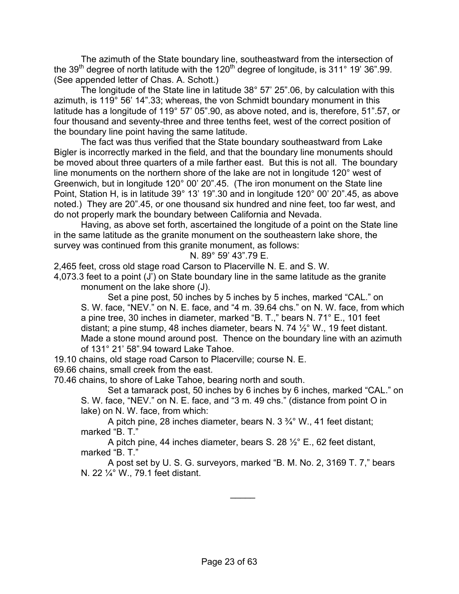The azimuth of the State boundary line, southeastward from the intersection of the 39<sup>th</sup> degree of north latitude with the  $120<sup>th</sup>$  degree of longitude, is 311° 19' 36".99. (See appended letter of Chas. A. Schott.)

 The longitude of the State line in latitude 38° 57' 25".06, by calculation with this azimuth, is 119° 56' 14".33; whereas, the von Schmidt boundary monument in this latitude has a longitude of 119° 57' 05".90, as above noted, and is, therefore, 51".57, or four thousand and seventy-three and three tenths feet, west of the correct position of the boundary line point having the same latitude.

 The fact was thus verified that the State boundary southeastward from Lake Bigler is incorrectly marked in the field, and that the boundary line monuments should be moved about three quarters of a mile farther east. But this is not all. The boundary line monuments on the northern shore of the lake are not in longitude 120° west of Greenwich, but in longitude 120° 00' 20".45. (The iron monument on the State line Point, Station H, is in latitude 39° 13' 19".30 and in longitude 120° 00' 20".45, as above noted.) They are 20".45, or one thousand six hundred and nine feet, too far west, and do not properly mark the boundary between California and Nevada.

 Having, as above set forth, ascertained the longitude of a point on the State line in the same latitude as the granite monument on the southeastern lake shore, the survey was continued from this granite monument, as follows:

N. 89° 59' 43".79 E.

2,465 feet, cross old stage road Carson to Placerville N. E. and S. W.

4,073.3 feet to a point (J') on State boundary line in the same latitude as the granite monument on the lake shore (J).

 Set a pine post, 50 inches by 5 inches by 5 inches, marked "CAL." on S. W. face, "NEV." on N. E. face, and "4 m. 39.64 chs." on N. W. face, from which a pine tree, 30 inches in diameter, marked "B. T.," bears N. 71° E., 101 feet distant; a pine stump, 48 inches diameter, bears N. 74  $\frac{1}{2}$ ° W., 19 feet distant. Made a stone mound around post. Thence on the boundary line with an azimuth of 131° 21' 58".94 toward Lake Tahoe.

19.10 chains, old stage road Carson to Placerville; course N. E.

69.66 chains, small creek from the east.

70.46 chains, to shore of Lake Tahoe, bearing north and south.

 Set a tamarack post, 50 inches by 6 inches by 6 inches, marked "CAL." on S. W. face, "NEV." on N. E. face, and "3 m. 49 chs." (distance from point O in lake) on N. W. face, from which:

 A pitch pine, 28 inches diameter, bears N. 3 ¾° W., 41 feet distant; marked "B. T."

 A pitch pine, 44 inches diameter, bears S. 28 ½° E., 62 feet distant, marked "B. T."

 A post set by U. S. G. surveyors, marked "B. M. No. 2, 3169 T. 7," bears N. 22 ¼° W., 79.1 feet distant.

 $\overline{\phantom{a}}$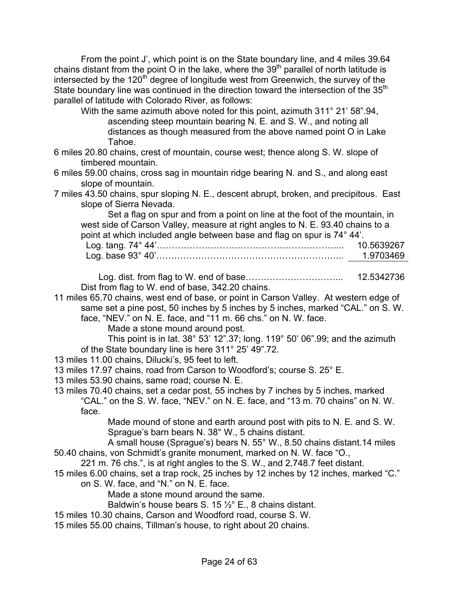From the point J', which point is on the State boundary line, and 4 miles 39.64 chains distant from the point O in the lake, where the  $39<sup>th</sup>$  parallel of north latitude is intersected by the  $120<sup>th</sup>$  degree of longitude west from Greenwich, the survey of the State boundary line was continued in the direction toward the intersection of the 35<sup>th</sup> parallel of latitude with Colorado River, as follows:

 With the same azimuth above noted for this point, azimuth 311° 21' 58".94, ascending steep mountain bearing N. E. and S. W., and noting all distances as though measured from the above named point O in Lake Tahoe.

- 6 miles 20.80 chains, crest of mountain, course west; thence along S. W. slope of timbered mountain.
- 6 miles 59.00 chains, cross sag in mountain ridge bearing N. and S., and along east slope of mountain.
- 7 miles 43.50 chains, spur sloping N. E., descent abrupt, broken, and precipitous. East slope of Sierra Nevada.

 Set a flag on spur and from a point on line at the foot of the mountain, in west side of Carson Valley, measure at right angles to N. E. 93.40 chains to a point at which included angle between base and flag on spur is 74° 44'. Log. tang. 74° 44'……………………………………………………... 10.5639267 Log. base 93° 40'……………………………………………………... 1.9703469

 Log. dist. from flag to W. end of base…………………………... 12.5342736 Dist from flag to W. end of base, 342.20 chains.

11 miles 65.70 chains, west end of base, or point in Carson Valley. At western edge of same set a pine post, 50 inches by 5 inches by 5 inches, marked "CAL." on S. W. face, "NEV." on N. E. face, and "11 m. 66 chs." on N. W. face.

Made a stone mound around post.

This point is in lat. 38° 53' 12".37; long. 119° 50' 06".99; and the azimuth of the State boundary line is here 311° 25' 49".72.

- 13 miles 11.00 chains, Dilucki's, 95 feet to left.
- 13 miles 17.97 chains, road from Carson to Woodford's; course S. 25° E.
- 13 miles 53.90 chains, same road; course N. E.
- 13 miles 70.40 chains, set a cedar post, 55 inches by 7 inches by 5 inches, marked "CAL." on the S. W. face, "NEV." on N. E. face, and "13 m. 70 chains" on N. W. face.

 Made mound of stone and earth around post with pits to N. E. and S. W. Sprague's barn bears N. 38° W., 5 chains distant.

 A small house (Sprague's) bears N. 55° W., 8.50 chains distant.14 miles 50.40 chains, von Schmidt's granite monument, marked on N. W. face "O.,

- 221 m. 76 chs.", is at right angles to the S. W., and 2,748.7 feet distant.
- 15 miles 6.00 chains, set a trap rock, 25 inches by 12 inches by 12 inches, marked "C."
	- on S. W. face, and "N." on N. E. face.
		- Made a stone mound around the same.
		- Baldwin's house bears S. 15 ½° E., 8 chains distant.
- 15 miles 10.30 chains, Carson and Woodford road, course S. W.
- 15 miles 55.00 chains, Tillman's house, to right about 20 chains.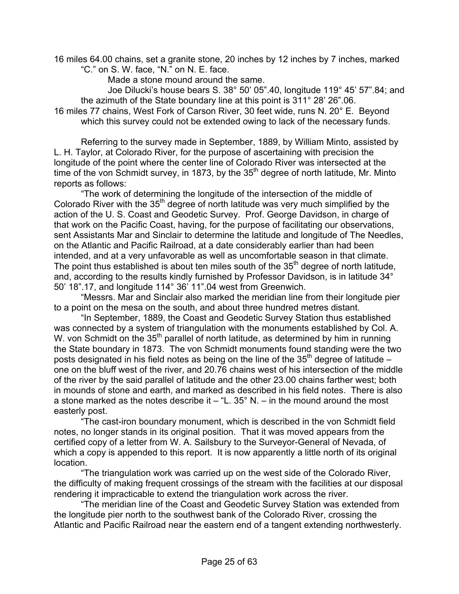16 miles 64.00 chains, set a granite stone, 20 inches by 12 inches by 7 inches, marked "C." on S. W. face, "N." on N. E. face.

Made a stone mound around the same.

 Joe Dilucki's house bears S. 38° 50' 05".40, longitude 119° 45' 57".84; and the azimuth of the State boundary line at this point is 311° 28' 26".06. 16 miles 77 chains, West Fork of Carson River, 30 feet wide, runs N. 20° E. Beyond

which this survey could not be extended owing to lack of the necessary funds.

Referring to the survey made in September, 1889, by William Minto, assisted by L. H. Taylor, at Colorado River, for the purpose of ascertaining with precision the longitude of the point where the center line of Colorado River was intersected at the time of the von Schmidt survey, in 1873, by the  $35<sup>th</sup>$  degree of north latitude, Mr. Minto reports as follows:

 "The work of determining the longitude of the intersection of the middle of Colorado River with the  $35<sup>th</sup>$  degree of north latitude was very much simplified by the action of the U. S. Coast and Geodetic Survey. Prof. George Davidson, in charge of that work on the Pacific Coast, having, for the purpose of facilitating our observations, sent Assistants Mar and Sinclair to determine the latitude and longitude of The Needles, on the Atlantic and Pacific Railroad, at a date considerably earlier than had been intended, and at a very unfavorable as well as uncomfortable season in that climate. The point thus established is about ten miles south of the  $35<sup>th</sup>$  degree of north latitude, and, according to the results kindly furnished by Professor Davidson, is in latitude 34° 50' 18".17, and longitude 114° 36' 11".04 west from Greenwich.

 "Messrs. Mar and Sinclair also marked the meridian line from their longitude pier to a point on the mesa on the south, and about three hundred metres distant.

 "In September, 1889, the Coast and Geodetic Survey Station thus established was connected by a system of triangulation with the monuments established by Col. A. W. von Schmidt on the 35<sup>th</sup> parallel of north latitude, as determined by him in running the State boundary in 1873. The von Schmidt monuments found standing were the two posts designated in his field notes as being on the line of the  $35<sup>th</sup>$  degree of latitude – one on the bluff west of the river, and 20.76 chains west of his intersection of the middle of the river by the said parallel of latitude and the other 23.00 chains farther west; both in mounds of stone and earth, and marked as described in his field notes. There is also a stone marked as the notes describe it  $-$  "L. 35° N.  $-$  in the mound around the most easterly post.

 "The cast-iron boundary monument, which is described in the von Schmidt field notes, no longer stands in its original position. That it was moved appears from the certified copy of a letter from W. A. Sailsbury to the Surveyor-General of Nevada, of which a copy is appended to this report. It is now apparently a little north of its original location.

 "The triangulation work was carried up on the west side of the Colorado River, the difficulty of making frequent crossings of the stream with the facilities at our disposal rendering it impracticable to extend the triangulation work across the river.

 "The meridian line of the Coast and Geodetic Survey Station was extended from the longitude pier north to the southwest bank of the Colorado River, crossing the Atlantic and Pacific Railroad near the eastern end of a tangent extending northwesterly.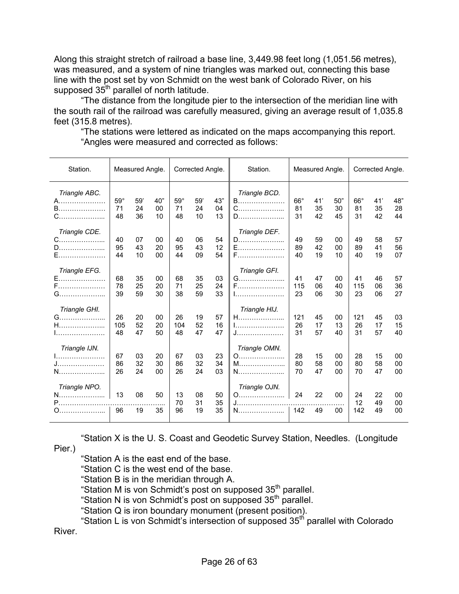Along this straight stretch of railroad a base line, 3,449.98 feet long (1,051.56 metres), was measured, and a system of nine triangles was marked out, connecting this base line with the post set by von Schmidt on the west bank of Colorado River, on his supposed  $35<sup>th</sup>$  parallel of north latitude.

 "The distance from the longitude pier to the intersection of the meridian line with the south rail of the railroad was carefully measured, giving an average result of 1,035.8 feet (315.8 metres).

Station. | Measured Angle. | Corrected Angle. | Station. | Measured Angle. | Corrected Angle. *Triangle ABC. Triangle BCD.*  A………………… 59° 59' 40" 59° 59' 43" B………………… 66° 41' 50" 66° 41' 48" B………………… 71 24 00 71 24 04 C………………... 81 35 30 81 35 28 C………………... 48 36 10 48 10 13 D………………... 31 42 45 31 42 44 *Triangle CDE. Triangle DEF.*  C………………... 40 07 00 40 06 54 D………………... 49 59 00 49 58 57 D………………... 95 43 20 95 43 12 E………………… 89 42 00 89 41 56 E………………… 44 10 00 44 09 54 F………………… 40 19 10 40 19 07 *Triangle EFG.* |  $\begin{array}{|l|l|l|l|l|} \hline 68 & 35 & 00 & 68 & 35 & 03 & 0. \hline \end{array}$  | Triangle GFI. E………………… 68 35 00 68 35 03 G………………... 41 47 00 41 46 57 F………………… 78 25 20 71 25 24 F………………… 115 06 40 115 06 36 G………………... 39 59 30 38 59 33 I…………………. 23 06 30 23 06 27 *Triangle GHI.* 26 20 00 26 19 57 Triangle HIJ. G………………... 26 20 00 26 19 57 H………………... 121 45 00 121 45 03 H………………... 105 52 20 104 52 16 I…………………. 26 17 13 26 17 15 I…………………. 48 47 50 48 47 47 J………………… 31 57 40 31 57 40 *Triangle IJN. Triangle OMN.*  I…………………. 67 03 20 67 03 23 O………………... 28 15 00 28 15 00 J………………… 86 32 30 86 32 34 M………………... 80 58 00 80 58 00 N………………... 26 24 00 26 24 03 N………………... 70 47 00 70 47 00 *Triangle NPO. Triangle OJN.*  N………………... 13 08 50 13 08 50 O………………... 24 22 00 24 22 00 P………………………………………... 70 31 35 J………………………………………… 12 49 00 O………………... 96 19 35 96 19 35 N………………... 142 49 00 142 49 00

 "The stations were lettered as indicated on the maps accompanying this report. "Angles were measured and corrected as follows:

"Station X is the U. S. Coast and Geodetic Survey Station, Needles. (Longitude Pier.)

"Station A is the east end of the base.

"Station C is the west end of the base.

"Station B is in the meridian through A.

"Station M is von Schmidt's post on supposed 35<sup>th</sup> parallel.

"Station N is von Schmidt's post on supposed 35th parallel.

"Station Q is iron boundary monument (present position).

"Station L is von Schmidt's intersection of supposed 35<sup>th</sup> parallel with Colorado River.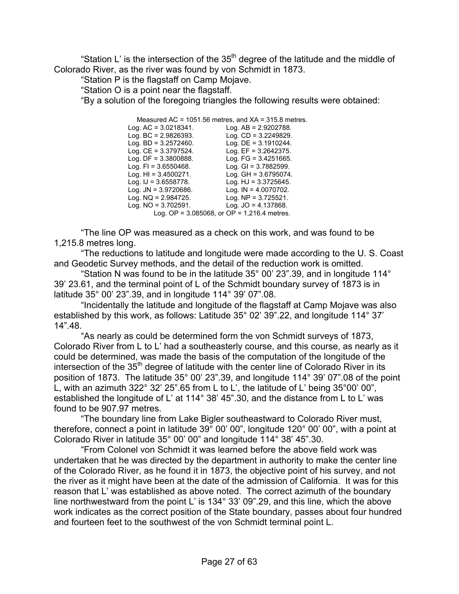"Station L' is the intersection of the  $35<sup>th</sup>$  degree of the latitude and the middle of Colorado River, as the river was found by von Schmidt in 1873.

"Station P is the flagstaff on Camp Mojave.

"Station O is a point near the flagstaff.

"By a solution of the foregoing triangles the following results were obtained:

Measured AC = 1051.56 metres, and XA = 315.8 metres.

Log. AC = 3.0218341.<br>Log. BC = 2.9826393. Log. BC = 2.9826393. Log. CD = 3.2249829.<br>
Log. BD = 3.2572460. Log. DE = 3.1910244. Log. BD = 3.2572460. Log. DE = 3.1910244. Log. CE = 3.3797524. Log. EF = 3.2642375. Log. DF = 3.3800888. Log. FG = 3.4251665. Log. FI = 3.6550468. Log. GI = 3.7882599. Log. HI = 3.4500271. Log. GH = 3.6795074. Log. IJ = 3.6558778. Log. HJ = 3.3725645. Log. JN = 3.9720686. Log. IN = 4.0070702. Log. NQ = 2.984725. Log. NP = 3.725521. Log. NO = 3.702591. Log. JO = 4.137868. Log. OP =  $3.085068$ , or OP =  $1,216.4$  metres.

 "The line OP was measured as a check on this work, and was found to be 1,215.8 metres long.

"The reductions to latitude and longitude were made according to the U. S. Coast and Geodetic Survey methods, and the detail of the reduction work is omitted.

"Station N was found to be in the latitude  $35^{\circ}$  00' 23".39, and in longitude 114 $^{\circ}$ 39' 23.61, and the terminal point of L of the Schmidt boundary survey of 1873 is in latitude 35° 00' 23".39, and in longitude 114° 39' 07".08.

 "Incidentally the latitude and longitude of the flagstaff at Camp Mojave was also established by this work, as follows: Latitude 35° 02' 39".22, and longitude 114° 37' 14".48.

 "As nearly as could be determined form the von Schmidt surveys of 1873, Colorado River from L to L' had a southeasterly course, and this course, as nearly as it could be determined, was made the basis of the computation of the longitude of the intersection of the  $35<sup>th</sup>$  degree of latitude with the center line of Colorado River in its position of 1873. The latitude 35° 00' 23".39, and longitude 114° 39' 07".08 of the point L, with an azimuth 322° 32' 25".65 from L to L', the latitude of L' being 35°00' 00", established the longitude of L' at 114° 38' 45".30, and the distance from L to L' was found to be 907.97 metres.

 "The boundary line from Lake Bigler southeastward to Colorado River must, therefore, connect a point in latitude 39° 00' 00", longitude 120° 00' 00", with a point at Colorado River in latitude 35° 00' 00" and longitude 114° 38' 45".30.

 "From Colonel von Schmidt it was learned before the above field work was undertaken that he was directed by the department in authority to make the center line of the Colorado River, as he found it in 1873, the objective point of his survey, and not the river as it might have been at the date of the admission of California. It was for this reason that L' was established as above noted. The correct azimuth of the boundary line northwestward from the point L' is 134° 33' 09".29, and this line, which the above work indicates as the correct position of the State boundary, passes about four hundred and fourteen feet to the southwest of the von Schmidt terminal point L.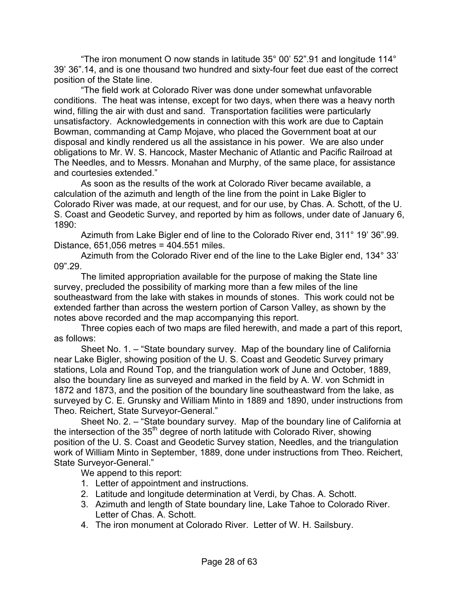"The iron monument O now stands in latitude 35° 00' 52".91 and longitude 114° 39' 36".14, and is one thousand two hundred and sixty-four feet due east of the correct position of the State line.

 "The field work at Colorado River was done under somewhat unfavorable conditions. The heat was intense, except for two days, when there was a heavy north wind, filling the air with dust and sand. Transportation facilities were particularly unsatisfactory. Acknowledgements in connection with this work are due to Captain Bowman, commanding at Camp Mojave, who placed the Government boat at our disposal and kindly rendered us all the assistance in his power. We are also under obligations to Mr. W. S. Hancock, Master Mechanic of Atlantic and Pacific Railroad at The Needles, and to Messrs. Monahan and Murphy, of the same place, for assistance and courtesies extended."

 As soon as the results of the work at Colorado River became available, a calculation of the azimuth and length of the line from the point in Lake Bigler to Colorado River was made, at our request, and for our use, by Chas. A. Schott, of the U. S. Coast and Geodetic Survey, and reported by him as follows, under date of January 6, 1890:

 Azimuth from Lake Bigler end of line to the Colorado River end, 311° 19' 36".99. Distance, 651,056 metres = 404.551 miles.

 Azimuth from the Colorado River end of the line to the Lake Bigler end, 134° 33' 09".29.

 The limited appropriation available for the purpose of making the State line survey, precluded the possibility of marking more than a few miles of the line southeastward from the lake with stakes in mounds of stones. This work could not be extended farther than across the western portion of Carson Valley, as shown by the notes above recorded and the map accompanying this report.

 Three copies each of two maps are filed herewith, and made a part of this report, as follows:

 Sheet No. 1. – "State boundary survey. Map of the boundary line of California near Lake Bigler, showing position of the U. S. Coast and Geodetic Survey primary stations, Lola and Round Top, and the triangulation work of June and October, 1889, also the boundary line as surveyed and marked in the field by A. W. von Schmidt in 1872 and 1873, and the position of the boundary line southeastward from the lake, as surveyed by C. E. Grunsky and William Minto in 1889 and 1890, under instructions from Theo. Reichert, State Surveyor-General."

 Sheet No. 2. – "State boundary survey. Map of the boundary line of California at the intersection of the 35<sup>th</sup> degree of north latitude with Colorado River, showing position of the U. S. Coast and Geodetic Survey station, Needles, and the triangulation work of William Minto in September, 1889, done under instructions from Theo. Reichert, State Surveyor-General."

We append to this report:

- 1. Letter of appointment and instructions.
- 2. Latitude and longitude determination at Verdi, by Chas. A. Schott.
- 3. Azimuth and length of State boundary line, Lake Tahoe to Colorado River. Letter of Chas. A. Schott.
- 4. The iron monument at Colorado River. Letter of W. H. Sailsbury.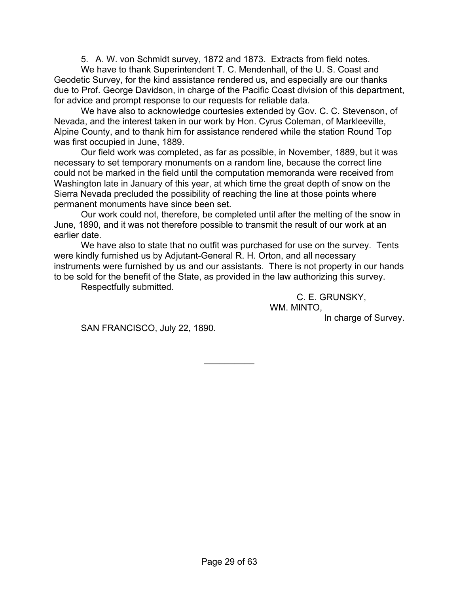5. A. W. von Schmidt survey, 1872 and 1873. Extracts from field notes.

We have to thank Superintendent T. C. Mendenhall, of the U. S. Coast and Geodetic Survey, for the kind assistance rendered us, and especially are our thanks due to Prof. George Davidson, in charge of the Pacific Coast division of this department, for advice and prompt response to our requests for reliable data.

 We have also to acknowledge courtesies extended by Gov. C. C. Stevenson, of Nevada, and the interest taken in our work by Hon. Cyrus Coleman, of Markleeville, Alpine County, and to thank him for assistance rendered while the station Round Top was first occupied in June, 1889.

 Our field work was completed, as far as possible, in November, 1889, but it was necessary to set temporary monuments on a random line, because the correct line could not be marked in the field until the computation memoranda were received from Washington late in January of this year, at which time the great depth of snow on the Sierra Nevada precluded the possibility of reaching the line at those points where permanent monuments have since been set.

 Our work could not, therefore, be completed until after the melting of the snow in June, 1890, and it was not therefore possible to transmit the result of our work at an earlier date.

 We have also to state that no outfit was purchased for use on the survey. Tents were kindly furnished us by Adjutant-General R. H. Orton, and all necessary instruments were furnished by us and our assistants. There is not property in our hands to be sold for the benefit of the State, as provided in the law authorizing this survey.

 $\frac{1}{2}$ 

Respectfully submitted.

C. E. GRUNSKY, WM. MINTO.

In charge of Survey.

SAN FRANCISCO, July 22, 1890.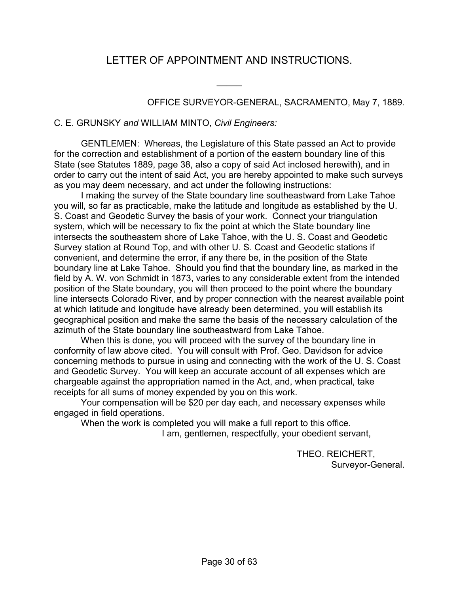## LETTER OF APPOINTMENT AND INSTRUCTIONS.

 $\overline{\phantom{a}}$ 

OFFICE SURVEYOR-GENERAL, SACRAMENTO, May 7, 1889.

### C. E. GRUNSKY *and* WILLIAM MINTO, *Civil Engineers:*

 GENTLEMEN: Whereas, the Legislature of this State passed an Act to provide for the correction and establishment of a portion of the eastern boundary line of this State (see Statutes 1889, page 38, also a copy of said Act inclosed herewith), and in order to carry out the intent of said Act, you are hereby appointed to make such surveys as you may deem necessary, and act under the following instructions:

 I making the survey of the State boundary line southeastward from Lake Tahoe you will, so far as practicable, make the latitude and longitude as established by the U. S. Coast and Geodetic Survey the basis of your work. Connect your triangulation system, which will be necessary to fix the point at which the State boundary line intersects the southeastern shore of Lake Tahoe, with the U. S. Coast and Geodetic Survey station at Round Top, and with other U. S. Coast and Geodetic stations if convenient, and determine the error, if any there be, in the position of the State boundary line at Lake Tahoe. Should you find that the boundary line, as marked in the field by A. W. von Schmidt in 1873, varies to any considerable extent from the intended position of the State boundary, you will then proceed to the point where the boundary line intersects Colorado River, and by proper connection with the nearest available point at which latitude and longitude have already been determined, you will establish its geographical position and make the same the basis of the necessary calculation of the azimuth of the State boundary line southeastward from Lake Tahoe.

 When this is done, you will proceed with the survey of the boundary line in conformity of law above cited. You will consult with Prof. Geo. Davidson for advice concerning methods to pursue in using and connecting with the work of the U. S. Coast and Geodetic Survey. You will keep an accurate account of all expenses which are chargeable against the appropriation named in the Act, and, when practical, take receipts for all sums of money expended by you on this work.

 Your compensation will be \$20 per day each, and necessary expenses while engaged in field operations.

When the work is completed you will make a full report to this office.

I am, gentlemen, respectfully, your obedient servant,

THEO. REICHERT, Surveyor-General.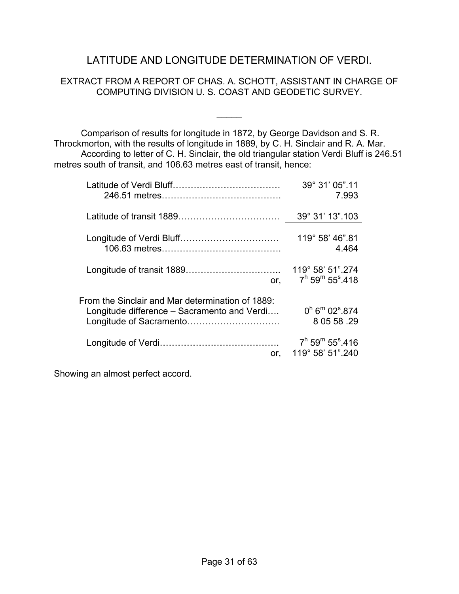### LATITUDE AND LONGITUDE DETERMINATION OF VERDI.

### EXTRACT FROM A REPORT OF CHAS. A. SCHOTT, ASSISTANT IN CHARGE OF COMPUTING DIVISION U. S. COAST AND GEODETIC SURVEY.

 $\frac{1}{2}$ 

 Comparison of results for longitude in 1872, by George Davidson and S. R. Throckmorton, with the results of longitude in 1889, by C. H. Sinclair and R. A. Mar. According to letter of C. H. Sinclair, the old triangular station Verdi Bluff is 246.51 metres south of transit, and 106.63 metres east of transit, hence:

|                                                                                                 | 39° 31' 05".11                                           |
|-------------------------------------------------------------------------------------------------|----------------------------------------------------------|
|                                                                                                 | 7.993                                                    |
|                                                                                                 | 39° 31' 13".103                                          |
|                                                                                                 | 119° 58' 46".81                                          |
|                                                                                                 | 4.464                                                    |
|                                                                                                 | 119° 58' 51".274                                         |
| or,                                                                                             | $7^h$ 59 <sup>m</sup> 55 <sup>s</sup> .418               |
| From the Sinclair and Mar determination of 1889:<br>Longitude difference – Sacramento and Verdi | $0^h$ 6 <sup>m</sup> 02 <sup>s</sup> .874<br>8 05 58 .29 |
|                                                                                                 | $7^h$ 59 <sup>m</sup> 55 <sup>s</sup> .416               |
| or.                                                                                             | 119° 58' 51".240                                         |

Showing an almost perfect accord.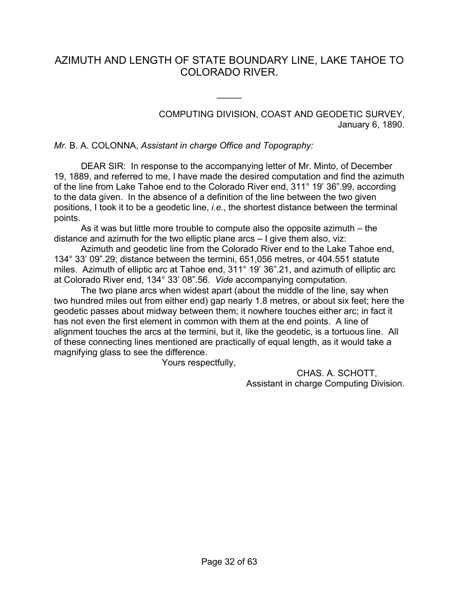### AZIMUTH AND LENGTH OF STATE BOUNDARY LINE, LAKE TAHOE TO COLORADO RIVER.

 $\overline{\phantom{a}}$ 

COMPUTING DIVISION, COAST AND GEODETIC SURVEY, January 6, 1890.

#### *Mr.* B. A. COLONNA, *Assistant in charge Office and Topography:*

 DEAR SIR: In response to the accompanying letter of Mr. Minto, of December 19, 1889, and referred to me, I have made the desired computation and find the azimuth of the line from Lake Tahoe end to the Colorado River end, 311° 19' 36".99, according to the data given. In the absence of a definition of the line between the two given positions, I took it to be a geodetic line, *i.e.*, the shortest distance between the terminal points.

 As it was but little more trouble to compute also the opposite azimuth – the distance and azimuth for the two elliptic plane arcs – I give them also, viz:

 Azimuth and geodetic line from the Colorado River end to the Lake Tahoe end, 134° 33' 09".29; distance between the termini, 651,056 metres, or 404.551 statute miles. Azimuth of elliptic arc at Tahoe end, 311° 19' 36".21, and azimuth of elliptic arc at Colorado River end, 134° 33' 08".56. *Vide* accompanying computation.

 The two plane arcs when widest apart (about the middle of the line, say when two hundred miles out from either end) gap nearly 1.8 metres, or about six feet; here the geodetic passes about midway between them; it nowhere touches either arc; in fact it has not even the first element in common with them at the end points. A line of alignment touches the arcs at the termini, but it, like the geodetic, is a tortuous line. All of these connecting lines mentioned are practically of equal length, as it would take a magnifying glass to see the difference.

Yours respectfully,

CHAS. A. SCHOTT, Assistant in charge Computing Division.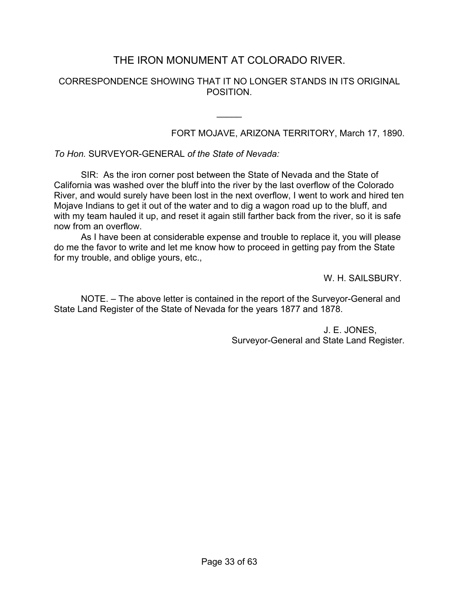### THE IRON MONUMENT AT COLORADO RIVER.

### CORRESPONDENCE SHOWING THAT IT NO LONGER STANDS IN ITS ORIGINAL POSITION.

 $\frac{1}{2}$ 

### FORT MOJAVE, ARIZONA TERRITORY, March 17, 1890.

*To Hon.* SURVEYOR-GENERAL *of the State of Nevada:*

 SIR: As the iron corner post between the State of Nevada and the State of California was washed over the bluff into the river by the last overflow of the Colorado River, and would surely have been lost in the next overflow, I went to work and hired ten Mojave Indians to get it out of the water and to dig a wagon road up to the bluff, and with my team hauled it up, and reset it again still farther back from the river, so it is safe now from an overflow.

 As I have been at considerable expense and trouble to replace it, you will please do me the favor to write and let me know how to proceed in getting pay from the State for my trouble, and oblige yours, etc.,

W. H. SAILSBURY.

 NOTE. – The above letter is contained in the report of the Surveyor-General and State Land Register of the State of Nevada for the years 1877 and 1878.

> J. E. JONES, Surveyor-General and State Land Register.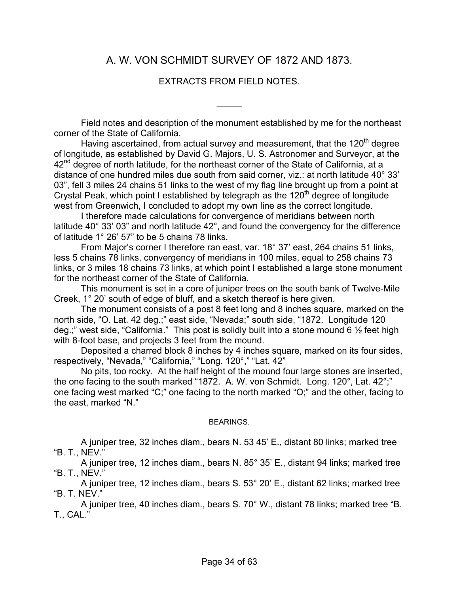### A. W. VON SCHMIDT SURVEY OF 1872 AND 1873.

### EXTRACTS FROM FIELD NOTES.

 $\frac{1}{2}$ 

 Field notes and description of the monument established by me for the northeast corner of the State of California.

Having ascertained, from actual survey and measurement, that the 120<sup>th</sup> degree of longitude, as established by David G. Majors, U. S. Astronomer and Surveyor, at the  $42<sup>nd</sup>$  degree of north latitude, for the northeast corner of the State of California, at a distance of one hundred miles due south from said corner, viz.: at north latitude 40° 33' 03", fell 3 miles 24 chains 51 links to the west of my flag line brought up from a point at Crystal Peak, which point I established by telegraph as the  $120<sup>th</sup>$  degree of longitude west from Greenwich, I concluded to adopt my own line as the correct longitude.

 I therefore made calculations for convergence of meridians between north latitude 40° 33' 03" and north latitude 42°, and found the convergency for the difference of latitude 1° 26' 57" to be 5 chains 78 links.

 From Major's corner I therefore ran east, var. 18° 37' east, 264 chains 51 links, less 5 chains 78 links, convergency of meridians in 100 miles, equal to 258 chains 73 links, or 3 miles 18 chains 73 links, at which point I established a large stone monument for the northeast corner of the State of California.

 This monument is set in a core of juniper trees on the south bank of Twelve-Mile Creek, 1° 20' south of edge of bluff, and a sketch thereof is here given.

 The monument consists of a post 8 feet long and 8 inches square, marked on the north side, "O. Lat. 42 deg.;" east side, "Nevada;" south side, "1872. Longitude 120 deg.;" west side, "California." This post is solidly built into a stone mound 6  $\frac{1}{2}$  feet high with 8-foot base, and projects 3 feet from the mound.

 Deposited a charred block 8 inches by 4 inches square, marked on its four sides, respectively, "Nevada," "California," "Long. 120°," "Lat. 42"

 No pits, too rocky. At the half height of the mound four large stones are inserted, the one facing to the south marked "1872. A. W. von Schmidt. Long. 120°, Lat. 42°;" one facing west marked "C;" one facing to the north marked "O;" and the other, facing to the east, marked "N."

#### BEARINGS.

 A juniper tree, 32 inches diam., bears N. 53 45' E., distant 80 links; marked tree "B. T., NEV."

 A juniper tree, 12 inches diam., bears N. 85° 35' E., distant 94 links; marked tree "B. T., NEV."

 A juniper tree, 12 inches diam., bears S. 53° 20' E., distant 62 links; marked tree "B. T. NEV."

 A juniper tree, 40 inches diam., bears S. 70° W., distant 78 links; marked tree "B. T., CAL."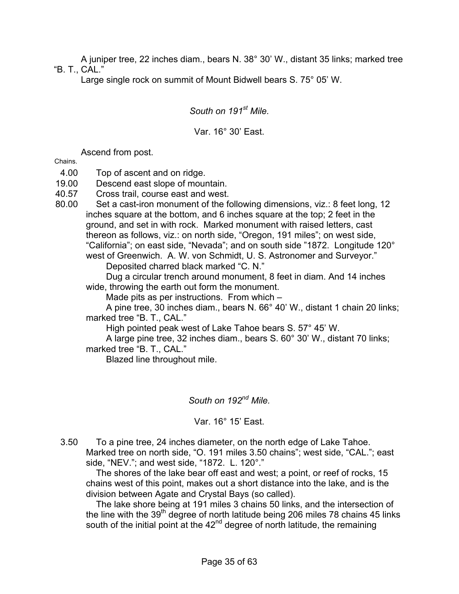A juniper tree, 22 inches diam., bears N. 38° 30' W., distant 35 links; marked tree "B. T., CAL."

Large single rock on summit of Mount Bidwell bears S. 75° 05' W.

*South on 191st Mile.*

### Var. 16° 30' East.

Ascend from post.

Chains.

- 4.00 Top of ascent and on ridge.
- 19.00 Descend east slope of mountain.
- 40.57 Cross trail, course east and west.
- 80.00 Set a cast-iron monument of the following dimensions, viz.: 8 feet long, 12 inches square at the bottom, and 6 inches square at the top; 2 feet in the ground, and set in with rock. Marked monument with raised letters, cast thereon as follows, viz.: on north side, "Oregon, 191 miles"; on west side, "California"; on east side, "Nevada"; and on south side "1872. Longitude 120° west of Greenwich. A. W. von Schmidt, U. S. Astronomer and Surveyor." Deposited charred black marked "C. N."

 Dug a circular trench around monument, 8 feet in diam. And 14 inches wide, throwing the earth out form the monument.

Made pits as per instructions. From which –

 A pine tree, 30 inches diam., bears N. 66° 40' W., distant 1 chain 20 links; marked tree "B. T., CAL."

High pointed peak west of Lake Tahoe bears S. 57° 45' W.

 A large pine tree, 32 inches diam., bears S. 60° 30' W., distant 70 links; marked tree "B. T., CAL."

Blazed line throughout mile.

*South on 192nd Mile.*

Var. 16° 15' East.

3.50 To a pine tree, 24 inches diameter, on the north edge of Lake Tahoe. Marked tree on north side, "O. 191 miles 3.50 chains"; west side, "CAL."; east side, "NEV."; and west side, "1872. L. 120°."

 The shores of the lake bear off east and west; a point, or reef of rocks, 15 chains west of this point, makes out a short distance into the lake, and is the division between Agate and Crystal Bays (so called).

 The lake shore being at 191 miles 3 chains 50 links, and the intersection of the line with the  $39<sup>th</sup>$  degree of north latitude being 206 miles 78 chains 45 links south of the initial point at the  $42<sup>nd</sup>$  degree of north latitude, the remaining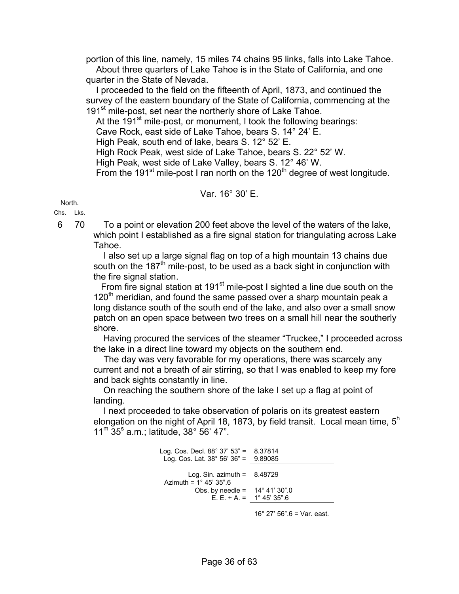portion of this line, namely, 15 miles 74 chains 95 links, falls into Lake Tahoe. About three quarters of Lake Tahoe is in the State of California, and one quarter in the State of Nevada.

 I proceeded to the field on the fifteenth of April, 1873, and continued the survey of the eastern boundary of the State of California, commencing at the 191<sup>st</sup> mile-post, set near the northerly shore of Lake Tahoe.

At the  $191<sup>st</sup>$  mile-post, or monument, I took the following bearings: Cave Rock, east side of Lake Tahoe, bears S. 14° 24' E. High Peak, south end of lake, bears S. 12° 52' E. High Rock Peak, west side of Lake Tahoe, bears S. 22° 52' W. High Peak, west side of Lake Valley, bears S. 12° 46' W. From the 191<sup>st</sup> mile-post I ran north on the 120<sup>th</sup> degree of west longitude.

### Var. 16° 30' E.

North.

Chs. Lks.

6 70 To a point or elevation 200 feet above the level of the waters of the lake, which point I established as a fire signal station for triangulating across Lake Tahoe.

 I also set up a large signal flag on top of a high mountain 13 chains due south on the 187<sup>th</sup> mile-post, to be used as a back sight in conjunction with the fire signal station.

From fire signal station at 191 $st$  mile-post I sighted a line due south on the  $120<sup>th</sup>$  meridian, and found the same passed over a sharp mountain peak a long distance south of the south end of the lake, and also over a small snow patch on an open space between two trees on a small hill near the southerly shore.

 Having procured the services of the steamer "Truckee," I proceeded across the lake in a direct line toward my objects on the southern end.

 The day was very favorable for my operations, there was scarcely any current and not a breath of air stirring, so that I was enabled to keep my fore and back sights constantly in line.

 On reaching the southern shore of the lake I set up a flag at point of landing.

 I next proceeded to take observation of polaris on its greatest eastern elongation on the night of April 18, 1873, by field transit. Local mean time,  $5<sup>h</sup>$  $11^{\rm m}$  35° a.m.; latitude, 38° 56' 47".

> Log. Cos. Decl. 88° 37' 53" = 8.37814 Log. Cos. Lat.  $38^{\circ}$  56'  $36^{\circ}$  = 9.89085 Log. Sin. azimuth =  $8.48729$ Azimuth =  $1^{\circ}$  45' 35".6 Obs. by needle =  $14^\circ 41' 30''.0$ E. E. + A. =  $1^{\circ} 45' 35''.6$

> > 16° 27' 56".6 = Var. east.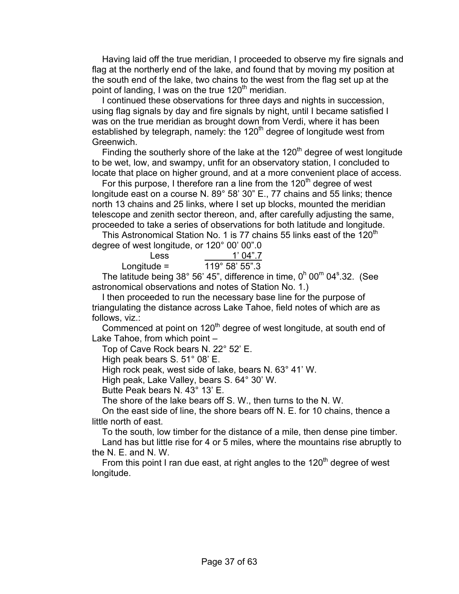Having laid off the true meridian, I proceeded to observe my fire signals and flag at the northerly end of the lake, and found that by moving my position at the south end of the lake, two chains to the west from the flag set up at the point of landing, I was on the true  $120<sup>th</sup>$  meridian.

 I continued these observations for three days and nights in succession, using flag signals by day and fire signals by night, until I became satisfied I was on the true meridian as brought down from Verdi, where it has been established by telegraph, namely: the  $120<sup>th</sup>$  degree of longitude west from Greenwich.

Finding the southerly shore of the lake at the  $120<sup>th</sup>$  degree of west longitude to be wet, low, and swampy, unfit for an observatory station, I concluded to locate that place on higher ground, and at a more convenient place of access.

For this purpose, I therefore ran a line from the  $120<sup>th</sup>$  degree of west longitude east on a course N. 89° 58' 30" E., 77 chains and 55 links; thence north 13 chains and 25 links, where I set up blocks, mounted the meridian telescope and zenith sector thereon, and, after carefully adjusting the same, proceeded to take a series of observations for both latitude and longitude.

This Astronomical Station No. 1 is 77 chains 55 links east of the  $120<sup>th</sup>$ degree of west longitude, or 120° 00' 00".0

| Less          | 1'04"7         |
|---------------|----------------|
| Longitude $=$ | 119° 58' 55".3 |

The latitude being  $38^{\circ}$  56' 45", difference in time, 0<sup>h</sup> 00<sup>m</sup> 04 $^{\circ}$ .32. (See astronomical observations and notes of Station No. 1.)

 I then proceeded to run the necessary base line for the purpose of triangulating the distance across Lake Tahoe, field notes of which are as follows, viz.:

Commenced at point on  $120<sup>th</sup>$  degree of west longitude, at south end of Lake Tahoe, from which point –

Top of Cave Rock bears N. 22° 52' E.

High peak bears S. 51° 08' E.

High rock peak, west side of lake, bears N. 63° 41' W.

High peak, Lake Valley, bears S. 64° 30' W.

Butte Peak bears N. 43° 13' E.

The shore of the lake bears off S. W., then turns to the N. W.

 On the east side of line, the shore bears off N. E. for 10 chains, thence a little north of east.

 To the south, low timber for the distance of a mile, then dense pine timber. Land has but little rise for 4 or 5 miles, where the mountains rise abruptly to the N. E. and N. W.

From this point I ran due east, at right angles to the  $120<sup>th</sup>$  degree of west longitude.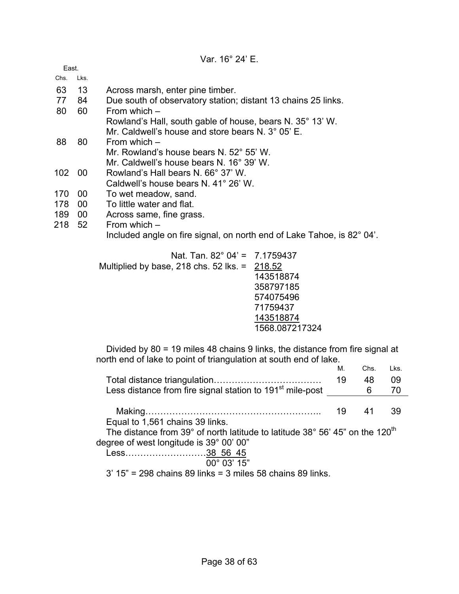| Var. 16° 24' E. |  |  |  |
|-----------------|--|--|--|
|-----------------|--|--|--|

| East.            |                 |                                                                        |
|------------------|-----------------|------------------------------------------------------------------------|
| Chs.             | Lks.            |                                                                        |
| 63               | 13              | Across marsh, enter pine timber.                                       |
| 77               | 84              | Due south of observatory station; distant 13 chains 25 links.          |
| 80               | 60              | From which $-$                                                         |
|                  |                 | Rowland's Hall, south gable of house, bears N. 35° 13' W.              |
|                  |                 | Mr. Caldwell's house and store bears N, $3^{\circ}$ 05' E.             |
| 88               | 80              | From which $-$                                                         |
|                  |                 | Mr. Rowland's house bears N. 52° 55' W.                                |
|                  |                 | Mr. Caldwell's house bears N. 16° 39' W.                               |
| 102 <sub>1</sub> | 00              | Rowland's Hall bears N, 66° 37' W.                                     |
|                  |                 | Caldwell's house bears N. 41° 26' W.                                   |
| 170              | 00              | To wet meadow, sand.                                                   |
| 178              | 00              | To little water and flat.                                              |
| 189              | 00 <sub>o</sub> | Across same, fine grass.                                               |
| 218              | 52              | From which $-$                                                         |
|                  |                 | Included angle on fire signal, on north end of Lake Tahoe, is 82° 04'. |
|                  |                 | Nat. Tan. $82^{\circ}$ 04' = 7.1759437                                 |
|                  |                 | Multiplied by base, 218 chs. $52$ lks. = 218.52                        |

| <u>Nal. Tall. 62 U4 = 7.1739437</u>             |                |
|-------------------------------------------------|----------------|
| Multiplied by base, 218 chs. $52$ lks. = 218.52 |                |
|                                                 | 143518874      |
|                                                 | 358797185      |
|                                                 | 574075496      |
|                                                 | 71759437       |
|                                                 | 143518874      |
|                                                 | 1568.087217324 |
|                                                 |                |

 Divided by 80 = 19 miles 48 chains 9 links, the distance from fire signal at north end of lake to point of triangulation at south end of lake.

|                                                                                          | М. | Chs. | Lks. |
|------------------------------------------------------------------------------------------|----|------|------|
|                                                                                          | 19 | 48   | 09   |
| Less distance from fire signal station to 191 <sup>st</sup> mile-post                    |    | 6    | 70   |
|                                                                                          |    |      |      |
|                                                                                          | 19 | 41   | 39   |
| Equal to 1,561 chains 39 links.                                                          |    |      |      |
| The distance from 39° of north latitude to latitude 38° 56' 45" on the 120 <sup>th</sup> |    |      |      |
| degree of west longitude is 39° 00' 00"                                                  |    |      |      |
| Less38 56 45                                                                             |    |      |      |
| $00^{\circ}$ 03' 15"                                                                     |    |      |      |
| 3' 15" = 298 chains 89 links = 3 miles 58 chains 89 links.                               |    |      |      |
|                                                                                          |    |      |      |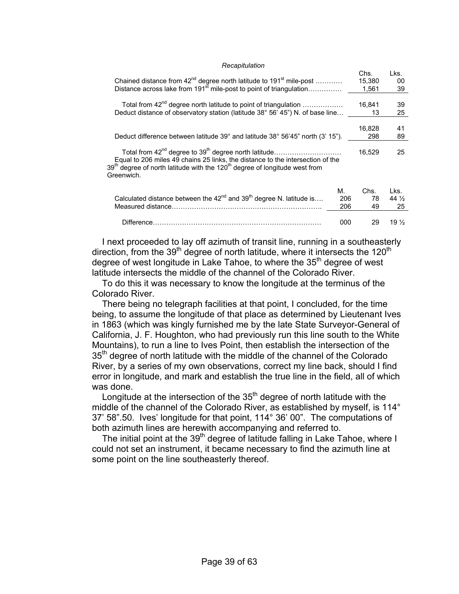#### *Recapitulation*

|                                                                                                                                                                                                                                                                                    |     | Chs.<br>15,380 | Lks.<br>00       |  |
|------------------------------------------------------------------------------------------------------------------------------------------------------------------------------------------------------------------------------------------------------------------------------------|-----|----------------|------------------|--|
| Chained distance from 42 <sup>nd</sup> degree north latitude to 191 <sup>st</sup> mile-post<br>Distance across lake from 191 <sup>st</sup> mile-post to point of triangulation                                                                                                     |     | 1,561          | 39               |  |
| Total from 42 <sup>nd</sup> degree north latitude to point of triangulation                                                                                                                                                                                                        |     | 16,841         | 39               |  |
| Deduct distance of observatory station (latitude 38° 56' 45") N. of base line                                                                                                                                                                                                      |     | 13             | 25               |  |
|                                                                                                                                                                                                                                                                                    |     |                |                  |  |
| Deduct difference between latitude 39° and latitude 38° 56'45" north (3' 15").                                                                                                                                                                                                     |     | 16,828<br>298  | 41<br>89         |  |
|                                                                                                                                                                                                                                                                                    |     |                |                  |  |
| Total from 42 <sup>nd</sup> degree to 39 <sup>th</sup> degree north latitude<br>Equal to 206 miles 49 chains 25 links, the distance to the intersection of the<br>39 <sup>th</sup> degree of north latitude with the 120 <sup>th</sup> degree of longitude west from<br>Greenwich. |     | 16.529         | 25               |  |
|                                                                                                                                                                                                                                                                                    |     |                |                  |  |
|                                                                                                                                                                                                                                                                                    | М.  | Chs.           | Lks.             |  |
| Calculated distance between the $42^{nd}$ and 39 <sup>th</sup> degree N. latitude is                                                                                                                                                                                               | 206 | 78             | 44 $\frac{1}{2}$ |  |
|                                                                                                                                                                                                                                                                                    | 206 | 49             | 25               |  |
| Difference.                                                                                                                                                                                                                                                                        | 000 | 29             | 19 $\frac{1}{2}$ |  |
|                                                                                                                                                                                                                                                                                    |     |                |                  |  |

 I next proceeded to lay off azimuth of transit line, running in a southeasterly direction, from the 39<sup>th</sup> degree of north latitude, where it intersects the 120<sup>th</sup> degree of west longitude in Lake Tahoe, to where the  $35<sup>th</sup>$  degree of west latitude intersects the middle of the channel of the Colorado River.

 To do this it was necessary to know the longitude at the terminus of the Colorado River.

 There being no telegraph facilities at that point, I concluded, for the time being, to assume the longitude of that place as determined by Lieutenant Ives in 1863 (which was kingly furnished me by the late State Surveyor-General of California, J. F. Houghton, who had previously run this line south to the White Mountains), to run a line to Ives Point, then establish the intersection of the  $35<sup>th</sup>$  degree of north latitude with the middle of the channel of the Colorado River, by a series of my own observations, correct my line back, should I find error in longitude, and mark and establish the true line in the field, all of which was done.

Longitude at the intersection of the  $35<sup>th</sup>$  degree of north latitude with the middle of the channel of the Colorado River, as established by myself, is 114° 37' 58".50. Ives' longitude for that point, 114° 36' 00". The computations of both azimuth lines are herewith accompanying and referred to.

The initial point at the 39<sup>th</sup> degree of latitude falling in Lake Tahoe, where I could not set an instrument, it became necessary to find the azimuth line at some point on the line southeasterly thereof.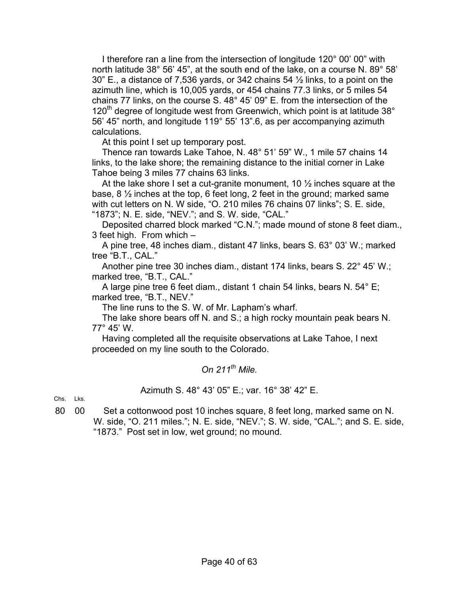I therefore ran a line from the intersection of longitude 120° 00' 00" with north latitude 38° 56' 45", at the south end of the lake, on a course N. 89° 58' 30" E., a distance of 7,536 yards, or 342 chains 54 ½ links, to a point on the azimuth line, which is 10,005 yards, or 454 chains 77.3 links, or 5 miles 54 chains 77 links, on the course S. 48° 45' 09" E. from the intersection of the  $120<sup>th</sup>$  degree of longitude west from Greenwich, which point is at latitude 38 $^{\circ}$ 56' 45" north, and longitude 119° 55' 13".6, as per accompanying azimuth calculations.

At this point I set up temporary post.

 Thence ran towards Lake Tahoe, N. 48° 51' 59" W., 1 mile 57 chains 14 links, to the lake shore; the remaining distance to the initial corner in Lake Tahoe being 3 miles 77 chains 63 links.

At the lake shore I set a cut-granite monument, 10  $\frac{1}{2}$  inches square at the base, 8 ½ inches at the top, 6 feet long, 2 feet in the ground; marked same with cut letters on N. W side, "O. 210 miles 76 chains 07 links"; S. E. side, "1873"; N. E. side, "NEV."; and S. W. side, "CAL."

 Deposited charred block marked "C.N."; made mound of stone 8 feet diam., 3 feet high. From which –

 A pine tree, 48 inches diam., distant 47 links, bears S. 63° 03' W.; marked tree "B.T., CAL."

 Another pine tree 30 inches diam., distant 174 links, bears S. 22° 45' W.; marked tree, "B.T., CAL."

 A large pine tree 6 feet diam., distant 1 chain 54 links, bears N. 54° E; marked tree, "B.T., NEV."

The line runs to the S. W. of Mr. Lapham's wharf.

 The lake shore bears off N. and S.; a high rocky mountain peak bears N. 77° 45' W.

 Having completed all the requisite observations at Lake Tahoe, I next proceeded on my line south to the Colorado.

*On 211th Mile.*

Azimuth S. 48° 43' 05" E.; var. 16° 38' 42" E.

Chs. Lks.

80 00 Set a cottonwood post 10 inches square, 8 feet long, marked same on N. W. side, "O. 211 miles."; N. E. side, "NEV."; S. W. side, "CAL."; and S. E. side, "1873." Post set in low, wet ground; no mound.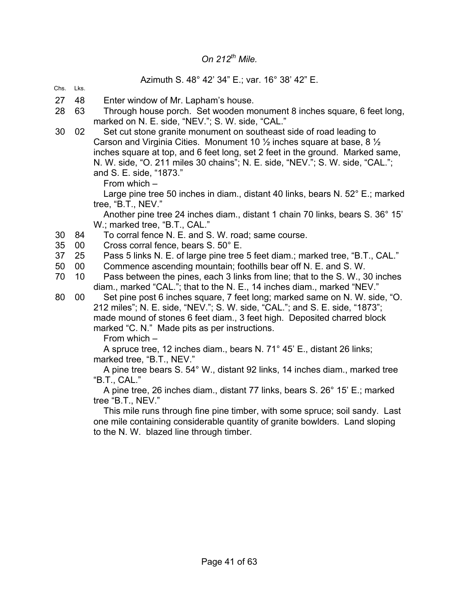### *On 212th Mile.*

#### Azimuth S. 48° 42' 34" E.; var. 16° 38' 42" E.

#### Chs. Lks.

- 27 48 Enter window of Mr. Lapham's house.
- 28 63 Through house porch. Set wooden monument 8 inches square, 6 feet long, marked on N. E. side, "NEV."; S. W. side, "CAL."
- 30 02 Set cut stone granite monument on southeast side of road leading to Carson and Virginia Cities. Monument 10 ½ inches square at base, 8 ½ inches square at top, and 6 feet long, set 2 feet in the ground. Marked same, N. W. side, "O. 211 miles 30 chains"; N. E. side, "NEV."; S. W. side, "CAL."; and S. E. side, "1873."

From which –

 Large pine tree 50 inches in diam., distant 40 links, bears N. 52° E.; marked tree, "B.T., NEV."

 Another pine tree 24 inches diam., distant 1 chain 70 links, bears S. 36° 15' W.; marked tree, "B.T., CAL."

- 30 84 To corral fence N. E. and S. W. road; same course.
- 35 00 Cross corral fence, bears S. 50° E.
- 37 25 Pass 5 links N. E. of large pine tree 5 feet diam.; marked tree, "B.T., CAL."
- 50 00 Commence ascending mountain; foothills bear off N. E. and S. W.
- 70 10 Pass between the pines, each 3 links from line; that to the S. W., 30 inches diam., marked "CAL."; that to the N. E., 14 inches diam., marked "NEV."

80 00 Set pine post 6 inches square, 7 feet long; marked same on N. W. side, "O.

212 miles"; N. E. side, "NEV."; S. W. side, "CAL."; and S. E. side, "1873"; made mound of stones 6 feet diam., 3 feet high. Deposited charred block marked "C. N." Made pits as per instructions.

From which –

 A spruce tree, 12 inches diam., bears N. 71° 45' E., distant 26 links; marked tree, "B.T., NEV."

 A pine tree bears S. 54° W., distant 92 links, 14 inches diam., marked tree "B.T., CAL."

 A pine tree, 26 inches diam., distant 77 links, bears S. 26° 15' E.; marked tree "B.T., NEV."

 This mile runs through fine pine timber, with some spruce; soil sandy. Last one mile containing considerable quantity of granite bowlders. Land sloping to the N. W. blazed line through timber.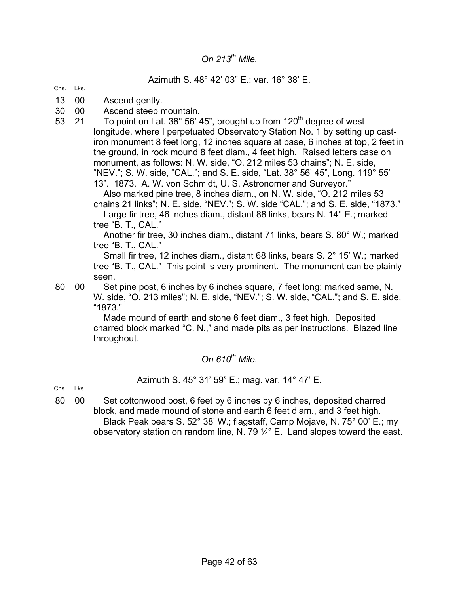### *On 213th Mile.*

#### Azimuth S. 48° 42' 03" E.; var. 16° 38' E.

- Chs. Lks.
- 13 00 Ascend gently.
- 30 00 Ascend steep mountain.
- 53 21 To point on Lat.  $38^{\circ}$  56' 45", brought up from  $120^{th}$  degree of west longitude, where I perpetuated Observatory Station No. 1 by setting up castiron monument 8 feet long, 12 inches square at base, 6 inches at top, 2 feet in the ground, in rock mound 8 feet diam., 4 feet high. Raised letters case on monument, as follows: N. W. side, "O. 212 miles 53 chains"; N. E. side, "NEV."; S. W. side, "CAL."; and S. E. side, "Lat. 38° 56' 45", Long. 119° 55' 13". 1873. A. W. von Schmidt, U. S. Astronomer and Surveyor."

 Also marked pine tree, 8 inches diam., on N. W. side, "O. 212 miles 53 chains 21 links"; N. E. side, "NEV."; S. W. side "CAL."; and S. E. side, "1873."

 Large fir tree, 46 inches diam., distant 88 links, bears N. 14° E.; marked tree "B. T., CAL."

 Another fir tree, 30 inches diam., distant 71 links, bears S. 80° W.; marked tree "B. T., CAL."

 Small fir tree, 12 inches diam., distant 68 links, bears S. 2° 15' W.; marked tree "B. T., CAL." This point is very prominent. The monument can be plainly seen.

80 00 Set pine post, 6 inches by 6 inches square, 7 feet long; marked same, N. W. side, "O. 213 miles"; N. E. side, "NEV."; S. W. side, "CAL."; and S. E. side, "1873."

 Made mound of earth and stone 6 feet diam., 3 feet high. Deposited charred block marked "C. N.," and made pits as per instructions. Blazed line throughout.

### On  $610^{th}$  Mile.

#### Azimuth S. 45° 31' 59" E.; mag. var. 14° 47' E.

Chs. Lks.

80 00 Set cottonwood post, 6 feet by 6 inches by 6 inches, deposited charred block, and made mound of stone and earth 6 feet diam., and 3 feet high. Black Peak bears S. 52° 38' W.; flagstaff, Camp Mojave, N. 75° 00' E.; my observatory station on random line, N. 79  $\frac{1}{4}$ ° E. Land slopes toward the east.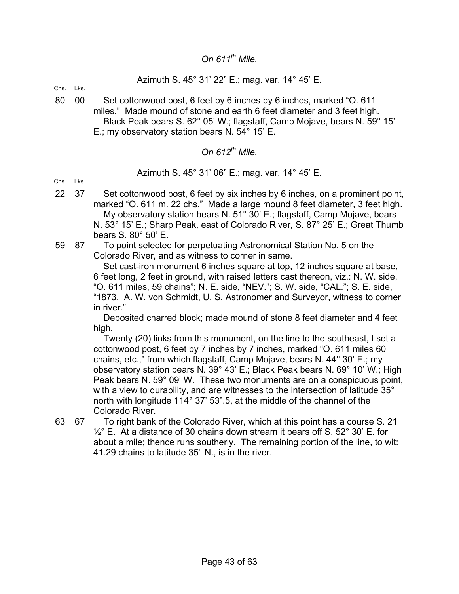### *On 611th Mile.*

### Azimuth S. 45° 31' 22" E.; mag. var. 14° 45' E.

Chs. Lks.

80 00 Set cottonwood post, 6 feet by 6 inches by 6 inches, marked "O. 611 miles." Made mound of stone and earth 6 feet diameter and 3 feet high. Black Peak bears S. 62° 05' W.; flagstaff, Camp Mojave, bears N. 59° 15' E.; my observatory station bears N. 54° 15' E.

*On 612th Mile.*

Azimuth S. 45° 31' 06" E.; mag. var. 14° 45' E.

Chs. Lks.

- 22 37 Set cottonwood post, 6 feet by six inches by 6 inches, on a prominent point, marked "O. 611 m. 22 chs." Made a large mound 8 feet diameter, 3 feet high. My observatory station bears N. 51° 30' E.; flagstaff, Camp Mojave, bears N. 53° 15' E.; Sharp Peak, east of Colorado River, S. 87° 25' E.; Great Thumb bears S. 80° 50' E.
- 59 87 To point selected for perpetuating Astronomical Station No. 5 on the Colorado River, and as witness to corner in same.

 Set cast-iron monument 6 inches square at top, 12 inches square at base, 6 feet long, 2 feet in ground, with raised letters cast thereon, viz.: N. W. side, "O. 611 miles, 59 chains"; N. E. side, "NEV."; S. W. side, "CAL."; S. E. side, "1873. A. W. von Schmidt, U. S. Astronomer and Surveyor, witness to corner in river."

 Deposited charred block; made mound of stone 8 feet diameter and 4 feet high.

 Twenty (20) links from this monument, on the line to the southeast, I set a cottonwood post, 6 feet by 7 inches by 7 inches, marked "O. 611 miles 60 chains, etc.," from which flagstaff, Camp Mojave, bears N. 44° 30' E.; my observatory station bears N. 39° 43' E.; Black Peak bears N. 69° 10' W.; High Peak bears N. 59° 09' W. These two monuments are on a conspicuous point, with a view to durability, and are witnesses to the intersection of latitude 35<sup>o</sup> north with longitude 114° 37' 53".5, at the middle of the channel of the Colorado River.

63 67 To right bank of the Colorado River, which at this point has a course S. 21  $\frac{1}{2}$ ° E. At a distance of 30 chains down stream it bears off S. 52° 30' E. for about a mile; thence runs southerly. The remaining portion of the line, to wit: 41.29 chains to latitude 35° N., is in the river.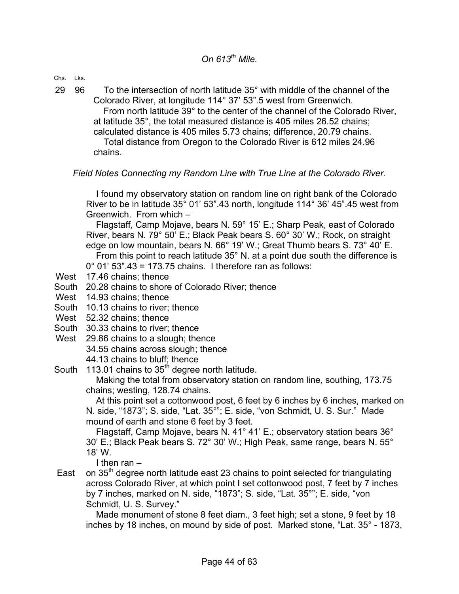Chs. Lks.

29 96 To the intersection of north latitude 35° with middle of the channel of the Colorado River, at longitude 114° 37' 53".5 west from Greenwich. From north latitude 39° to the center of the channel of the Colorado River, at latitude 35°, the total measured distance is 405 miles 26.52 chains; calculated distance is 405 miles 5.73 chains; difference, 20.79 chains. Total distance from Oregon to the Colorado River is 612 miles 24.96

chains.

#### *Field Notes Connecting my Random Line with True Line at the Colorado River.*

 I found my observatory station on random line on right bank of the Colorado River to be in latitude 35° 01' 53".43 north, longitude 114° 36' 45".45 west from Greenwich. From which –

 Flagstaff, Camp Mojave, bears N. 59° 15' E.; Sharp Peak, east of Colorado River, bears N. 79° 50' E.; Black Peak bears S. 60° 30' W.; Rock, on straight edge on low mountain, bears N. 66° 19' W.; Great Thumb bears S. 73° 40' E. From this point to reach latitude 35° N. at a point due south the difference is

 $0^{\circ}$  01' 53".43 = 173.75 chains. I therefore ran as follows:

- West 17.46 chains; thence
- South 20.28 chains to shore of Colorado River; thence
- West 14.93 chains; thence
- South 10.13 chains to river; thence
- West 52.32 chains; thence
- South 30.33 chains to river; thence
- West 29.86 chains to a slough; thence
	- 34.55 chains across slough; thence
	- 44.13 chains to bluff; thence

South 113.01 chains to  $35<sup>th</sup>$  degree north latitude.

 Making the total from observatory station on random line, southing, 173.75 chains; westing, 128.74 chains.

 At this point set a cottonwood post, 6 feet by 6 inches by 6 inches, marked on N. side, "1873"; S. side, "Lat. 35°"; E. side, "von Schmidt, U. S. Sur." Made mound of earth and stone 6 feet by 3 feet.

 Flagstaff, Camp Mojave, bears N. 41° 41' E.; observatory station bears 36° 30' E.; Black Peak bears S. 72° 30' W.; High Peak, same range, bears N. 55° 18' W.

I then ran –

East on  $35<sup>th</sup>$  degree north latitude east 23 chains to point selected for triangulating across Colorado River, at which point I set cottonwood post, 7 feet by 7 inches by 7 inches, marked on N. side, "1873"; S. side, "Lat. 35°"; E. side, "von Schmidt, U. S. Survey."

 Made monument of stone 8 feet diam., 3 feet high; set a stone, 9 feet by 18 inches by 18 inches, on mound by side of post. Marked stone, "Lat. 35° - 1873,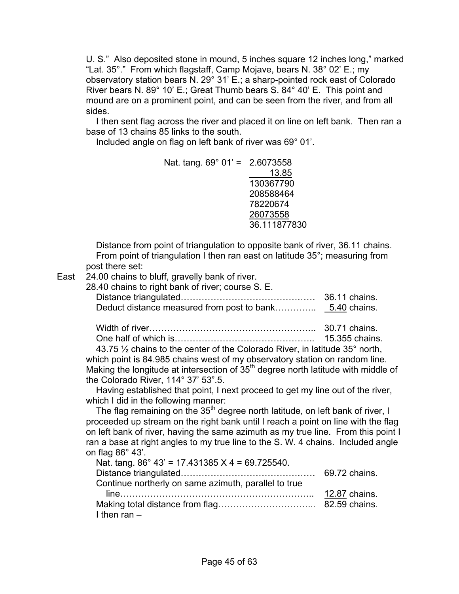U. S." Also deposited stone in mound, 5 inches square 12 inches long," marked "Lat. 35°." From which flagstaff, Camp Mojave, bears N. 38° 02' E.; my observatory station bears N. 29° 31' E.; a sharp-pointed rock east of Colorado River bears N. 89° 10' E.; Great Thumb bears S. 84° 40' E. This point and mound are on a prominent point, and can be seen from the river, and from all sides.

 I then sent flag across the river and placed it on line on left bank. Then ran a base of 13 chains 85 links to the south.

Included angle on flag on left bank of river was 69° 01'.

| Nat. tang. $69^{\circ}$ 01' = 2.6073558 |              |
|-----------------------------------------|--------------|
|                                         | 13.85        |
|                                         | 130367790    |
|                                         | 208588464    |
|                                         | 78220674     |
|                                         | 26073558     |
|                                         | 36.111877830 |

 Distance from point of triangulation to opposite bank of river, 36.11 chains. From point of triangulation I then ran east on latitude 35°; measuring from post there set:

East 24.00 chains to bluff, gravelly bank of river.

| 28.40 chains to right bank of river; course S. E. |               |
|---------------------------------------------------|---------------|
|                                                   | 36.11 chains. |
|                                                   |               |

 Width of river……………………………………………….. 30.71 chains. One half of which is……………………………………….. 15.355 chains.

43.75  $\frac{1}{2}$  chains to the center of the Colorado River, in latitude 35 $^{\circ}$  north, which point is 84.985 chains west of my observatory station on random line. Making the longitude at intersection of 35<sup>th</sup> degree north latitude with middle of the Colorado River, 114° 37' 53".5.

 Having established that point, I next proceed to get my line out of the river, which I did in the following manner:

The flag remaining on the 35<sup>th</sup> degree north latitude, on left bank of river, I proceeded up stream on the right bank until I reach a point on line with the flag on left bank of river, having the same azimuth as my true line. From this point I ran a base at right angles to my true line to the S. W. 4 chains. Included angle on flag 86° 43'.

| Nat. tang. $86^{\circ}$ 43' = 17.431385 X 4 = 69.725540. |  |
|----------------------------------------------------------|--|
|                                                          |  |
| Continue northerly on same azimuth, parallel to true     |  |
|                                                          |  |
|                                                          |  |
| I then $ran -$                                           |  |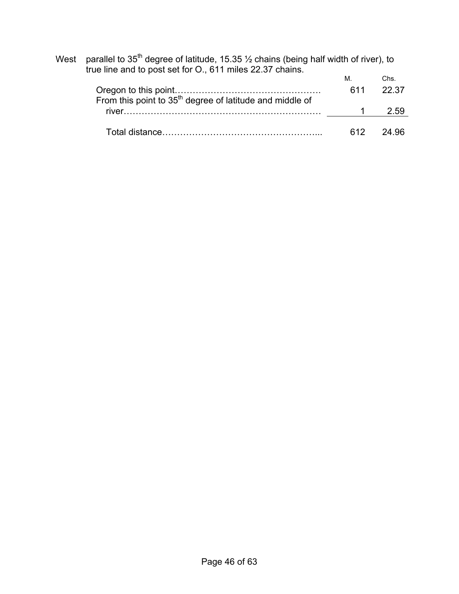| parallel to 35 <sup>th</sup> degree of latitude, 15.35 $\frac{1}{2}$ chains (being half width of river), to<br>West<br>true line and to post set for O., 611 miles 22.37 chains. |     |       |  |
|----------------------------------------------------------------------------------------------------------------------------------------------------------------------------------|-----|-------|--|
|                                                                                                                                                                                  | М.  | Chs.  |  |
| From this point to 35 <sup>th</sup> degree of latitude and middle of                                                                                                             | 611 | 22.37 |  |
| river                                                                                                                                                                            |     | 2.59  |  |
|                                                                                                                                                                                  | 612 |       |  |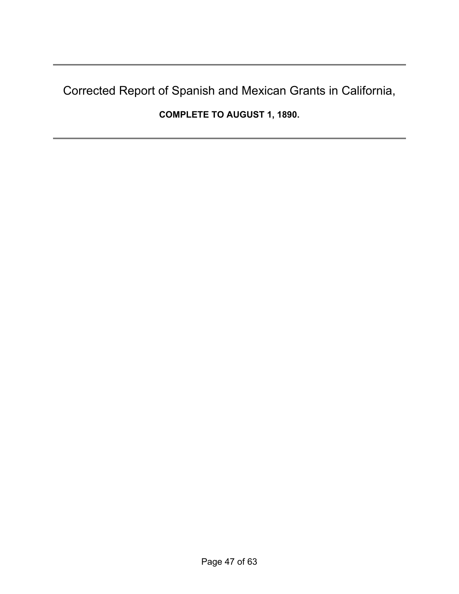# Corrected Report of Spanish and Mexican Grants in California,

**COMPLETE TO AUGUST 1, 1890.**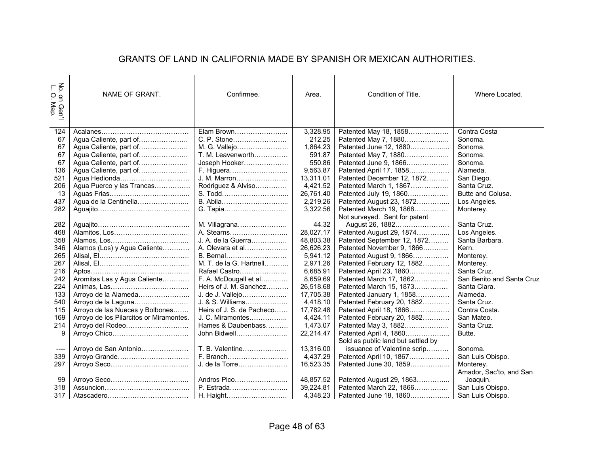### GRANTS OF LAND IN CALIFORNIA MADE BY SPANISH OR MEXICAN AUTHORITIES.

| ž ¬<br>. on Gen'l<br>O. Map. | NAME OF GRANT.                          | Confirmee.                | Area.     | Condition of Title.                | Where Located.            |
|------------------------------|-----------------------------------------|---------------------------|-----------|------------------------------------|---------------------------|
| 124                          |                                         | Elam Brown                | 3,328.95  | Patented May 18, 1858              | Contra Costa              |
| 67                           | Agua Caliente, part of                  | C. P. Stone               | 212.25    | Patented May 7, 1880               | Sonoma.                   |
| 67                           | Agua Caliente, part of                  | M. G. Vallejo             | 1,864.23  | Patented June 12, 1880             | Sonoma.                   |
| 67                           | Agua Caliente, part of                  | T. M. Leavenworth         | 591.87    | Patented May 7, 1880               | Sonoma.                   |
| 67                           | Agua Caliente, part of                  | Joseph Hooker             | 550.86    | Patented June 9, 1866              | Sonoma.                   |
| 136                          | Agua Caliente, part of                  | F. Higuera                | 9,563.87  | Patented April 17, 1858            | Alameda.                  |
| 521                          | Agua Hedionda                           | J. M. Marron              | 13,311.01 | Patented December 12, 1872         | San Diego.                |
| 206                          | Agua Puerco y las Trancas               | Rodriguez & Alviso        | 4,421.52  | Patented March 1, 1867             | Santa Cruz.               |
| 13                           |                                         | S. Todd                   | 26,761.40 | Patented July 19, 1860             | Butte and Colusa.         |
| 437                          | Agua de la Centinella                   | B. Abila                  | 2,219.26  | Patented August 23, 1872           | Los Angeles.              |
| 282                          |                                         | G. Tapia                  | 3,322.56  | Patented March 19, 1868            | Monterey.                 |
|                              |                                         |                           |           | Not surveyed. Sent for patent      |                           |
| 282                          |                                         | M. Villagrana             | 44.32     | August 26, 1882                    | Santa Cruz.               |
| 468                          | Alamitos, Los                           | A. Stearns                | 28,027.17 | Patented August 29, 1874           | Los Angeles.              |
| 358                          |                                         | J. A. de la Guerra        | 48,803.38 | Patented September 12, 1872        | Santa Barbara.            |
| 346                          | Alamos (Los) y Agua Caliente            | A. Olevara et al          | 26,626.23 | Patented November 9, 1866          | Kern.                     |
| 265                          |                                         | B. Bernal                 | 5,941.12  | Patented August 9, 1866            | Monterey.                 |
| 267                          |                                         | M. T. de la G. Hartnell   | 2,971.26  | Patented February 12, 1882         | Monterey.                 |
| 216                          |                                         | Rafael Castro             | 6,685.91  | Patented April 23, 1860            | Santa Cruz.               |
| 242                          | Aromitas Las y Agua Caliente            | F. A. McDougall et al     | 8,659.69  | Patented March 17, 1862            | San Benito and Santa Cruz |
| 224                          |                                         | Heirs of J. M. Sanchez    | 26,518.68 | Patented March 15, 1873            | Santa Clara.              |
| 133                          | Arroyo de la Alameda                    | J. de J. Vallejo          | 17,705.38 | Patented January 1, 1858           | Alameda.                  |
| 540                          | Arroyo de la Laguna                     | J. & S. Williams          | 4,418.10  | Patented February 20, 1882         | Santa Cruz.               |
| 115                          | Arroyo de las Nueces y Bolbones         | Heirs of J. S. de Pacheco | 17,782.48 | Patented April 18, 1866            | Contra Costa.             |
| 169                          | Arroyo de los Pilarcitos or Miramontes. | J. C. Miramontes          | 4,424.11  | Patented February 20, 1882         | San Mateo.                |
| 214                          | Arroyo del Rodeo                        | Hames & Daubenbass        | 1,473.07  | Patented May 3, 1882               | Santa Cruz.               |
| 9                            |                                         | John Bidwell              | 22,214.47 | Patented April 4, 1860             | Butte.                    |
|                              |                                         |                           |           | Sold as public land but settled by |                           |
| ----                         | Arroyo de San Antonio                   | T. B. Valentine           | 13,316.00 | issuance of Valentine scrip        | Sonoma.                   |
| 339                          |                                         | F. Branch                 | 4,437.29  | Patented April 10, 1867            | San Luis Obispo.          |
| 297                          |                                         | J. de la Torre            | 16,523.35 | Patented June 30, 1859             | Monterey.                 |
|                              |                                         |                           |           |                                    | Amador, Sac'to, and San   |
| 99                           |                                         | Andros Pico               | 48,857.52 | Patented August 29, 1863           | Joaquin.                  |
| 318                          |                                         | P. Estrada                | 39,224.81 | Patented March 22, 1866            | San Luis Obispo.          |
| 317                          |                                         | H. Haight                 | 4,348.23  | Patented June 18, 1860             | San Luis Obispo.          |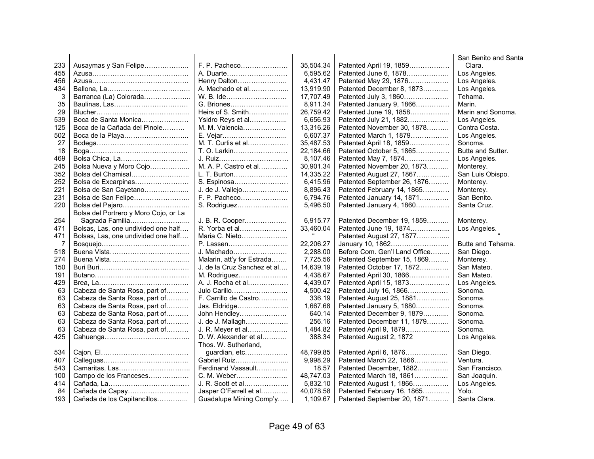|     |                                       |                             |           |                               | San Benito and Santa |
|-----|---------------------------------------|-----------------------------|-----------|-------------------------------|----------------------|
| 233 | Ausaymas y San Felipe                 | F. P. Pacheco               | 35,504.34 | Patented April 19, 1859       | Clara.               |
| 455 |                                       | A. Duarte                   | 6,595.62  | Patented June 6, 1878         | Los Angeles.         |
| 456 |                                       | Henry Dalton                | 4,431.47  | Patented May 29, 1876         | Los Angeles.         |
| 434 |                                       | A. Machado et al            | 13,919.90 | Patented December 8, 1873     | Los Angeles.         |
| 3   | Barranca (La) Colorada                | W. B. Ide                   | 17,707.49 | Patented July 3, 1860         | Tehama.              |
| 35  |                                       | G. Briones                  | 8,911.34  | Patented January 9, 1866      | Marin.               |
| 29  |                                       | Heirs of S. Smith           | 26.759.42 | Patented June 19, 1858        | Marin and Sonoma.    |
| 539 | Boca de Santa Monica                  | Ysidro Reys et al           | 6,656.93  | Patented July 21, 1882        | Los Angeles.         |
| 125 | Boca de la Cañada del Pinole          | M. M. Valencia              | 13,316.26 | Patented November 30, 1878    | Contra Costa.        |
| 502 | Boca de la Playa                      | E. Vejar                    | 6,607.37  | Patented March 1, 1879        | Los Angeles.         |
| 27  |                                       | M. T. Curtis et al          | 35,487.53 | Patented April 18, 1859       | Sonoma.              |
| 18  |                                       | T. O. Larkin                | 22,184.66 | Patented October 5, 1865      | Butte and Sutter.    |
| 469 |                                       | J. Ruiz                     | 8,107.46  | Patented May 7, 1874          | Los Angeles.         |
| 245 | Bolsa Nueva y Moro Cojo               | M. A. P. Castro et al       | 30,901.34 | Patented November 20, 1873    | Monterey.            |
| 352 | Bolsa del Chamisal                    | L. T. Burton                | 14,335.22 | Patented August 27, 1867      | San Luis Obispo.     |
| 252 | Bolsa de Excarpinas                   | S. Espinosa                 | 6,415.96  | Patented September 26, 1876   | Monterey.            |
| 221 | Bolsa de San Cayetano                 | J. de J. Vallejo            | 8,896.43  | Patented February 14, 1865    | Monterey.            |
| 231 | Bolsa de San Felipe                   | F. P. Pacheco               | 6,794.76  | Patented January 14, 1871     | San Benito.          |
| 220 | Bolsa del Pajaro                      | S. Rodriguez                | 5,496.50  | Patented January 4, 1860      | Santa Cruz.          |
|     | Bolsa del Portrero y Moro Cojo, or La |                             |           |                               |                      |
| 254 | Sagrada Familia                       | J. B. R. Cooper             | 6,915.77  | Patented December 19, 1859    | Monterey.            |
| 471 | Bolsas, Las, one undivided one half   | R. Yorba et al              | 33,460.04 | Patented June 19, 1874        | Los Angeles.         |
| 471 | Bolsas, Las, one undivided one half   | Maria C. Nieto              |           | Patented August 27, 1877      |                      |
| 7   |                                       | P. Lassen                   | 22,206.27 | January 10, 1862              | Butte and Tehama.    |
| 518 |                                       | J. Machado                  | 2,288.00  | Before Com. Gen'l Land Office | San Diego.           |
| 274 |                                       | Malarin, att'y for Estrada  | 7,725.56  | Patented September 15, 1869   | Monterey.            |
| 150 |                                       | J. de la Cruz Sanchez et al | 14,639.19 | Patented October 17, 1872     | San Mateo.           |
| 191 |                                       | M. Rodriguez                | 4,438.67  | Patented April 30, 1866       | San Mateo.           |
| 429 |                                       | A. J. Rocha et al           | 4.439.07  | Patented April 15, 1873       | Los Angeles.         |
| 63  | Cabeza de Santa Rosa, part of         | Julo Carillo                | 4,500.42  | Patented July 16, 1866        | Sonoma.              |
| 63  | Cabeza de Santa Rosa, part of         | F. Carrillo de Castro       | 336.19    | Patented August 25, 1881      | Sonoma.              |
| 63  | Cabeza de Santa Rosa, part of         | Jas. Eldridge               | 1,667.68  | Patented January 5, 1880      | Sonoma.              |
| 63  | Cabeza de Santa Rosa, part of         | John Hendley                | 640.14    | Patented December 9, 1879     | Sonoma.              |
| 63  | Cabeza de Santa Rosa, part of         | J. de J. Mallagh            | 256.16    | Patented December 11, 1879    | Sonoma.              |
| 63  | Cabeza de Santa Rosa, part of         | J. R. Meyer et al           | 1,484.82  | Patented April 9, 1879        | Sonoma.              |
| 425 |                                       | D. W. Alexander et al       | 388.34    | Patented August 2, 1872       | Los Angeles.         |
|     |                                       | Thos. W. Sutherland,        |           |                               |                      |
| 534 |                                       | guardian, etc               | 48,799.85 | Patented April 6, 1876        | San Diego.           |
| 407 |                                       | Gabriel Ruiz                | 9,998.29  | Patented March 22, 1866       | Ventura.             |
| 543 |                                       | Ferdinand Vassault          | 18.57     | Patented December, 1882       | San Francisco.       |
| 100 | Campo de los Franceses                | C. M. Weber                 | 48,747.03 | Patented March 18, 1861       | San Joaquin.         |
| 414 |                                       | J. R. Scott et al           | 5,832.10  | Patented August 1, 1866       | Los Angeles.         |
| 84  | Cañada de Capay                       | Jasper O'Farrell et al      | 40,078.58 | Patented February 16, 1865    | Yolo.                |
| 193 | Cañada de los Capitancillos           | Guadalupe Mining Comp'y     | 1.109.67  | Patented September 20, 1871   | Santa Clara.         |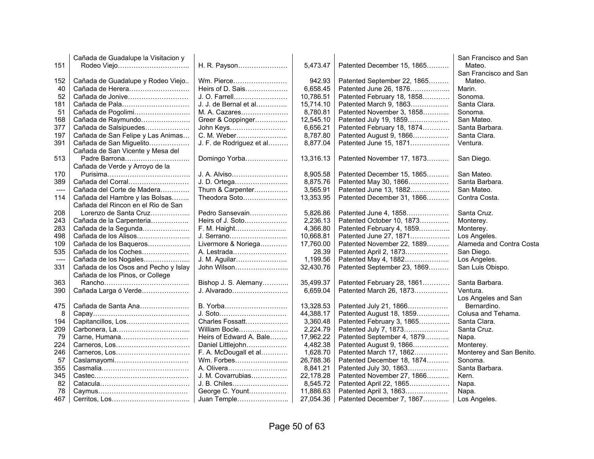|      | Cañada de Guadalupe la Visitacion y  |                          |           |                             | San Francisco and San    |
|------|--------------------------------------|--------------------------|-----------|-----------------------------|--------------------------|
| 151  |                                      | H. R. Payson             | 5,473.47  | Patented December 15, 1865  | Mateo.                   |
|      |                                      |                          |           |                             | San Francisco and San    |
| 152  | Cañada de Guadalupe y Rodeo Viejo    | Wm. Pierce               | 942.93    | Patented September 22, 1865 | Mateo.                   |
| 40   | Cañada de Herera                     | Heirs of D. Sais         | 6,658.45  | Patented June 26, 1876      | Marin.                   |
| 52   | Cañada de Jonive                     | J. O. Farrell            | 10,786.51 | Patented February 18, 1858  | Sonoma.                  |
| 181  | Cañada de Pala                       | J. J. de Bernal et al    | 15,714.10 | Patented March 9, 1863      | Santa Clara.             |
| 51   | Cañada de Pogolimi                   | M. A. Cazares            | 8,780.81  | Patented November 3, 1858   | Sonoma.                  |
| 168  | Cañada de Raymundo                   | Greer & Coppinger        | 12,545.10 | Patented July 19, 1859      | San Mateo.               |
| 377  | Cañada de Salsipuedes                | John Keys                | 6,656.21  | Patented February 18, 1874  | Santa Barbara.           |
| 197  | Cañada de San Felipe y Las Animas    | C. M. Weber              | 8,787.80  | Patented August 9, 1866     | Santa Clara.             |
| 391  | Cañada de San Miguelito              | J. F. de Rodriguez et al | 8,877.04  | Patented June 15, 1871      | Ventura.                 |
|      | Cañada de San Vicente y Mesa del     |                          |           |                             |                          |
|      |                                      |                          |           |                             |                          |
| 513  | Padre Barrona                        | Domingo Yorba            | 13,316.13 | Patented November 17, 1873  | San Diego.               |
|      | Cañada de Verde y Arroyo de la       |                          |           |                             |                          |
| 170  |                                      | J. A. Alviso             | 8,905.58  | Patented December 15, 1865  | San Mateo.               |
| 389  | Cañada del Corral                    | J. D. Ortega             | 8,875.76  | Patented May 30, 1866       | Santa Barbara.           |
| ---- | Cañada del Corte de Madera           | Thurn & Carpenter        | 3,565.91  | Patented June 13, 1882      | San Mateo.               |
| 114  | Cañada del Hambre y las Bolsas       | Theodora Soto            | 13,353.95 | Patented December 31, 1866  | Contra Costa.            |
|      | Cañada del Rincon en el Rio de San   |                          |           |                             |                          |
| 208  | Lorenzo de Santa Cruz                | Pedro Sansevain          | 5,826.86  | Patented June 4, 1858       | Santa Cruz.              |
| 243  | Cañada de la Carpenteria             | Heirs of J. Soto         | 2,236.13  | Patented October 10, 1873   | Monterey.                |
| 283  | Cañada de la Segunda                 | F. M. Haight             | 4,366.80  | Patented February 4, 1859   | Monterey.                |
| 498  | Cañada de los Alisos                 | J. Serrano               | 10,668.81 | Patented June 27, 1871      | Los Angeles.             |
| 109  | Cañada de los Baqueros               | Livermore & Noriega      | 17,760.00 | Patented November 22, 1889  | Alameda and Contra Costa |
| 535  | Cañada de los Coches                 | A. Lestrada              | 28.39     | Patented April 2, 1873      | San Diego.               |
| ---- | Cañada de los Nogales                | J. M. Aguilar            | 1,199.56  | Patented May 4, 1882        | Los Angeles.             |
| 331  | Cañada de los Osos and Pecho y Islay | John Wilson              | 32,430.76 | Patented September 23, 1869 | San Luis Obispo.         |
|      | Cañada de los Pinos, or College      |                          |           |                             |                          |
| 363  |                                      | Bishop J. S. Alemany     | 35,499.37 | Patented February 28, 1861  | Santa Barbara.           |
| 390  | Cañada Larga ó Verde                 | J. Alvarado              | 6,659.04  | Patented March 26, 1873     | Ventura.                 |
|      |                                      |                          |           |                             | Los Angeles and San      |
| 475  | Cañada de Santa Ana                  | B. Yorba                 | 13,328.53 | Patented July 21, 1866      | Bernardino.              |
| 8    |                                      | J. Soto                  | 44,388.17 | Patented August 18, 1859    | Colusa and Tehama.       |
| 194  | Capitancillos, Los                   | Charles Fossatt          | 3,360.48  | Patented February 3, 1865   | Santa Clara.             |
| 209  |                                      | William Bocle            | 2,224.79  | Patented July 7, 1873       | Santa Cruz.              |
| 79   | Carne, Humana                        | Heirs of Edward A. Bale  | 17,962.22 | Patented September 4, 1879  | Napa.                    |
| 224  |                                      | Daniel Littlejohn        | 4,482.38  | Patented August 9, 1866     | Monterey.                |
| 246  |                                      | F. A. McDougall et al    | 1,628.70  | Patented March 17, 1862     | Monterey and San Benito. |
| 57   |                                      |                          |           |                             | Sonoma.                  |
|      | Caslamayomi                          | Wm. Forbes               | 26,788.36 | Patented December 18, 1874  |                          |
| 355  |                                      |                          | 8,841.21  | Patented July 30, 1863      | Santa Barbara.           |
| 345  |                                      | J. M. Covarrubias        | 22,178.28 | Patented November 27, 1866  | Kern.                    |
| 82   |                                      | J. B. Chiles             | 8,545.72  | Patented April 22, 1865     | Napa.                    |
| 78   |                                      | George C. Yount          | 11,886.63 | Patented April 3, 1863      | Napa.                    |
| 467  |                                      | Juan Temple              | 27,054.36 | Patented December 7, 1867   | Los Angeles.             |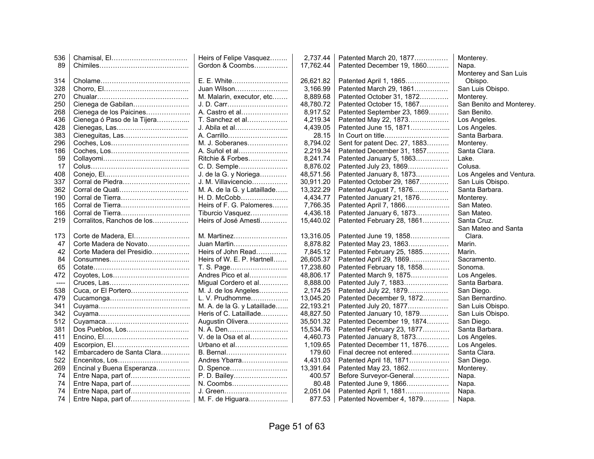| 536  |                             | Heirs of Felipe Vasquez     | 2,737.44  | Patented March 20, 1877       | Monterey.                |
|------|-----------------------------|-----------------------------|-----------|-------------------------------|--------------------------|
| 89   |                             | Gordon & Coombs             | 17,762.44 | Patented December 19, 1860    | Napa.                    |
|      |                             |                             |           |                               | Monterey and San Luis    |
| 314  |                             | E. E. White                 | 26,621.82 | Patented April 1, 1865        | Obispo.                  |
| 328  |                             | Juan Wilson                 | 3,166.99  | Patented March 29, 1861       | San Luis Obispo.         |
| 270  |                             | M. Malarin, executor, etc   | 8,889.68  | Patented October 31, 1872     | Monterey.                |
| 250  | Cienega de Gabilan          | J. D. Carr                  | 48,780.72 | Patented October 15, 1867     | San Benito and Monterey. |
| 268  | Cienega de los Paicines     | A. Castro et al             | 8,917.52  | Patented September 23, 1869   | San Benito.              |
| 436  | Cienega ó Paso de la Tijera | T. Sanchez et al            | 4,219.34  | Patented May 22, 1873         | Los Angeles.             |
| 428  |                             | J. Abila et al              | 4,439.05  | Patented June 15, 1871        | Los Angeles.             |
| 383  |                             | A. Carrillo                 | 28.15     |                               | Santa Barbara.           |
| 296  |                             | M. J. Soberanes             | 8,794.02  | Sent for patent Dec. 27, 1883 | Monterey.                |
| 186  |                             | A. Suñol et al              | 2,219.34  | Patented December 31, 1857    | Santa Clara.             |
| 59   |                             | Ritchie & Forbes            | 8,241.74  | Patented January 5, 1863      | Lake.                    |
| 17   |                             | C. D. Semple                | 8,876.02  | Patented July 23, 1869        | Colusa.                  |
| 408  |                             | J. de la G. y Noriega       | 48,571.56 | Patented January 8, 1873      | Los Angeles and Ventura. |
| 337  | Corral de Piedra            | J. M. Villavicencio         | 30,911.20 | Patented October 29, 1867     | San Luis Obispo.         |
| 362  |                             | M. A. de la G. y Lataillade | 13,322.29 | Patented August 7, 1876       | Santa Barbara.           |
| 190  | Corral de Tierra            | H. D. McCobb                | 4,434.77  | Patented January 21, 1876     | Monterey.                |
| 165  | Corral de Tierra            | Heirs of F. G. Palomeres    | 7,766.35  | Patented April 7, 1866        | San Mateo.               |
| 166  |                             | Tiburcio Vasquez            | 4,436.18  | Patented January 6, 1873      | San Mateo.               |
| 219  | Corralitos, Ranchos de los  | Heirs of José Amesti        | 15,440.02 | Patented February 28, 1861    | Santa Cruz.              |
|      |                             |                             |           |                               | San Mateo and Santa      |
| 173  | Corte de Madera, El         | M. Martinez                 | 13,316.05 | Patented June 19, 1858        | Clara.                   |
| 47   | Corte Madera de Novato      | Juan Martin                 | 8,878.82  | Patented May 23, 1863         | Marin.                   |
| 42   | Corte Madera del Presidio   | Heirs of John Read          | 7,845.12  | Patented February 25, 1885    | Marin.                   |
| 84   |                             | Heirs of W. E. P. Hartnell  | 26,605.37 | Patented April 29, 1869       | Sacramento.              |
| 65   |                             | T. S. Page                  | 17,238.60 | Patented February 18, 1858    | Sonoma.                  |
| 472  |                             | Andres Pico et al           | 48.806.17 | Patented March 9, 1875        | Los Angeles.             |
| ---- |                             | Migual Cordero et al        | 8,888.00  | Patented July 7, 1883         | Santa Barbara.           |
| 538  |                             | M. J. de los Angeles        | 2,174.25  | Patented July 22, 1879        | San Diego.               |
| 479  |                             | L. V. Prudhomme             | 13,045.20 | Patented December 9, 1872     | San Bernardino.          |
| 341  |                             | M. A. de la G. y Lataillade | 22,193.21 | Patented July 20, 1877        | San Luis Obispo.         |
| 342  |                             | Heris of C. Lataillade      | 48,827.50 | Patented January 10, 1879     | San Luis Obispo.         |
| 512  |                             | Augustin Olivera            | 35,501.32 | Patented December 19, 1874    | San Diego.               |
| 381  | Dos Pueblos, Los            | N. A. Den                   | 15,534.76 | Patented February 23, 1877    | Santa Barbara.           |
| 411  |                             | V. de la Osa et al          | 4,460.73  | Patented January 8, 1873      | Los Angeles.             |
| 409  |                             | Urbano et al                | 1,109.65  | Patented December 11, 1876    | Los Angeles.             |
| 142  | Embarcadero de Santa Clara  | B. Bernal                   | 179.60    | Final decree not entered      | Santa Clara.             |
| 522  |                             | Andres Ybarra               | 4,431.03  | Patented April 18, 1871       | San Diego.               |
| 269  | Encinal y Buena Esperanza   | D. Spence                   | 13,391.64 | Patented May 23, 1862         | Monterey.                |
| 74   | Entre Napa, part of         | P. D. Bailey                | 400.57    | Before Surveyor-General       | Napa.                    |
| 74   |                             | N. Coombs                   | 80.48     | Patented June 9, 1866         | Napa.                    |
| 74   |                             | J. Green                    | 2,051.04  | Patented April 1, 1881        | Napa.                    |
| 74   |                             | M. F. de Higuara            | 877.53    | Patented November 4, 1879     | Napa.                    |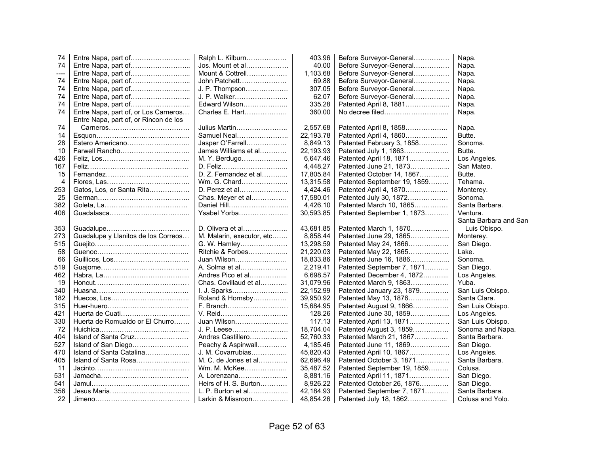| 74   |                                       | Ralph L. Kilburn          | 403.96    | Before Surveyor-General     | Napa.                 |
|------|---------------------------------------|---------------------------|-----------|-----------------------------|-----------------------|
| 74   |                                       | Jos. Mount et al          | 40.00     | Before Surveyor-General     | Napa.                 |
| ---- | Entre Napa, part of                   | Mount & Cottrell          | 1,103.68  | Before Surveyor-General     | Napa.                 |
| 74   | Entre Napa, part of                   | John Patchett             | 69.88     | Before Surveyor-General     | Napa.                 |
| 74   | Entre Napa, part of                   | J. P. Thompson            | 307.05    | Before Surveyor-General     | Napa.                 |
| 74   |                                       | J. P. Walker              | 62.07     | Before Surveyor-General     | Napa.                 |
| 74   |                                       | Edward Wilson             | 335.28    | Patented April 8, 1881      | Napa.                 |
| 74   | Entre Napa, part of, or Los Carneros  | Charles E. Hart           | 360.00    | No decree filed             | Napa.                 |
|      | Entre Napa, part of, or Rincon de los |                           |           |                             |                       |
| 74   |                                       | Julius Martin             | 2,557.68  | Patented April 8, 1858      | Napa.                 |
| 14   |                                       | Samuel Neal               | 22,193.78 | Patented April 4, 1860      | Butte.                |
| 28   | Estero Americano                      | Jasper O'Farrell          | 8,849.13  | Patented February 3, 1858   | Sonoma.               |
| 10   | Farwell Rancho                        | James Williams et al      | 22,193.93 | Patented July 1, 1863       | Butte.                |
| 426  |                                       | M. Y. Berdugo             | 6,647.46  | Patented April 18, 1871     | Los Angeles.          |
| 167  |                                       | D. Feliz                  | 4,448.27  | Patented June 21, 1873      | San Mateo.            |
| 15   |                                       | D. Z. Fernandez et al     | 17,805.84 | Patented October 14, 1867   | Butte.                |
| 4    |                                       | Wm. G. Chard              | 13,315.58 | Patented September 19, 1859 | Tehama.               |
| 253  | Gatos, Los, or Santa Rita             | D. Perez et al            | 4,424.46  | Patented April 4, 1870      | Monterey.             |
| 25   |                                       | Chas. Meyer et al         | 17,580.01 | Patented July 30, 1872      | Sonoma.               |
| 382  |                                       | Daniel Hill               | 4,426.10  | Patented March 10, 1865     | Santa Barbara.        |
| 406  |                                       | Ysabel Yorba              | 30,593.85 | Patented September 1, 1873  | Ventura.              |
|      |                                       |                           |           |                             | Santa Barbara and San |
| 353  |                                       | D. Olivera et al          | 43,681.85 | Patented March 1, 1870      | Luis Obispo.          |
| 273  | Guadalupe y Llanitos de los Correos   | M. Malarin, executor, etc | 8,858.44  | Patented June 29, 1865      | Monterey.             |
| 515  |                                       | G. W. Hamley              | 13,298.59 | Patented May 24, 1866       | San Diego.            |
| 58   |                                       | Ritchie & Forbes          | 21,220.03 | Patented May 22, 1865       | Lake.                 |
| 66   |                                       | Juan Wilson               | 18,833.86 | Patented June 16, 1886      | Sonoma.               |
| 519  |                                       | A. Solma et al            | 2,219.41  | Patented September 7, 1871  | San Diego.            |
| 462  |                                       | Andres Pico et al         | 6,698.57  | Patented December 4, 1872   | Los Angeles.          |
| 19   |                                       | Chas. Covillaud et al     | 31,079.96 | Patented March 9, 1863      | Yuba.                 |
| 340  |                                       | I. J. Sparks              | 22,152.99 | Patented January 23, 1879   | San Luis Obispo.      |
| 182  |                                       | Roland & Hornsby          | 39,950.92 | Patented May 13, 1876       | Santa Clara.          |
| 315  |                                       | F. Branch                 | 15,684.95 | Patented August 9, 1866     | San Luis Obispo.      |
| 421  | Huerta de Cuati                       | V. Reid                   | 128.26    | Patented June 30, 1859      | Los Angeles.          |
| 330  | Huerta de Romualdo or El Churro       | Juan Wilson               | 117.13    | Patented April 13, 1871     | San Luis Obispo.      |
| 72   |                                       | J. P. Leese               | 18,704.04 | Patented August 3, 1859     | Sonoma and Napa.      |
| 404  | Island of Santa Cruz                  | Andres Castillero         | 52,760.33 | Patented March 21, 1867     | Santa Barbara.        |
| 527  | Island of San Diego                   | Peachy & Aspinwall        | 4,185.46  | Patented June 11, 1869      | San Diego.            |
| 470  | Island of Santa Catalina              | J. M. Covarrubias         | 45,820.43 | Patented April 10, 1867     | Los Angeles.          |
| 405  | Island of Santa Rosa                  | M. C. de Jones et al      | 62,696.49 | Patented October 3, 1871    | Santa Barbara.        |
| 11   |                                       | Wm. M. McKee              | 35,487.52 | Patented September 19, 1859 | Colusa.               |
| 531  |                                       | A. Lorenzana              | 8,881.16  | Patented April 11, 1871     | San Diego.            |
| 541  |                                       | Heirs of H. S. Burton     | 8,926.22  | Patented October 26, 1876   | San Diego.            |
| 356  |                                       | L. P. Burton et al        | 42,184.93 | Patented September 7, 1871  | Santa Barbara.        |
| 22   |                                       | Larkin & Missroon         | 48,854.26 | Patented July 18, 1862      | Colusa and Yolo.      |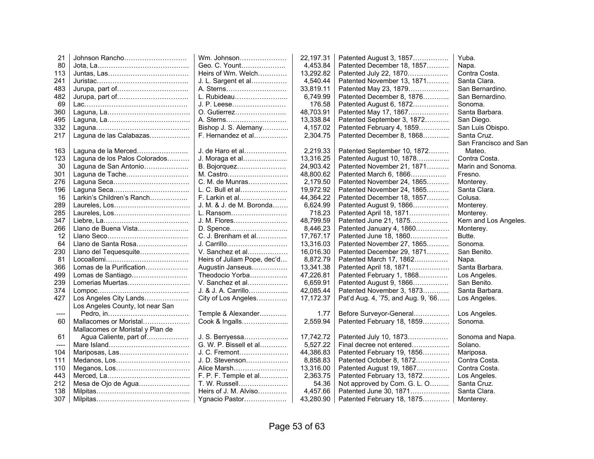| 21    | Johnson Rancho                   | Wm. Johnson                 | 22,197.31  | Patented August 3, 1857            | Yuba.                 |
|-------|----------------------------------|-----------------------------|------------|------------------------------------|-----------------------|
| 80    |                                  | Geo. C. Yount               | 4,453.84   | Patented December 18, 1857         | Napa.                 |
| 113   |                                  | Heirs of Wm. Welch          | 13,292.82  | Patented July 22, 1870             | Contra Costa.         |
| 241   |                                  | J. L. Sargent et al         | 4,540.44   | Patented November 13, 1871         | Santa Clara.          |
| 483   |                                  | A. Sterns                   | 33,819.11  | Patented May 23, 1879              | San Bernardino.       |
| 482   |                                  | L. Rubideau                 | 6,749.99   | Patented December 8, 1876          | San Bernardino.       |
| 69    |                                  | J. P. Leese                 | 176.58     | Patented August 6, 1872            | Sonoma.               |
| 360   |                                  | O. Gutierrez                | 48,703.91  | Patented May 17, 1867              | Santa Barbara.        |
| 495   |                                  | A. Sterns                   | 13,338.84  | Patented September 3, 1872         | San Diego.            |
| 332   |                                  | Bishop J. S. Alemany        | 4,157.02   | Patented February 4, 1859          | San Luis Obispo.      |
| 217   | Laguna de las Calabazas          | F. Hernandez et al          | 2,304.75   | Patented December 8, 1868          | Santa Cruz.           |
|       |                                  |                             |            |                                    | San Francisco and San |
| 163   | Laguna de la Merced              | J. de Haro et al            | 2,219.33   | Patented September 10, 1872        | Mateo.                |
| 123   | Laguna de los Palos Colorados    | J. Moraga et al             | 13,316.25  | Patented August 10, 1878           | Contra Costa.         |
| 30    | Laguna de San Antonio            | B. Bojorquez                | 24,903.42  | Patented November 21, 1871         | Marin and Sonoma.     |
| 301   | Laguna de Tache                  | M. Castro                   | 48,800.62  | Patented March 6, 1866             | Fresno.               |
| 276   |                                  | C. M. de Munras             | 2,179.50   | Patented November 24, 1865         | Monterey.             |
| 196   |                                  | L. C. Bull et al            | 19,972.92  | Patented November 24, 1865         | Santa Clara.          |
| 16    | Larkin's Children's Ranch        | F. Larkin et al             | 44,364.22  | Patented December 18, 1857         | Colusa.               |
| 289   |                                  | J. M. & J. de M. Boronda    | 6,624.99   | Patented August 9, 1866            | Monterey.             |
| 285   |                                  | L. Ransom                   | 718.23     | Patented April 18, 1871            | Monterey.             |
| 347   |                                  | J. M. Flores                | 48,799.59  | Patented June 21, 1875             | Kern and Los Angeles. |
| 266   | Llano de Buena Vista             | D. Spence                   | 8,446.23   | Patented January 4, 1860           | Monterey.             |
| 12    |                                  | C. J. Brenham et al         | 17,767.17  | Patented June 18, 1860             | Butte.                |
| 64    | Llano de Santa Rosa              | J. Carrillo                 | 13,316.03  | Patented November 27, 1865         | Sonoma.               |
| 230   | Llano del Tequesquite            | V. Sanchez et al            | 16,016.30  | Patented December 29, 1871         | San Benito.           |
| 81    |                                  | Heirs of Juliam Pope, dec'd | 8,872.79   | Patented March 17, 1862            | Napa.                 |
| 366   | Lomas de la Purification         | Augustin Janseus            | 13,341.38  | Patented April 18, 1871            | Santa Barbara.        |
| 499   | Lomas de Santiago                | Theodocio Yorba             | 47,226.81  | Patented February 1, 1868          | Los Angeles.          |
| 239   | Lomerias Muertas                 | V. Sanchez et al            | 6,659.91   | Patented August 9, 1866            | San Benito.           |
| 374   |                                  | J. & J. A. Carrillo         | 42,085.44  | Patented November 3, 1873          | Santa Barbara.        |
| 427   | Los Angeles City Lands           | City of Los Angeles         | 17, 172.37 | Pat'd Aug. 4, '75, and Aug. 9, '66 | Los Angeles.          |
|       | Los Angeles County, lot near San |                             |            |                                    |                       |
| $---$ |                                  | Temple & Alexander          | 1.77       | Before Surveyor-General            | Los Angeles.          |
| 60    | Mallacomes or Moristal           | Cook & Ingalls              | 2,559.94   | Patented February 18, 1859         | Sonoma.               |
|       | Mallacomes or Moristal y Plan de |                             |            |                                    |                       |
| 61    | Agua Caliente, part of           | J. S. Berryessa             | 17,742.72  | Patented July 10, 1873             | Sonoma and Napa.      |
| ----  |                                  | G. W. P. Bissell et al      | 5,527.22   | Final decree not entered           | Solano.               |
| 104   | Mariposas, Las                   | J. C. Fremont               | 44,386.83  | Patented February 19, 1856         | Mariposa.             |
| 111   |                                  | J. D. Stevenson             | 8,858.83   | Patented October 8, 1872           | Contra Costa.         |
| 110   | Meganos, Los                     | Alice Marsh                 | 13,316.00  | Patented August 19, 1867           | Contra Costa.         |
| 443   |                                  | F. P. F. Temple et al       | 2,363.75   | Patented February 13, 1872         | Los Angeles.          |
| 212   | Mesa de Ojo de Agua              | T. W. Russell               | 54.36      | Not approved by Com. G. L. O       | Santa Cruz.           |
| 138   |                                  | Heirs of J. M. Alviso       | 4,457.66   | Patented June 30, 1871             | Santa Clara.          |
| 307   |                                  | Ygnacio Pastor              | 43,280.90  | Patented February 18, 1875         | Monterey.             |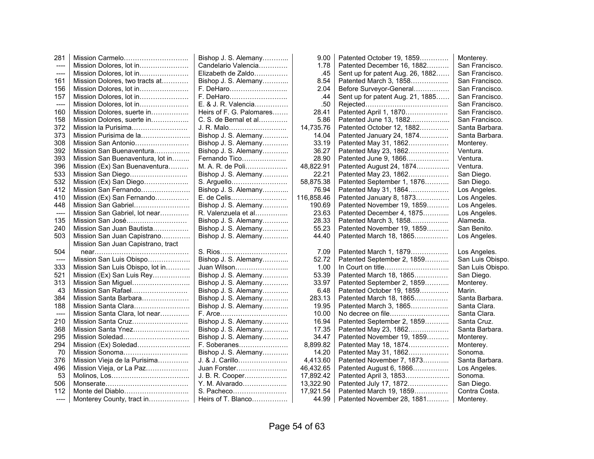| 281                   |                                    | Bishop J. S. Alemany     | 9.00       | Patented October 19, 1859        | Monterey.        |
|-----------------------|------------------------------------|--------------------------|------------|----------------------------------|------------------|
| $\qquad \qquad - - -$ | Mission Dolores, lot in            | Candelario Valencia      | 1.78       | Patented December 16, 1882       | San Francisco.   |
| $---$                 | Mission Dolores, lot in            | Elizabeth de Zaldo       | .45        | Sent up for patent Aug. 26, 1882 | San Francisco.   |
| 161                   | Mission Dolores, two tracts at     | Bishop J. S. Alemany     | 8.54       | Patented March 3, 1858           | San Francisco.   |
| 156                   | Mission Dolores, lot in            | F. DeHaro                | 2.04       | Before Surveyor-General          | San Francisco.   |
| 157                   | Mission Dolores, lot in            |                          | .44        | Sent up for patent Aug. 21, 1885 | San Francisco.   |
| ----                  | Mission Dolores, lot in            | E. & J. R. Valencia      | .50        |                                  | San Francisco.   |
| 160                   | Mission Dolores, suerte in         | Heirs of F. G. Palomares | 28.41      | Patented April 1, 1870           | San Francisco.   |
| 158                   | Mission Dolores, suerte in         | C. S. de Bernal et al    | 5.86       | Patented June 13, 1882           | San Francisco.   |
| 372                   | Mission la Purisima                | J. R. Malo               | 14,735.76  | Patented October 12, 1882        | Santa Barbara.   |
| 373                   | Mission Purisima de la             | Bishop J. S. Alemany     | 14.04      | Patented January 24, 1874        | Santa Barbara.   |
| 308                   | Mission San Antonio                | Bishop J. S. Alemany     | 33.19      | Patented May 31, 1862            | Monterey.        |
| 392                   | Mission San Buenaventura           | Bishop J. S. Alemany     | 36.27      | Patented May 23, 1862            | Ventura.         |
| 393                   | Mission San Buenaventura, lot in   | Fernando Tico            | 28.90      | Patented June 9, 1866            | Ventura.         |
| 396                   | Mission (Ex) San Buenaventura      | M. A. R. de Poli         | 48,822.91  | Patented August 24, 1874         | Ventura.         |
| 533                   | Mission San Diego                  | Bishop J. S. Alemany     | 22.21      | Patented May 23, 1862            | San Diego.       |
| 532                   | Mission (Ex) San Diego             | S. Arguello              | 58,875.38  | Patented September 1, 1876       | San Diego.       |
| 412                   | Mission San Fernando               | Bishop J. S. Alemany     | 76.94      | Patented May 31, 1864            | Los Angeles.     |
| 410                   | Mission (Ex) San Fernando          | E. de Celis              | 116,858.46 | Patented January 8, 1873         | Los Angeles.     |
| 448                   | Mission San Gabriel                | Bishop J. S. Alemany     | 190.69     | Patented November 19, 1859       | Los Angeles.     |
| ----                  | Mission San Gabriel, lot near      | R. Valenzuela et al      | 23.63      | Patented December 4, 1875        | Los Angeles.     |
| 135                   | Mission San José                   | Bishop J. S. Alemany     | 28.33      | Patented March 3, 1858           | Alameda.         |
| 240                   | Mission San Juan Bautista          | Bishop J. S. Alemany     | 55.23      | Patented November 19, 1859       | San Benito.      |
| 503                   | Mission San Juan Capistrano        | Bishop J. S. Alemany     | 44.40      | Patented March 18, 1865          | Los Angeles.     |
|                       | Mission San Juan Capistrano, tract |                          |            |                                  |                  |
| 504                   |                                    |                          | 7.09       | Patented March 1, 1879           | Los Angeles.     |
| $--- -$               | Mission San Luis Obispo            | Bishop J. S. Alemany     | 52.72      | Patented September 2, 1859       | San Luis Obispo. |
| 333                   | Mission San Luis Obispo, lot in    | Juan Wilson              | 1.00       |                                  | San Luis Obispo. |
| 521                   | Mission (Ex) San Luis Rey          | Bishop J. S. Alemany     | 53.39      | Patented March 18, 1865          | San Diego.       |
| 313                   | Mission San Miguel                 | Bishop J. S. Alemany     | 33.97      | Patented September 2, 1859       | Monterey.        |
| 43                    | Mission San Rafael                 | Bishop J. S. Alemany     | 6.48       | Patented October 19, 1859        | Marin.           |
| 384                   | Mission Santa Barbara              | Bishop J. S. Alemany     | 283.13     | Patented March 18, 1865          | Santa Barbara.   |
| 188                   | Mission Santa Clara                | Bishop J. S. Alemany     | 19.95      | Patented March 3, 1865           | Santa Clara.     |
| ----                  | Mission Santa Clara, lot near      |                          | 10.00      |                                  | Santa Clara.     |
| 210                   | Mission Santa Cruz                 | Bishop J. S. Alemany     | 16.94      | Patented September 2, 1859       | Santa Cruz.      |
| 368                   | Mission Santa Ynez                 | Bishop J. S. Alemany     | 17.35      | Patented May 23, 1862            | Santa Barbara.   |
| 295                   | Mission Soledad                    | Bishop J. S. Alemany     | 34.47      | Patented November 19, 1859       | Monterey.        |
| 294                   | Mission (Ex) Soledad               | F. Soberanes             | 8,899.82   | Patented May 18, 1874            | Monterey.        |
| 70                    | Mission Sonoma                     | Bishop J. S. Alemany     | 14.20      | Patented May 31, 1862            | Sonoma.          |
| 376                   | Mission Vieja de la Purisima       | J. & J. Carillo          | 4,413.60   | Patented November 7, 1873        | Santa Barbara.   |
| 496                   | Mission Vieja, or La Paz           | Juan Forster             | 46,432.65  | Patented August 6, 1866          | Los Angeles.     |
| 53                    |                                    | J. B. R. Cooper          | 17,892.42  | Patented April 3, 1853           | Sonoma.          |
| 506                   |                                    | Y. M. Alvarado           | 13,322.90  | Patented July 17, 1872           | San Diego.       |
| 112                   |                                    | S. Pacheco               | 17,921.54  | Patented March 19, 1859          | Contra Costa.    |
| ----                  | Monterey County, tract in          | Heirs of T. Blanco       | 44.99      | Patented November 28, 1881       | Monterey.        |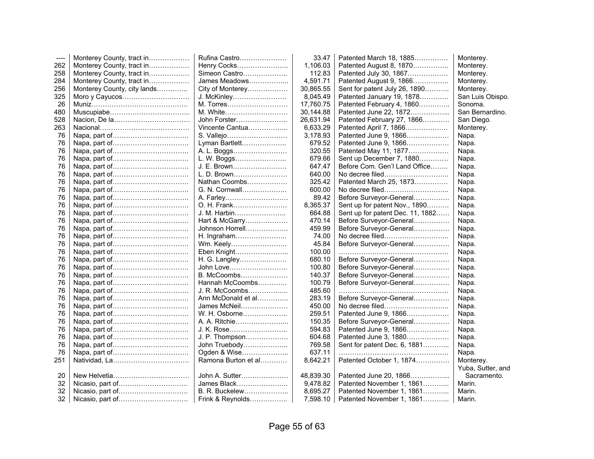| $--- -$ | Monterey County, tract in   | Rufina Castro       | 33.47     | Patented March 18, 1885          | Monterey.         |
|---------|-----------------------------|---------------------|-----------|----------------------------------|-------------------|
| 262     | Monterey County, tract in   | Henry Cocks         | 1,106.03  | Patented August 8, 1870          | Monterey.         |
| 258     | Monterey County, tract in   | Simeon Castro       | 112.83    | Patented July 30, 1867           | Monterey.         |
| 284     | Monterey County, tract in   | James Meadows       | 4,591.71  | Patented August 9, 1866          | Monterey.         |
| 256     | Monterey County, city lands | City of Monterey    | 30,865.55 | Sent for patent July 26, 1890    | Monterey.         |
| 325     | Moro y Cayucos              | J. McKinley         | 8,045.49  | Patented January 19, 1878        | San Luis Obispo.  |
| 26      |                             | M. Torres           | 17,760.75 | Patented February 4, 1860        | Sonoma.           |
| 480     |                             | M. White            | 30,144.88 | Patented June 22, 1872           | San Bernardino.   |
| 528     |                             | John Forster        | 26,631.94 | Patented February 27, 1866       | San Diego.        |
| 263     |                             | Vincente Cantua     | 6,633.29  | Patented April 7, 1866           | Monterey.         |
| 76      |                             | S. Vallejo          | 3,178.93  | Patented June 9, 1866            | Napa.             |
| 76      |                             | Lyman Bartlett      | 679.52    | Patented June 9, 1866            | Napa.             |
| 76      |                             | A. L. Boggs         | 320.55    | Patented May 11, 1877            | Napa.             |
| 76      |                             | L. W. Boggs         | 679.66    | Sent up December 7, 1880         | Napa.             |
| 76      |                             | J. E. Brown         | 647.47    | Before Com. Gen'l Land Office    | Napa.             |
| 76      |                             | L. D. Brown         | 640.00    |                                  | Napa.             |
| 76      |                             | Nathan Coombs       | 325.42    | Patented March 25, 1873          | Napa.             |
| 76      |                             | G. N. Cornwall      | 600.00    |                                  | Napa.             |
| 76      |                             | A. Farley           | 89.42     | Before Surveyor-General          | Napa.             |
| 76      |                             | O. H. Frank         | 8,365.37  | Sent up for patent Nov., 1890    | Napa.             |
| 76      |                             | J. M. Harbin        | 664.88    | Sent up for patent Dec. 11, 1882 | Napa.             |
| 76      |                             | Hart & McGarry      | 470.14    | Before Surveyor-General          | Napa.             |
| 76      |                             | Johnson Horrell     | 459.99    | Before Surveyor-General          | Napa.             |
| 76      |                             | H. Ingraham         | 74.00     | No decree filed                  | Napa.             |
| 76      |                             | Wm. Keely           | 45.84     | Before Surveyor-General          | Napa.             |
| 76      |                             | Eben Knight         | 100.00    |                                  | Napa.             |
| 76      |                             | H. G. Langley       | 680.10    | Before Surveyor-General          | Napa.             |
| 76      |                             | John Love           | 100.80    | Before Surveyor-General          | Napa.             |
| 76      |                             | B. McCoombs         | 140.37    | Before Surveyor-General          | Napa.             |
| 76      |                             | Hannah McCoombs     | 100.79    | Before Surveyor-General          | Napa.             |
| 76      |                             | J. R. McCoombs      | 485.60    |                                  | Napa.             |
| 76      |                             | Ann McDonald et al  | 283.19    | Before Surveyor-General          | Napa.             |
| 76      |                             | James McNeil        | 450.00    | No decree filed                  | Napa.             |
| 76      |                             | W. H. Osborne       | 259.51    | Patented June 9, 1866            | Napa.             |
| 76      |                             | A. A. Ritchie       | 150.35    | Before Surveyor-General          | Napa.             |
| 76      |                             | J. K. Rose          | 594.83    | Patented June 9, 1866            | Napa.             |
| 76      |                             | J. P. Thompson      | 604.68    | Patented June 3, 1880            | Napa.             |
| 76      |                             | John Truebody       | 769.58    | Sent for patent Dec. 6, 1881     | Napa.             |
| 76      |                             | Ogden & Wise        | 637.11    |                                  | Napa.             |
| 251     |                             | Ramona Burton et al | 8,642.21  | Patented October 1, 1874         | Monterey.         |
|         |                             |                     |           |                                  | Yuba, Sutter, and |
| 20      |                             | John A. Sutter      | 48,839.30 | Patented June 20, 1866           | Sacramento.       |
| 32      |                             | James Black         | 9,478.82  | Patented November 1, 1861        | Marin.            |
| 32      | Nicasio, part of            | B. R. Buckelew      | 8,695.27  | Patented November 1, 1861        | Marin.            |
| 32      |                             | Frink & Reynolds    | 7,598.10  | Patented November 1, 1861        | Marin.            |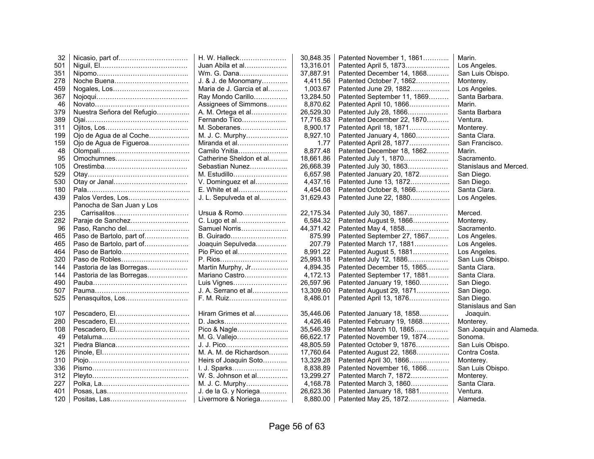| 32  |                            | H. W. Halleck            | 30,848.35 | Patented November 1, 1861   | Marin.                   |
|-----|----------------------------|--------------------------|-----------|-----------------------------|--------------------------|
| 501 |                            | Juan Abila et al         | 13,316.01 | Patented April 5, 1873      | Los Angeles.             |
| 351 |                            | Wm. G. Dana              | 37,887.91 | Patented December 14, 1868  | San Luis Obispo.         |
| 278 |                            | J. & J. de Monomany      | 4,411.56  | Patented October 7, 1862    | Monterey.                |
| 459 |                            | Maria de J. Garcia et al | 1,003.67  | Patented June 29, 1882      | Los Angeles.             |
| 367 |                            | Ray Mondo Carillo        | 13,284.50 | Patented September 11, 1869 | Santa Barbara.           |
| 46  |                            | Assignees of Simmons     | 8,870.62  | Patented April 10, 1866     | Marin.                   |
| 379 | Nuestra Señora del Refugio | A. M. Ortega et al       | 26,529.30 | Patented July 28, 1866      | Santa Barbara            |
| 389 |                            | Fernando Tico            | 17,716.83 | Patented December 22, 1870  | Ventura.                 |
| 311 |                            | M. Soberanes             | 8,900.17  | Patented April 18, 1871     | Monterey.                |
| 199 | Ojo de Agua de al Coche    | M. J. C. Murphy          | 8,927.10  | Patented January 4, 1860    | Santa Clara.             |
| 159 | Ojo de Agua de Figueroa    | Miranda et al            | 1.77      | Patented April 28, 1877     | San Francisco.           |
| 48  |                            | Camilo Ynitia            | 8,877.48  | Patented December 18, 1862  | Marin.                   |
| 95  |                            | Catherine Sheldon et al  | 18,661.86 | Patented July 1, 1870       | Sacramento.              |
| 105 |                            | Sebastian Nunez          | 26,668.39 | Patented July 30, 1863      | Stanislaus and Merced.   |
| 529 |                            | M. Estudillo             | 6,657.98  | Patented January 20, 1872   | San Diego.               |
| 530 |                            | V. Dominguez et al       | 4,437.16  | Patented June 13, 1872      | San Diego.               |
| 180 |                            | E. White et al           | 4,454.08  | Patented October 8, 1866    | Santa Clara.             |
| 439 | Palos Verdes, Los          | J. L. Sepulveda et al    | 31,629.43 | Patented June 22, 1880      | Los Angeles.             |
|     | Panocha de San Juan y Los  |                          |           |                             |                          |
| 235 |                            | Ursua & Romo             | 22,175.34 | Patented July 30, 1867      | Merced.                  |
| 282 |                            | C. Lugo et al            | 6,584.32  | Patented August 9, 1866     | Monterey.                |
| 96  | Paso, Rancho del           | Samuel Norris            | 44,371.42 | Patented May 4, 1858        | Sacramento.              |
| 465 | Paso de Bartolo, part of   | B. Guirado               | 875.99    | Patented September 27, 1867 | Los Angeles.             |
| 465 | Paso de Bartolo, part of   | Joaquin Sepulveda        | 207.79    | Patented March 17, 1881     | Los Angeles.             |
| 464 | Paso de Bartolo            | Pio Pico et al           | 8,991.22  | Patented August 5, 1881     | Los Angeles.             |
| 320 |                            | P. Rios                  | 25,993.18 | Patented July 12, 1886      | San Luis Obispo.         |
| 144 | Pastoria de las Borregas   | Martin Murphy, Jr        | 4,894.35  | Patented December 15, 1865  | Santa Clara.             |
| 144 | Pastoria de las Borregas   | Mariano Castro           | 4,172.13  | Patented September 17, 1881 | Santa Clara.             |
| 490 |                            | Luis Vignes              | 26,597.96 | Patented January 19, 1860   | San Diego.               |
| 507 |                            | J. A. Serrano et al      | 13,309.60 | Patented August 29, 1871    | San Diego.               |
| 525 |                            | F. M. Ruiz               | 8,486.01  | Patented April 13, 1876     | San Diego.               |
|     |                            |                          |           |                             | Stanislaus and San       |
| 107 |                            | Hiram Grimes et al       | 35,446.06 | Patented January 18, 1858   | Joaquin.                 |
| 280 |                            | D. Jacks                 | 4.426.46  | Patented February 19, 1868  | Monterey.                |
| 108 |                            | Pico & Nagle             | 35,546.39 | Patented March 10, 1865     | San Joaquin and Alameda. |
| 49  |                            | M. G. Vallejo            | 66,622.17 | Patented November 19, 1874  | Sonoma.                  |
| 321 |                            | J. J. Pico               | 48,805.59 | Patented October 9, 1876    | San Luis Obispo.         |
| 126 |                            | M. A. M. de Richardson   | 17,760.64 | Patented August 22, 1868    | Contra Costa.            |
| 310 |                            | Heirs of Joaquin Soto    | 13,329.28 | Patented April 30, 1866     | Monterey.                |
| 336 |                            | I. J. Sparks             | 8,838.89  | Patented November 16, 1866  | San Luis Obispo.         |
| 312 |                            | W. S. Johnson et al      | 13,299.27 | Patented March 7, 1872      | Monterey.                |
| 227 |                            | M. J. C. Murphy          | 4,168.78  | Patented March 3, 1860      | Santa Clara.             |
| 401 |                            | J. de la G. y Noriega    | 26,623.36 | Patented January 18, 1881   | Ventura.                 |
| 120 |                            | Livermore & Noriega      | 8,880.00  | Patented May 25, 1872       | Alameda.                 |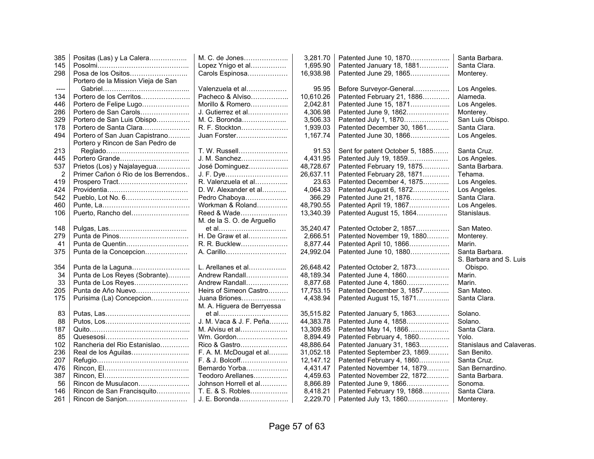| 385  | Positas (Las) y La Calera           | M. C. de Jones             | 3,281.70  | Patented June 10, 1870          | Santa Barbara.            |
|------|-------------------------------------|----------------------------|-----------|---------------------------------|---------------------------|
| 145  |                                     | Lopez Ynigo et al          | 1,695.90  | Patented January 18, 1881       | Santa Clara.              |
| 298  | Posa de los Ositos                  | Carols Espinosa            | 16,938.98 | Patented June 29, 1865          | Monterey.                 |
|      | Portero de la Mission Vieja de San  |                            |           |                                 |                           |
| ---- |                                     | Valenzuela et al           | 95.95     | Before Surveyor-General         | Los Angeles.              |
| 134  | Portero de los Cerritos             | Pacheco & Alviso           | 10,610.26 | Patented February 21, 1886      | Alameda.                  |
| 446  | Portero de Felipe Lugo              | Morillo & Romero           | 2,042.81  | Patented June 15, 1871          | Los Angeles.              |
| 286  | Portero de San Carols               | J. Gutierrez et al         | 4,306.98  | Patented June 9, 1862           | Monterey.                 |
| 329  | Portero de San Luis Obispo          | M. C. Boronda              | 3,506.33  | Patented July 1, 1870           | San Luis Obispo.          |
| 178  | Portero de Santa Clara              | R. F. Stockton             | 1,939.03  | Patented December 30, 1861      | Santa Clara.              |
| 494  | Portero of San Juan Capistrano      | Juan Forster               | 1,167.74  | Patented June 30, 1866          | Los Angeles.              |
|      | Portero y Rincon de San Pedro de    |                            |           |                                 |                           |
| 213  |                                     | T. W. Russell              | 91.53     | Sent for patent October 5, 1885 | Santa Cruz.               |
| 445  | Portero Grande                      | J. M. Sanchez              | 4,431.95  | Patented July 19, 1859          | Los Angeles.              |
| 537  | Prietos (Los) y Najalayegua         | José Dominguez             | 48,728.67 | Patented February 19, 1875      | Santa Barbara.            |
| 2    | Primer Cañon ó Rio de los Berrendos | J. F. Dye                  | 26,637.11 | Patented February 28, 1871      | Tehama.                   |
| 419  | Prospero Tract                      | R. Valenzuela et al        | 23.63     | Patented December 4, 1875       | Los Angeles.              |
| 424  |                                     | D. W. Alexander et al      | 4,064.33  | Patented August 6, 1872         | Los Angeles.              |
| 542  |                                     | Pedro Chaboya              | 366.29    | Patented June 21, 1876          | Santa Clara.              |
| 460  |                                     | Workman & Roland           | 48,790.55 | Patented April 19, 1867         | Los Angeles.              |
| 106  | Puerto, Rancho del                  | Reed & Wade                | 13,340.39 | Patented August 15, 1864        | Stanislaus.               |
|      |                                     | M. de la S. O. de Arguello |           |                                 |                           |
| 148  |                                     | et al                      | 35,240.47 | Patented October 2, 1857        | San Mateo.                |
| 279  | Punta de Pinos                      | H. De Graw et al           | 2.666.51  | Patented November 19, 1880      | Monterey.                 |
| 41   | Punta de Quentin                    | R. R. Bucklew              | 8,877.44  | Patented April 10, 1866         | Marin.                    |
| 375  | Punta de la Concepcion              | A. Carillo                 | 24,992.04 | Patented June 10, 1880          | Santa Barbara.            |
|      |                                     |                            |           |                                 | S. Barbara and S. Luis    |
| 354  | Punta de la Laguna                  | L. Arellanes et al         | 26,648.42 | Patented October 2, 1873        | Obispo.                   |
| 34   | Punta de Los Reyes (Sobrante)       | Andrew Randall             | 48,189.34 | Patented June 4, 1860           | Marin.                    |
| 33   | Punta de Los Reyes                  | Andrew Randall             | 8,877.68  | Patented June 4, 1860           | Marin.                    |
| 205  | Punta de Año Nuevo                  | Heirs of Simeon Castro     | 17,753.15 | Patented December 3, 1857       | San Mateo.                |
| 175  | Purisima (La) Concepcion            | Juana Briones              | 4,438.94  | Patented August 15, 1871        | Santa Clara.              |
|      |                                     | M. A. Higuera de Berryessa |           |                                 |                           |
| 83   |                                     | et al                      | 35,515.82 | Patented January 5, 1863        | Solano.                   |
| 88   |                                     | J. M. Vaca & J. F. Peña    | 44,383.78 | Patented June 4, 1858           | Solano.                   |
| 187  |                                     | M. Alvisu et al            | 13,309.85 | Patented May 14, 1866           | Santa Clara.              |
| 85   |                                     | Wm. Gordon                 | 8,894.49  | Patented February 4, 1860       | Yolo.                     |
| 102  | Rancheria del Rio Estanislao        | Rico & Gastro              | 48,886.64 | Patented January 31, 1863       | Stanislaus and Calaveras. |
| 236  | Real de los Aguilas                 | F. A. M. McDougal et al    | 31,052.18 | Patented September 23, 1869     | San Benito.               |
| 207  |                                     | F. & J. Bolcoff            | 12,147.12 | Patented February 4, 1860       | Santa Cruz.               |
| 476  |                                     | Bernardo Yorba             | 4,431.47  | Patented November 14, 1879      | San Bernardino.           |
| 387  |                                     | Teodoro Arellanes          | 4,459.63  | Patented November 22, 1872      | Santa Barbara.            |
| 56   | Rincon de Musulacon                 | Johnson Horrell et al      | 8,866.89  | Patented June 9, 1866           | Sonoma.                   |
| 146  | Rincon de San Francisquito          | T. E. & S. Robles          | 8,418.21  | Patented February 19, 1868      | Santa Clara.              |
| 261  | Rincon de Sanjon                    | J. E. Boronda              | 2,229.70  | Patented July 13, 1860          | Monterey.                 |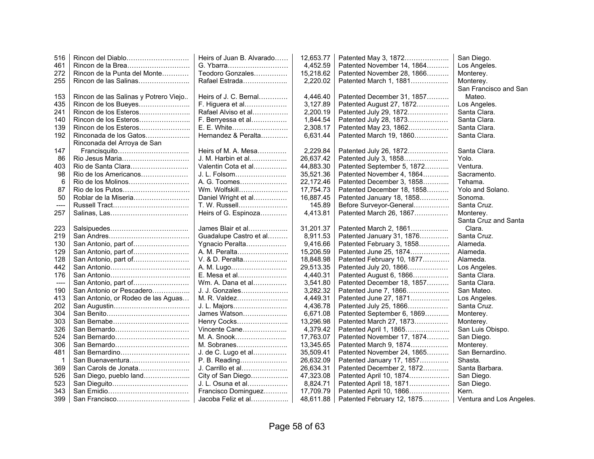| 516  | Rincon del Diablo                     | Heirs of Juan B. Alvarado | 12,653.77 | Patented May 3, 1872       | San Diego.               |
|------|---------------------------------------|---------------------------|-----------|----------------------------|--------------------------|
| 461  | Rincon de la Brea                     | G. Ybarra                 | 4,452.59  | Patented November 14, 1864 | Los Angeles.             |
| 272  | Rincon de la Punta del Monte          | Teodoro Gonzales          | 15,218.62 | Patented November 28, 1866 | Monterey.                |
| 255  | Rincon de las Salinas                 | Rafael Estrada            | 2,220.02  | Patented March 1, 1881     | Monterey.                |
|      |                                       |                           |           |                            | San Francisco and San    |
| 153  | Rincon de las Salinas y Potrero Viejo | Heirs of J. C. Bernal     | 4,446.40  | Patented December 31, 1857 | Mateo.                   |
| 435  | Rincon de los Bueyes                  | F. Higuera et al          | 3,127.89  | Patented August 27, 1872   | Los Angeles.             |
| 241  | Rincon de los Esteros                 | Rafael Alviso et al       | 2,200.19  | Patented July 29, 1872     | Santa Clara.             |
| 140  | Rincon de los Esteros                 | F. Berryessa et al        | 1,844.54  | Patented July 28, 1873     | Santa Clara.             |
| 139  | Rincon de los Esteros                 | E. E. White               | 2,308.17  | Patented May 23, 1862      | Santa Clara.             |
| 192  | Rinconada de los Gatos                | Hernandez & Peralta       | 6,631.44  | Patented March 19, 1860    | Santa Clara.             |
|      | Rinconada del Arroya de San           |                           |           |                            |                          |
| 147  |                                       | Heirs of M. A. Mesa       | 2,229.84  | Patented July 26, 1872     | Santa Clara.             |
| 86   | Rio Jesus Maria                       | J. M. Harbin et al        | 26,637.42 | Patented July 3, 1858      | Yolo.                    |
| 403  |                                       | Valentin Cota et al       | 44,883.30 | Patented September 5, 1872 | Ventura.                 |
| 98   | Rio de los Americanos                 | J. L. Folsom              | 35,521.36 | Patented November 4, 1864  | Sacramento.              |
| 6    |                                       | A. G. Toomes              | 22,172.46 | Patented December 3, 1858  | Tehama.                  |
| 87   |                                       | Wm. Wolfskill             | 17.754.73 | Patented December 18, 1858 | Yolo and Solano.         |
| 50   | Roblar de la Miseria                  | Daniel Wright et al       | 16,887.45 | Patented January 18, 1858  | Sonoma.                  |
| ---- |                                       | T. W. Russell             | 145.89    | Before Surveyor-General    | Santa Cruz.              |
| 257  |                                       | Heirs of G. Espinoza      | 4,413.81  | Patented March 26, 1867    | Monterey.                |
|      |                                       |                           |           |                            | Santa Cruz and Santa     |
| 223  |                                       | James Blair et al         | 31,201.37 | Patented March 2, 1861     | Clara.                   |
| 219  |                                       | Guadalupe Castro et al    | 8,911.53  | Patented January 31, 1876  | Santa Cruz.              |
| 130  | San Antonio, part of                  | Ygnacio Peralta           | 9,416.66  | Patented February 3, 1858  | Alameda.                 |
| 129  | San Antonio, part of                  | A. M. Peralta             | 15,206.59 | Patented June 25, 1874     | Alameda.                 |
| 128  | San Antonio, part of                  | V. & D. Peralta           | 18,848.98 | Patented February 10, 1877 | Alameda.                 |
| 442  |                                       | A. M. Lugo                | 29,513.35 | Patented July 20, 1866     | Los Angeles.             |
| 176  |                                       | E. Mesa et al             | 4,440.31  | Patented August 6, 1866    | Santa Clara.             |
| ---- | San Antonio, part of                  | Wm. A. Dana et al         | 3,541.80  | Patented December 18, 1857 | Santa Clara.             |
| 190  | San Antonio or Pescadero              | J. J. Gonzales            | 3,282.32  | Patented June 7, 1866      | San Mateo.               |
| 413  | San Antonio, or Rodeo de las Aguas    | M. R. Valdez              | 4,449.31  | Patented June 27, 1871     | Los Angeles.             |
| 202  |                                       | J. L. Majors              | 4,436.78  | Patented July 25, 1866     | Santa Cruz.              |
| 304  |                                       | James Watson              | 6,671.08  | Patented September 6, 1869 | Monterey.                |
| 303  |                                       | Henry Cocks               | 13,296.98 | Patented March 27, 1873    | Monterey.                |
| 326  | San Bernardo                          | Vincente Cane             | 4,379.42  | Patented April 1, 1865     | San Luis Obispo.         |
| 524  | San Bernardo                          | M. A. Snook               | 17,763.07 | Patented November 17, 1874 | San Diego.               |
| 306  | San Bernardo                          | M. Sobranes               | 13,345.65 | Patented March 9, 1874     | Monterey.                |
| 481  | San Bernardino                        | J. de C. Lugo et al       | 35,509.41 | Patented November 24, 1865 | San Bernardino.          |
| 1    | San Buenaventura                      | P. B. Reading             | 26,632.09 | Patented January 17, 1857  | Shasta.                  |
| 369  | San Carols de Jonata                  | J. Carrillo et al         | 26,634.31 | Patented December 2, 1872  | Santa Barbara.           |
| 526  | San Diego, pueblo land                | City of San Diego         | 47,323.08 | Patented April 10, 1874    | San Diego.               |
| 523  |                                       | J. L. Osuna et al         | 8,824.71  | Patented April 18, 1871    | San Diego.               |
| 343  |                                       | Francisco Dominguez       | 17.709.79 | Patented April 10, 1866    | Kern.                    |
| 399  |                                       | Jacoba Feliz et al        | 48,611.88 | Patented February 12, 1875 | Ventura and Los Angeles. |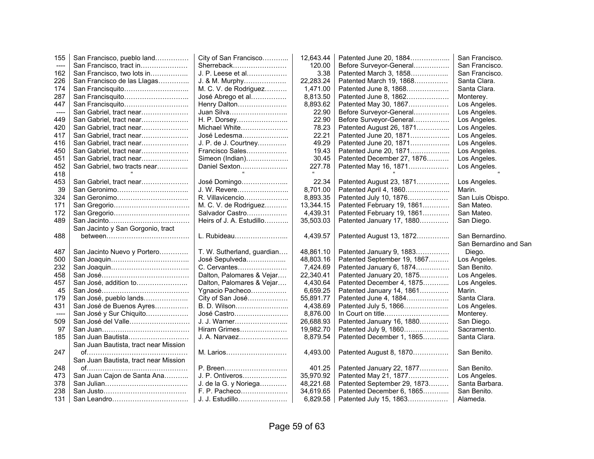| 155   | San Francisco, pueblo land            | City of San Francisco                        | 12,643.44             | Patented June 20, 1884                                 | San Francisco.         |
|-------|---------------------------------------|----------------------------------------------|-----------------------|--------------------------------------------------------|------------------------|
| $---$ | San Francisco, tract in               | Sherreback                                   | 120.00                | Before Surveyor-General                                | San Francisco.         |
| 162   | San Francisco, two lots in            | J. P. Leese et al                            | 3.38                  | Patented March 3, 1858                                 | San Francisco.         |
| 226   | San Francisco de las Llagas           | J. & M. Murphy                               | 22,283.24             | Patented March 19, 1868                                | Santa Clara.           |
| 174   |                                       | M. C. V. de Rodriguez                        | 1,471.00              | Patented June 8, 1868                                  | Santa Clara.           |
| 287   | San Francisquito                      | José Abrego et al                            | 8,813.50              | Patented June 8, 1862                                  | Monterey.              |
| 447   | San Francisquito                      | Henry Dalton                                 | 8,893.62              | Patented May 30, 1867                                  | Los Angeles.           |
| ----  | San Gabriel, tract near               | Juan Silva                                   | 22.90                 | Before Surveyor-General                                | Los Angeles.           |
| 449   | San Gabriel, tract near               | H. P. Dorsey                                 | 22.90                 | Before Surveyor-General                                | Los Angeles.           |
| 420   | San Gabriel, tract near               | Michael White                                | 78.23                 | Patented August 26, 1871                               | Los Angeles.           |
| 417   | San Gabriel, tract near               | José Ledesma                                 | 22.21                 | Patented June 20, 1871                                 | Los Angeles.           |
| 416   | San Gabriel, tract near               | J. P. de J. Courtney                         | 49.29                 | Patented June 20, 1871                                 | Los Angeles.           |
| 450   | San Gabriel, tract near               | Francisco Sales                              | 19.43                 | Patented June 20, 1871                                 | Los Angeles.           |
| 451   | San Gabriel, tract near               | Simeon (Indian)                              | 30.45                 | Patented December 27, 1876                             | Los Angeles.           |
| 452   | San Gabriel, two tracts near          | Daniel Sexton                                | 227.78                | Patented May 16, 1871                                  | Los Angeles.           |
| 418   |                                       |                                              |                       |                                                        |                        |
| 453   | San Gabriel, tract near               | José Domingo                                 | 22.34                 | Patented August 23, 1871                               | Los Angeles.           |
| 39    |                                       | J. W. Revere                                 | 8,701.00              | Patented April 4, 1860                                 | Marin.                 |
| 324   |                                       | R. Villavicencio                             | 8,893.35              | Patented July 10, 1876                                 | San Luis Obispo.       |
| 171   |                                       | M. C. V. de Rodriguez                        | 13,344.15             | Patented February 19, 1861                             | San Mateo.             |
| 172   |                                       | Salvador Castro                              | 4,439.31              | Patented February 19, 1861                             | San Mateo.             |
| 489   |                                       | Heirs of J. A. Estudillo                     | 35,503.03             | Patented January 17, 1880                              | San Diego.             |
|       | San Jacinto y San Gorgonio, tract     |                                              |                       |                                                        |                        |
|       |                                       |                                              |                       |                                                        |                        |
| 488   |                                       | L. Rubideau                                  | 4,439.57              | Patented August 13, 1872                               | San Bernardino.        |
|       |                                       |                                              |                       |                                                        | San Bernardino and San |
| 487   | San Jacinto Nuevo y Portero           |                                              | 48,861.10             | Patented January 9, 1883                               | Diego.                 |
| 500   |                                       | T. W. Sutherland, guardian<br>José Sepulveda | 48,803.16             | Patented September 19, 1867                            | Los Angeles.           |
| 232   |                                       | C. Cervantes                                 | 7,424.69              | Patented January 6, 1874                               | San Benito.            |
| 458   |                                       | Dalton, Palomares & Vejar                    | 22,340.41             |                                                        | Los Angeles.           |
| 457   | San José, addition to                 | Dalton, Palomares & Vejar                    | 4,430.64              | Patented January 20, 1875<br>Patented December 4, 1875 | Los Angeles.           |
| 45    |                                       | Ygnacio Pacheco                              | 6,659.25              | Patented January 14, 1861                              | Marin.                 |
| 179   | San José, pueblo lands                | City of San José                             | 55,891.77             | Patented June 4, 1884                                  | Santa Clara.           |
| 431   | San José de Buenos Ayres              | B. D. Wilson                                 | 4,438.69              | Patented July 5, 1866                                  | Los Angeles.           |
| $---$ | San José y Sur Chiquito               | José Castro                                  | 8,876.00              |                                                        | Monterey.              |
| 509   | San José del Valle                    | J. J. Warner                                 | 26,688.93             | Patented January 16, 1880                              | San Diego.             |
| 97    |                                       | Hiram Grimes                                 | 19,982.70             | Patented July 9, 1860                                  | Sacramento.            |
| 185   | San Juan Bautista                     | J. A. Narvaez                                | 8,879.54              | Patented December 1, 1865                              | Santa Clara.           |
|       | San Juan Bautista, tract near Mission |                                              |                       |                                                        |                        |
| 247   |                                       | M. Larios                                    | 4,493.00              | Patented August 8, 1870                                | San Benito.            |
|       | San Juan Bautista, tract near Mission |                                              |                       |                                                        |                        |
| 248   |                                       | P. Breen                                     | 401.25                | Patented January 22, 1877                              | San Benito.            |
| 473   | San Juan Cajon de Santa Ana           | J. P. Ontiveros                              | 35,970.92             | Patented May 21, 1877                                  | Los Angeles.           |
| 378   |                                       | J. de la G. y Noriega                        | 48,221.68             | Patented September 29, 1873                            | Santa Barbara.         |
| 238   |                                       | F. P. Pacheco                                | 34,619.65<br>6,829.58 | Patented December 6, 1865                              | San Benito.            |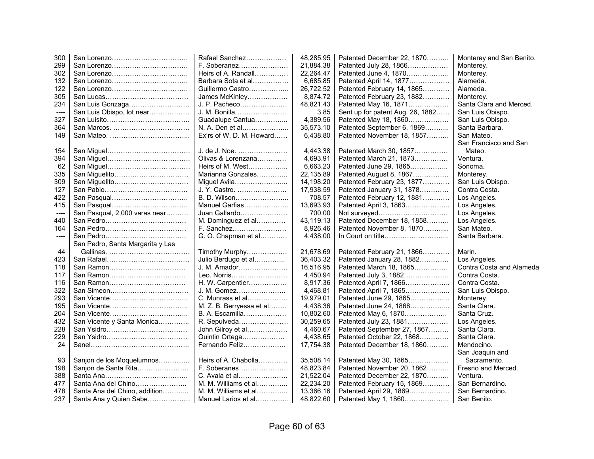| 300     |                                  | Rafael Sanchez           | 48,285.95 | Patented December 22, 1870       | Monterey and San Benito. |
|---------|----------------------------------|--------------------------|-----------|----------------------------------|--------------------------|
| 299     |                                  | F. Soberanez             | 21,884.38 | Patented July 28, 1866           | Monterey.                |
| 302     |                                  | Heirs of A. Randall      | 22,264.47 | Patented June 4, 1870            | Monterey.                |
| 132     |                                  | Barbara Sota et al       | 6,685.85  | Patented April 14, 1877          | Alameda.                 |
| 122     |                                  | Guillermo Castro         | 26,722.52 | Patented February 14, 1865       | Alameda.                 |
| 305     |                                  | James McKinley           | 8.874.72  | Patented February 23, 1882       | Monterey.                |
| 234     | San Luis Gonzaga                 | J. P. Pacheco            | 48,821.43 | Patented May 16, 1871            | Santa Clara and Merced.  |
| ----    | San Luis Obispo, lot near        | J. M. Bonilla            | 3.85      | Sent up for patent Aug. 26, 1882 | San Luis Obispo.         |
| 327     |                                  | Guadalupe Cantua         | 4,389.56  | Patented May 18, 1860            | San Luis Obispo.         |
| 364     |                                  | N. A. Den et al          | 35,573.10 | Patented September 6, 1869       | Santa Barbara.           |
| 149     |                                  | Ex'rs of W. D. M. Howard | 6,438.80  | Patented November 18, 1857       | San Mateo.               |
|         |                                  |                          |           |                                  | San Francisco and San    |
| 154     |                                  | J. de J. Noe.            | 4,443.38  | Patented March 30, 1857          | Mateo.                   |
| 394     |                                  | Olivas & Lorenzana       | 4,693.91  | Patented March 21, 1873          | Ventura.                 |
| 62      |                                  | Heirs of M. West         | 6,663.23  | Patented June 29, 1865           | Sonoma.                  |
| 335     | San Miguelito                    | Marianna Gonzales        | 22,135.89 | Patented August 8, 1867          | Monterey.                |
| 309     | San Miguelito                    | Miguel Avila             | 14,198.20 | Patented February 23, 1877       | San Luis Obispo.         |
| 127     |                                  | J. Y. Castro.            | 17,938.59 | Patented January 31, 1878        | Contra Costa.            |
| 422     |                                  | B. D. Wilson             | 708.57    | Patented February 12, 1881       | Los Angeles.             |
| 415     |                                  | Manuel Garfias           | 13,693.93 | Patented April 3, 1863           | Los Angeles.             |
| $-----$ | San Pasqual, 2,000 varas near    | Juan Gallardo            | 700.00    | Not surveyed                     | Los Angeles.             |
| 440     |                                  | M. Dominguez et al       | 43,119.13 | Patented December 18, 1858       | Los Angeles.             |
| 164     |                                  | F. Sanchez               | 8,926.46  | Patented November 8, 1870        | San Mateo.               |
| $---$   |                                  | G. O. Chapman et al      | 4,438.00  |                                  | Santa Barbara.           |
|         | San Pedro, Santa Margarita y Las |                          |           |                                  |                          |
| 44      |                                  | Timothy Murphy           | 21,678.69 | Patented February 21, 1866       | Marin.                   |
| 423     |                                  | Julio Berdugo et al      | 36,403.32 | Patented January 28, 1882        | Los Angeles.             |
| 118     | San Ramon                        | J. M. Amador             | 16,516.95 | Patented March 18, 1865          | Contra Costa and Alameda |
| 117     | San Ramon                        | Leo. Norris              | 4,450.94  | Patented July 3, 1882            | Contra Costa.            |
| 116     |                                  | H. W. Carpentier         | 8,917.36  | Patented April 7, 1866           | Contra Costa.            |
| 322     |                                  | J. M. Gomez              | 4,468.81  | Patented April 7, 1865           | San Luis Obispo.         |
| 293     |                                  | C. Munrass et al         | 19,979.01 | Patented June 29, 1865           | Monterey.                |
| 195     |                                  | M. Z. B. Berryessa et al | 4,438.36  | Patented June 24, 1868           | Santa Clara.             |
| 204     |                                  | B. A. Escamilla          | 10,802.60 | Patented May 6, 1870             | Santa Cruz.              |
| 432     | San Vicente y Santa Monica       | R. Sepulveda             | 30.259.65 | Patented July 23, 1881           | Los Angeles.             |
| 228     |                                  | John Gilroy et al        | 4,460.67  | Patented September 27, 1867      | Santa Clara.             |
| 229     |                                  | Quintin Ortega           | 4,438.65  | Patented October 22, 1868        | Santa Clara.             |
| 24      |                                  | Fernando Feliz           | 17,754.38 | Patented December 18, 1860       | Mendocino.               |
|         |                                  |                          |           |                                  | San Joaquin and          |
| 93      | Sanjon de los Moquelumnos        | Heirs of A. Chabolla     | 35,508.14 | Patented May 30, 1865            | Sacramento.              |
| 198     | Sanjon de Santa Rita             | F. Soberanes             | 48,823.84 | Patented November 20, 1862       | Fresno and Merced.       |
| 388     |                                  | C. Avala et al           | 21,522.04 | Patented December 22, 1870       | Ventura.                 |
| 477     | Santa Ana del Chino              | M. M. Williams et al     | 22,234.20 | Patented February 15, 1869       | San Bernardino.          |
| 478     | Santa Ana del Chino, addition    | M. M. Williams et al     | 13,366.16 | Patented April 29, 1869          | San Bernardino.          |
| 237     | Santa Ana y Quien Sabe           | Manuel Larios et al      | 48,822.60 | Patented May 1, 1860             | San Benito.              |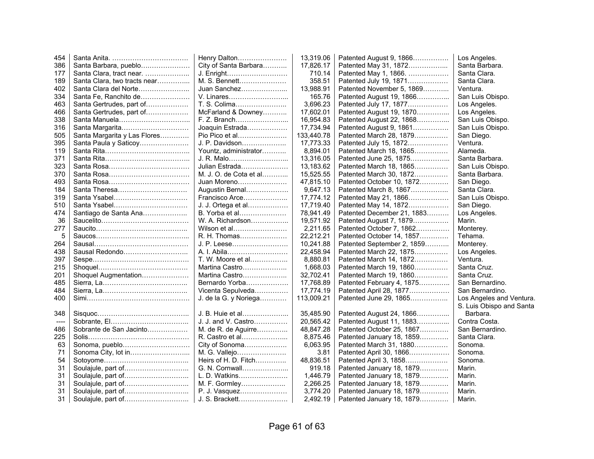| 454   |                              | Henry Dalton           | 13,319.06  | Patented August 9, 1866    | Los Angeles.             |
|-------|------------------------------|------------------------|------------|----------------------------|--------------------------|
| 386   | Santa Barbara, pueblo        | City of Santa Barbara  | 17.826.17  | Patented May 31, 1872      | Santa Barbara.           |
| 177   | Santa Clara, tract near.     | J. Enright             | 710.14     | Patented May 1, 1866.      | Santa Clara.             |
| 189   | Santa Clara, two tracts near | M. S. Bennett          | 358.51     | Patented July 19, 1871     | Santa Clara.             |
| 402   | Santa Clara del Norte        | Juan Sanchez           | 13,988.91  | Patented November 5, 1869  | Ventura.                 |
| 334   | Santa Fe, Ranchito de        | V. Linares             | 165.76     | Patented August 19, 1866   | San Luis Obispo.         |
| 463   | Santa Gertrudes, part of     | T. S. Colima           | 3,696.23   | Patented July 17, 1877     | Los Angeles.             |
| 466   | Santa Gertrudes, part of     | McFarland & Downey     | 17,602.01  | Patented August 19, 1870   | Los Angeles.             |
| 338   | Santa Manuela                | F. Z. Branch           | 16,954.83  | Patented August 22, 1868   | San Luis Obispo.         |
| 316   | Santa Margarita              | Joaquin Estrada        | 17,734.94  | Patented August 9, 1861    | San Luis Obispo.         |
| 505   | Santa Margarita y Las Flores | Pio Pico et al         | 133,440.78 | Patented March 28, 1879    | San Diego.               |
| 395   | Santa Paula y Saticoy        | J. P. Davidson         | 17,773.33  | Patented July 15, 1872     | Ventura.                 |
| 119   |                              | Yountz, administrator  | 8,894.01   | Patented March 18, 1865    | Alameda.                 |
| 371   |                              | J. R. Malo             | 13,316.05  | Patented June 25, 1875     | Santa Barbara.           |
| 323   |                              | Julian Estrada         | 13,183.62  | Patented March 18, 1865    | San Luis Obispo.         |
| 370   |                              | M. J. O. de Cota et al | 15,525.55  | Patented March 30, 1872    | Santa Barbara.           |
| 493   |                              | Juan Moreno            | 47,815.10  | Patented October 10, 1872  | San Diego.               |
| 184   | Santa Theresa                | Augustin Bernal        | 9,647.13   | Patented March 8, 1867     | Santa Clara.             |
| 319   | Santa Ysabel                 | Francisco Arce         | 17,774.12  | Patented May 21, 1866      | San Luis Obispo.         |
| 510   | Santa Ysabel                 | J. J. Ortega et al     | 17,719.40  | Patented May 14, 1872      | San Diego.               |
| 474   | Santiago de Santa Ana        | B. Yorba et al         | 78,941.49  | Patented December 21, 1883 | Los Angeles.             |
| 36    |                              | W. A. Richardson       | 19,571.92  | Patented August 7, 1879    | Marin.                   |
| 277   |                              | Wilson et al           | 2,211.65   | Patented October 7, 1862   | Monterey.                |
| 5     |                              | R. H. Thomas           | 22,212.21  | Patented October 14, 1857  | Tehama.                  |
| 264   |                              | J. P. Leese            | 10,241.88  | Patented September 2, 1859 | Monterey.                |
| 438   | Sausal Redondo               | A. I. Abila            | 22,458.94  | Patented March 22, 1875    | Los Angeles.             |
| 397   |                              | T. W. Moore et al      | 8,880.81   | Patented March 14, 1872    | Ventura.                 |
| 215   |                              | Martina Castro         | 1,668.03   | Patented March 19, 1860    | Santa Cruz.              |
| 201   | Shoquel Augmentation         | Martina Castro         | 32,702.41  | Patented March 19, 1860    | Santa Cruz.              |
| 485   |                              | Bernardo Yorba         | 17,768.89  | Patented February 4, 1875  | San Bernardino.          |
| 484   |                              | Vicenta Sepulveda      | 17,774.19  | Patented April 28, 1877    | San Bernardino.          |
| 400   |                              | J. de la G. y Noriega  | 113,009.21 | Patented June 29, 1865     | Los Angeles and Ventura. |
|       |                              |                        |            |                            | S. Luis Obispo and Santa |
| 348   |                              | J. B. Huie et al       | 35,485.90  | Patented August 24, 1866   | Barbara.                 |
| $---$ |                              | J. J. and V. Castro    | 20,565.42  | Patented August 11, 1883   | Contra Costa.            |
| 486   | Sobrante de San Jacinto      | M. de R. de Aguirre    | 48,847.28  | Patented October 25, 1867  | San Bernardino.          |
| 225   |                              | R. Castro et al        | 8,875.46   | Patented January 18, 1859  | Santa Clara.             |
| 63    | Sonoma, pueblo               | City of Sonoma         | 6,063.95   | Patented March 31, 1880    | Sonoma.                  |
| 71    | Sonoma City, lot in          | M. G. Vallejo          | 3.81       | Patented April 30, 1866    | Sonoma.                  |
| 54    |                              | Heirs of H. D. Fitch   | 48,836.51  | Patented April 3, 1858     | Sonoma.                  |
| 31    | Soulajule, part of           | G. N. Cornwall         | 919.18     | Patented January 18, 1879  | Marin.                   |
| 31    |                              | L. D. Watkins          | 1,446.79   | Patented January 18, 1879  | Marin.                   |
| 31    |                              | M. F. Gormley          | 2,266.25   | Patented January 18, 1879  | Marin.                   |
| 31    |                              | P. J. Vasquez          | 3,774.20   | Patented January 18, 1879  | Marin.                   |
| 31    | Soulajule, part of           | J. S. Brackett         | 2,492.19   | Patented January 18, 1879  | Marin.                   |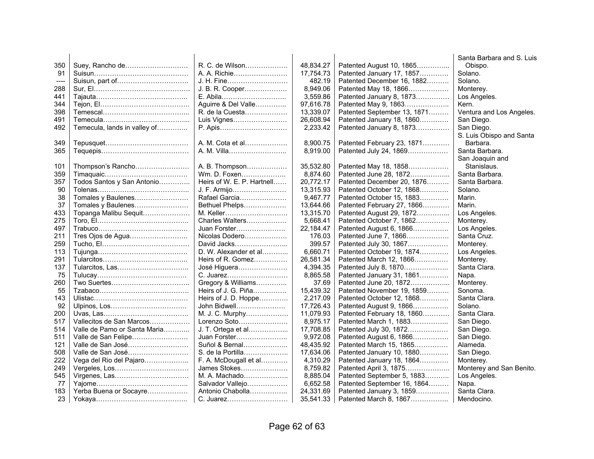|      |                              |                            |           |                             | Santa Barbara and S. Luis |
|------|------------------------------|----------------------------|-----------|-----------------------------|---------------------------|
| 350  |                              | R. C. de Wilson            | 48.834.27 | Patented August 10, 1865    | Obispo.                   |
| 91   |                              | A. A. Richie               | 17,754.73 | Patented January 17, 1857   | Solano.                   |
| ---- |                              | J. H. Fine                 | 482.19    | Patented December 16, 1882  | Solano.                   |
| 288  |                              | J. B. R. Cooper            | 8,949.06  | Patented May 18, 1866       | Monterey.                 |
| 441  |                              |                            | 3,559.86  | Patented January 8, 1873    | Los Angeles.              |
| 344  |                              | Aguirre & Del Valle        | 97,616.78 | Patented May 9, 1863        | Kern.                     |
| 398  |                              | R. de la Cuesta            | 13,339.07 | Patented September 13, 1871 | Ventura and Los Angeles.  |
| 491  |                              | Luis Vignes                | 26,608.94 | Patented January 18, 1860   | San Diego.                |
| 492  | Temecula, lands in valley of | P. Apis                    | 2,233.42  | Patented January 8, 1873    | San Diego.                |
|      |                              |                            |           |                             | S. Luis Obispo and Santa  |
| 349  |                              | A. M. Cota et al           | 8,900.75  | Patented February 23, 1871  | Barbara.                  |
| 365  |                              | A. M. Villa                | 8,919.00  | Patented July 24, 1869      | Santa Barbara.            |
|      |                              |                            |           |                             | San Joaquin and           |
| 101  | Thompson's Rancho            | A. B. Thompson             | 35,532.80 | Patented May 18, 1858       | Stanislaus.               |
| 359  |                              | Wm. D. Foxen               | 8,874.60  | Patented June 28, 1872      | Santa Barbara.            |
| 357  | Todos Santos y San Antonio   | Heirs of W. E. P. Hartnell | 20,772.17 | Patented December 20, 1876  | Santa Barbara.            |
| 90   |                              | J. F. Armijo               | 13,315.93 | Patented October 12, 1868   | Solano.                   |
| 38   | Tomales y Baulenes           | Rafael Garcia              | 9,467.77  | Patented October 15, 1883   | Marin.                    |
| 37   | Tomales y Baulenes           | Bethuel Phelps             | 13.644.66 | Patented February 27, 1866  | Marin.                    |
| 433  | Topanga Malibu Sequit        | M. Keller                  | 13,315.70 | Patented August 29, 1872    | Los Angeles.              |
| 275  |                              | Charles Walters            | 5.668.41  | Patented October 7, 1862    | Monterey.                 |
| 497  |                              | Juan Forster               | 22,184.47 | Patented August 6, 1866     | Los Angeles.              |
| 211  |                              | Nicolas Dodero             | 176.03    | Patented June 7, 1866       | Santa Cruz.               |
| 259  |                              | David Jacks                | 399.57    | Patented July 30, 1867      | Monterey.                 |
| 113  |                              | D. W. Alexander et al      | 6,660.71  | Patented October 19, 1874   | Los Angeles.              |
| 291  |                              | Heirs of R. Gomez          | 26,581.34 | Patented March 12, 1866     | Monterey.                 |
| 137  | Tularcitos, Las              | José Higuera               | 4,394.35  | Patented July 8, 1870       | Santa Clara.              |
| 75   |                              | C. Juarez                  | 8,865.58  | Patented January 31, 1861   | Napa.                     |
| 260  |                              | Gregory & Williams         | 37.69     | Patented June 20, 1872      | Monterey.                 |
| 55   |                              | Heirs of J. G. Piña        | 15,439.32 | Patented November 19, 1859  | Sonoma.                   |
| 143  |                              | Heirs of J. D. Hoppe       | 2,217.09  | Patented October 12, 1868   | Santa Clara.              |
| 92   |                              | John Bidwell               | 17,726.43 | Patented August 9, 1866     | Solano.                   |
| 200  |                              | M. J. C. Murphy            | 11,079.93 | Patented February 18, 1860  | Santa Clara.              |
| 517  | Vallecitos de San Marcos     | Lorenzo Soto               | 8,975.17  | Patented March 1, 1883      | San Diego.                |
| 514  | Valle de Pamo or Santa Maria | J. T. Ortega et al         | 17,708.85 | Patented July 30, 1872      | San Diego.                |
| 511  | Valle de San Felipe          | Juan Forster               | 9,972.08  | Patented August 6, 1866     | San Diego.                |
| 121  | Valle de San José            | Suñol & Bernal             | 48,435.92 | Patented March 15, 1865     | Alameda.                  |
| 508  | Valle de San José            | S. de la Portilla          | 17,634.06 | Patented January 10, 1880   | San Diego.                |
| 222  | Vega del Rio del Pajaro      | F. A. McDougall et al      | 4,310.29  | Patented January 18, 1864   | Monterey.                 |
| 249  |                              | James Stokes               | 8,759.82  | Patented April 3, 1875      | Monterey and San Benito.  |
| 545  |                              | M. A. Machado              | 8,885.04  | Patented September 5, 1883  | Los Angeles.              |
| 77   |                              | Salvador Vallejo           | 6,652.58  | Patented September 16, 1864 | Napa.                     |
| 183  | Yerba Buena or Socayre       | Antonio Chabolla           | 24,331.69 | Patented January 3, 1859    | Santa Clara.              |
| 23   |                              | C. Juarez                  | 35,541.33 | Patented March 8, 1867      | Mendocino.                |
|      |                              |                            |           |                             |                           |